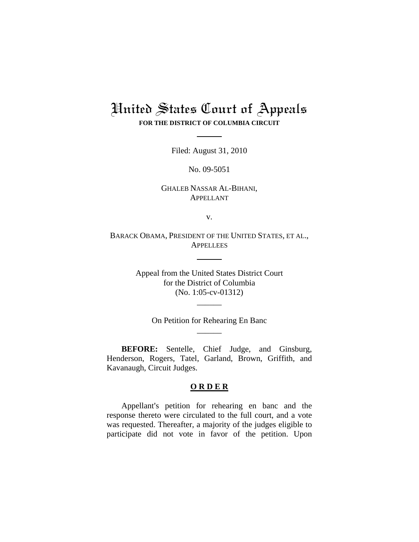## United States Court of Appeals **FOR THE DISTRICT OF COLUMBIA CIRCUIT**

Filed: August 31, 2010

No. 09-5051

GHALEB NASSAR AL-BIHANI, APPELLANT

v.

BARACK OBAMA, PRESIDENT OF THE UNITED STATES, ET AL., **APPELLEES** 

> Appeal from the United States District Court for the District of Columbia (No. 1:05-cv-01312)

> > $\overline{\phantom{a}}$

On Petition for Rehearing En Banc  $\overline{\phantom{a}}$ 

**BEFORE:** Sentelle, Chief Judge, and Ginsburg, Henderson, Rogers, Tatel, Garland, Brown, Griffith, and Kavanaugh, Circuit Judges.

## **O R D E R**

Appellant's petition for rehearing en banc and the response thereto were circulated to the full court, and a vote was requested. Thereafter, a majority of the judges eligible to participate did not vote in favor of the petition. Upon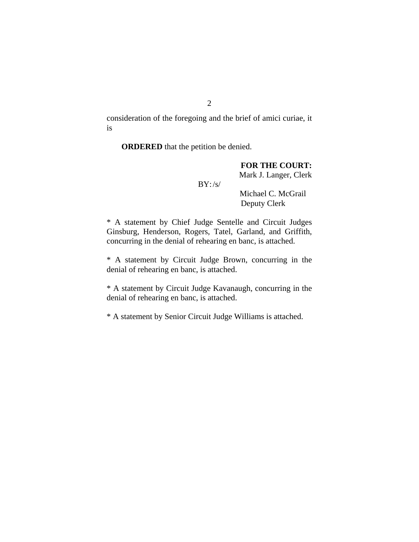consideration of the foregoing and the brief of amici curiae, it is

**ORDERED** that the petition be denied.

## **FOR THE COURT:**

Mark J. Langer, Clerk

 $BY: /s/$ 

Michael C. McGrail Deputy Clerk

\* A statement by Chief Judge Sentelle and Circuit Judges Ginsburg, Henderson, Rogers, Tatel, Garland, and Griffith, concurring in the denial of rehearing en banc, is attached.

\* A statement by Circuit Judge Brown, concurring in the denial of rehearing en banc, is attached.

\* A statement by Circuit Judge Kavanaugh, concurring in the denial of rehearing en banc, is attached.

\* A statement by Senior Circuit Judge Williams is attached.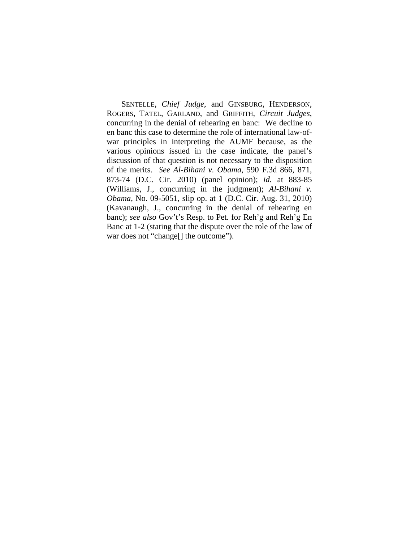SENTELLE, *Chief Judge*, and GINSBURG, HENDERSON, ROGERS, TATEL, GARLAND, and GRIFFITH, *Circuit Judges*, concurring in the denial of rehearing en banc: We decline to en banc this case to determine the role of international law-ofwar principles in interpreting the AUMF because, as the various opinions issued in the case indicate, the panel's discussion of that question is not necessary to the disposition of the merits. *See Al-Bihani v. Obama*, 590 F.3d 866, 871, 873-74 (D.C. Cir. 2010) (panel opinion); *id.* at 883-85 (Williams, J., concurring in the judgment); *Al-Bihani v. Obama*, No. 09-5051, slip op. at 1 (D.C. Cir. Aug. 31, 2010) (Kavanaugh, J., concurring in the denial of rehearing en banc); *see also* Gov't's Resp. to Pet. for Reh'g and Reh'g En Banc at 1-2 (stating that the dispute over the role of the law of war does not "change[] the outcome").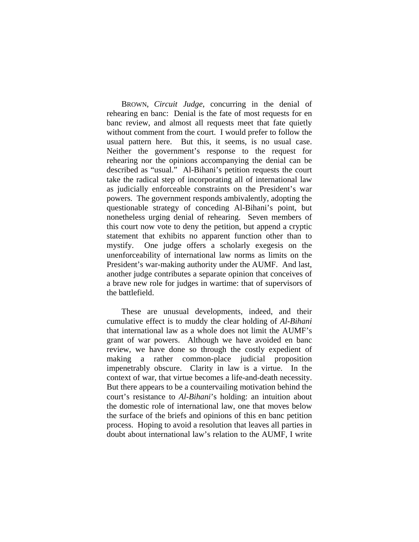BROWN, *Circuit Judge*, concurring in the denial of rehearing en banc: Denial is the fate of most requests for en banc review, and almost all requests meet that fate quietly without comment from the court. I would prefer to follow the usual pattern here. But this, it seems, is no usual case. Neither the government's response to the request for rehearing nor the opinions accompanying the denial can be described as "usual." Al-Bihani's petition requests the court take the radical step of incorporating all of international law as judicially enforceable constraints on the President's war powers. The government responds ambivalently, adopting the questionable strategy of conceding Al-Bihani's point, but nonetheless urging denial of rehearing. Seven members of this court now vote to deny the petition, but append a cryptic statement that exhibits no apparent function other than to mystify. One judge offers a scholarly exegesis on the unenforceability of international law norms as limits on the President's war-making authority under the AUMF. And last, another judge contributes a separate opinion that conceives of a brave new role for judges in wartime: that of supervisors of the battlefield.

These are unusual developments, indeed, and their cumulative effect is to muddy the clear holding of *Al-Bihani* that international law as a whole does not limit the AUMF's grant of war powers. Although we have avoided en banc review, we have done so through the costly expedient of making a rather common-place judicial proposition impenetrably obscure. Clarity in law is a virtue. In the context of war, that virtue becomes a life-and-death necessity. But there appears to be a countervailing motivation behind the court's resistance to *Al-Bihani*'s holding: an intuition about the domestic role of international law, one that moves below the surface of the briefs and opinions of this en banc petition process. Hoping to avoid a resolution that leaves all parties in doubt about international law's relation to the AUMF, I write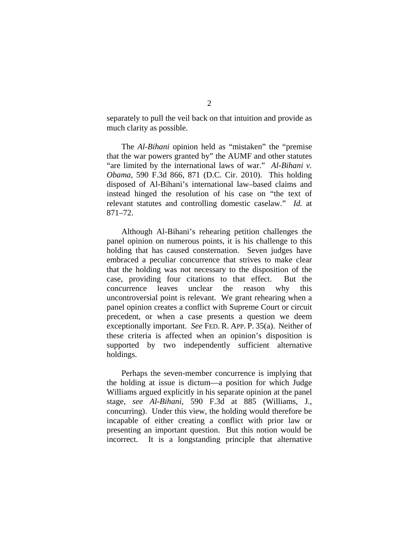separately to pull the veil back on that intuition and provide as much clarity as possible.

The *Al-Bihani* opinion held as "mistaken" the "premise that the war powers granted by" the AUMF and other statutes "are limited by the international laws of war." Al-Bihani v. *Obama*, 590 F.3d 866, 871 (D.C. Cir. 2010). This holding disposed of Al-Bihani's international law–based claims and instead hinged the resolution of his case on "the text of relevant statutes and controlling domestic caselaw." *Id.* at 871–72.

 Although Al-Bihani's rehearing petition challenges the panel opinion on numerous points, it is his challenge to this holding that has caused consternation. Seven judges have embraced a peculiar concurrence that strives to make clear that the holding was not necessary to the disposition of the case, providing four citations to that effect. But the concurrence leaves unclear the reason why this uncontroversial point is relevant. We grant rehearing when a panel opinion creates a conflict with Supreme Court or circuit precedent, or when a case presents a question we deem exceptionally important. *See* FED. R. APP. P. 35(a). Neither of these criteria is affected when an opinion's disposition is supported by two independently sufficient alternative holdings.

 Perhaps the seven-member concurrence is implying that the holding at issue is dictum—a position for which Judge Williams argued explicitly in his separate opinion at the panel stage, *see Al-Bihani*, 590 F.3d at 885 (Williams, J., concurring). Under this view, the holding would therefore be incapable of either creating a conflict with prior law or presenting an important question.But this notion would be incorrect. It is a longstanding principle that alternative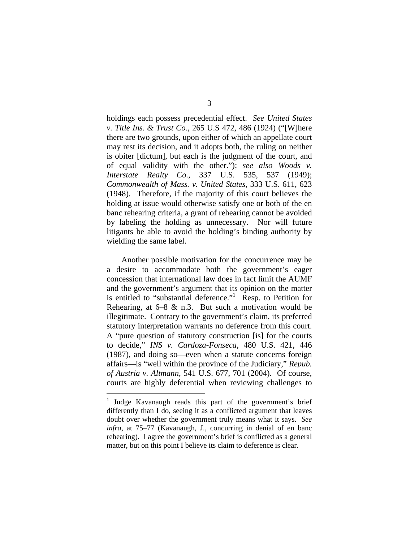holdings each possess precedential effect. *See United States v. Title Ins. & Trust Co.*, 265 U.S 472, 486 (1924) ("[W]here there are two grounds, upon either of which an appellate court may rest its decision, and it adopts both, the ruling on neither is obiter [dictum], but each is the judgment of the court, and of equal validity with the other."); *see also Woods v. Interstate Realty Co.*, 337 U.S. 535, 537 (1949); *Commonwealth of Mass. v. United States*, 333 U.S. 611, 623 (1948). Therefore, if the majority of this court believes the holding at issue would otherwise satisfy one or both of the en banc rehearing criteria, a grant of rehearing cannot be avoided by labeling the holding as unnecessary. Nor will future litigants be able to avoid the holding's binding authority by wielding the same label.

 Another possible motivation for the concurrence may be a desire to accommodate both the government's eager concession that international law does in fact limit the AUMF and the government's argument that its opinion on the matter is entitled to "substantial deference."<sup>1</sup> Resp. to Petition for Rehearing, at  $6-8 \& n.3$ . But such a motivation would be illegitimate. Contrary to the government's claim, its preferred statutory interpretation warrants no deference from this court. A "pure question of statutory construction [is] for the courts to decide," *INS v. Cardoza-Fonseca*, 480 U.S. 421, 446 (1987), and doing so—even when a statute concerns foreign affairs—is "well within the province of the Judiciary," *Repub. of Austria v. Altmann*, 541 U.S. 677, 701 (2004). Of course, courts are highly deferential when reviewing challenges to

<sup>1</sup> Judge Kavanaugh reads this part of the government's brief differently than I do, seeing it as a conflicted argument that leaves doubt over whether the government truly means what it says. *See infra*, at 75–77 (Kavanaugh, J., concurring in denial of en banc rehearing). I agree the government's brief is conflicted as a general matter, but on this point I believe its claim to deference is clear.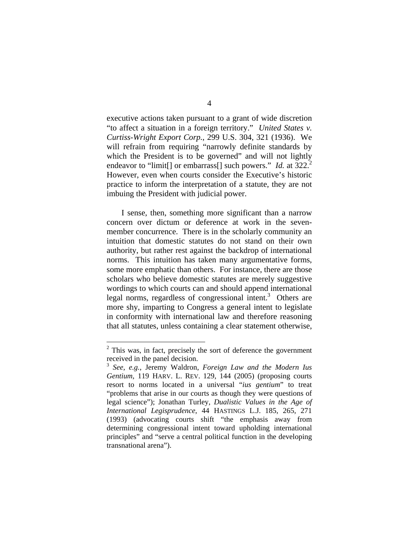executive actions taken pursuant to a grant of wide discretion "to affect a situation in a foreign territory." *United States v. Curtiss-Wright Export Corp.*, 299 U.S. 304, 321 (1936). We will refrain from requiring "narrowly definite standards by which the President is to be governed" and will not lightly endeavor to "limit<sup>[]</sup> or embarrass<sup>[]</sup> such powers." *Id.* at 322.<sup>2</sup> However, even when courts consider the Executive's historic practice to inform the interpretation of a statute, they are not imbuing the President with judicial power.

I sense, then, something more significant than a narrow concern over dictum or deference at work in the sevenmember concurrence. There is in the scholarly community an intuition that domestic statutes do not stand on their own authority, but rather rest against the backdrop of international norms. This intuition has taken many argumentative forms, some more emphatic than others. For instance, there are those scholars who believe domestic statutes are merely suggestive wordings to which courts can and should append international legal norms, regardless of congressional intent.<sup>3</sup> Others are more shy, imparting to Congress a general intent to legislate in conformity with international law and therefore reasoning that all statutes, unless containing a clear statement otherwise,

 $2$ <sup>2</sup> This was, in fact, precisely the sort of deference the government received in the panel decision.

<sup>3</sup> *See, e.g.*, Jeremy Waldron, *Foreign Law and the Modern Ius Gentium*, 119 HARV. L. REV. 129, 144 (2005) (proposing courts resort to norms located in a universal "*ius gentium*" to treat "problems that arise in our courts as though they were questions of legal science"); Jonathan Turley, *Dualistic Values in the Age of International Legisprudence*, 44 HASTINGS L.J. 185, 265, 271 (1993) (advocating courts shift "the emphasis away from determining congressional intent toward upholding international principles" and "serve a central political function in the developing transnational arena").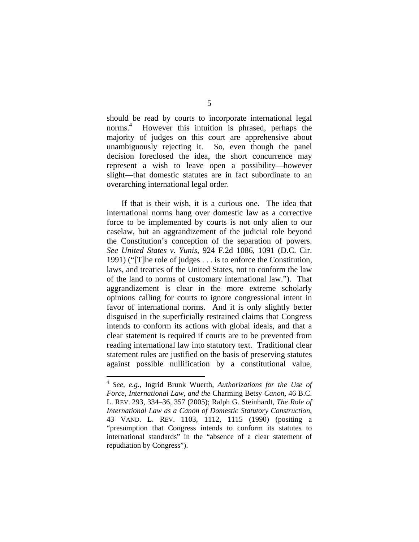should be read by courts to incorporate international legal norms.<sup>4</sup> However this intuition is phrased, perhaps the majority of judges on this court are apprehensive about unambiguously rejecting it. So, even though the panel decision foreclosed the idea, the short concurrence may represent a wish to leave open a possibility—however slight—that domestic statutes are in fact subordinate to an overarching international legal order.

If that is their wish, it is a curious one. The idea that international norms hang over domestic law as a corrective force to be implemented by courts is not only alien to our caselaw, but an aggrandizement of the judicial role beyond the Constitution's conception of the separation of powers. *See United States v. Yunis*, 924 F.2d 1086, 1091 (D.C. Cir. 1991) ("[T]he role of judges . . . is to enforce the Constitution, laws, and treaties of the United States, not to conform the law of the land to norms of customary international law."). That aggrandizement is clear in the more extreme scholarly opinions calling for courts to ignore congressional intent in favor of international norms. And it is only slightly better disguised in the superficially restrained claims that Congress intends to conform its actions with global ideals, and that a clear statement is required if courts are to be prevented from reading international law into statutory text. Traditional clear statement rules are justified on the basis of preserving statutes against possible nullification by a constitutional value,

<sup>4</sup> *See, e.g.*, Ingrid Brunk Wuerth, *Authorizations for the Use of Force, International Law, and the* Charming Betsy *Canon*, 46 B.C. L. REV. 293, 334–36, 357 (2005); Ralph G. Steinhardt, *The Role of International Law as a Canon of Domestic Statutory Construction*, 43 VAND. L. REV. 1103, 1112, 1115 (1990) (positing a "presumption that Congress intends to conform its statutes to international standards" in the "absence of a clear statement of repudiation by Congress").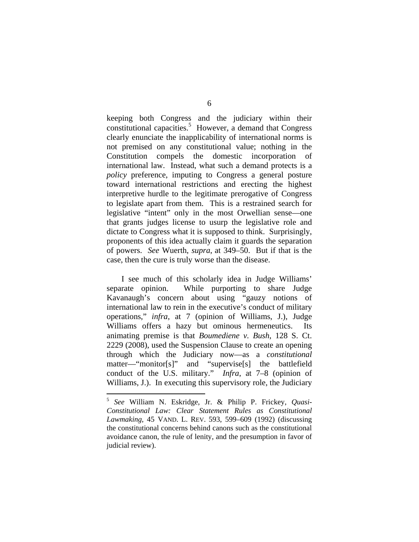keeping both Congress and the judiciary within their constitutional capacities.<sup>5</sup> However, a demand that Congress clearly enunciate the inapplicability of international norms is not premised on any constitutional value; nothing in the Constitution compels the domestic incorporation of international law. Instead, what such a demand protects is a *policy* preference, imputing to Congress a general posture toward international restrictions and erecting the highest interpretive hurdle to the legitimate prerogative of Congress to legislate apart from them. This is a restrained search for legislative "intent" only in the most Orwellian sense—one that grants judges license to usurp the legislative role and dictate to Congress what it is supposed to think. Surprisingly, proponents of this idea actually claim it guards the separation of powers. *See* Wuerth, *supra*, at 349–50. But if that is the case, then the cure is truly worse than the disease.

 I see much of this scholarly idea in Judge Williams' separate opinion. While purporting to share Judge Kavanaugh's concern about using "gauzy notions of international law to rein in the executive's conduct of military operations," *infra*, at 7 (opinion of Williams, J.), Judge Williams offers a hazy but ominous hermeneutics. Its animating premise is that *Boumediene v. Bush*, 128 S. Ct. 2229 (2008), used the Suspension Clause to create an opening through which the Judiciary now—as a *constitutional* matter—"monitor[s]" and "supervise[s] the battlefield conduct of the U.S. military." *Infra*, at 7–8 (opinion of Williams, J.). In executing this supervisory role, the Judiciary

1

<sup>5</sup> *See* William N. Eskridge, Jr. & Philip P. Frickey, *Quasi-Constitutional Law: Clear Statement Rules as Constitutional Lawmaking*, 45 VAND. L. REV. 593, 599–609 (1992) (discussing the constitutional concerns behind canons such as the constitutional avoidance canon, the rule of lenity, and the presumption in favor of judicial review).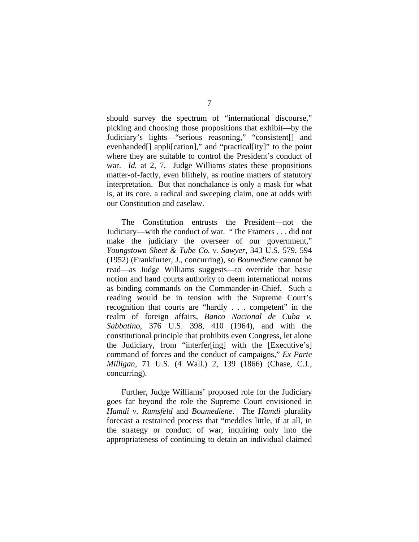should survey the spectrum of "international discourse," picking and choosing those propositions that exhibit—by the Judiciary's lights—"serious reasoning," "consistent[] and evenhanded<sup>[]</sup> appli<sup>[cation]," and "practical<sup>[ity]"</sup> to the point</sup> where they are suitable to control the President's conduct of war. *Id.* at 2, 7. Judge Williams states these propositions matter-of-factly, even blithely, as routine matters of statutory interpretation. But that nonchalance is only a mask for what is, at its core, a radical and sweeping claim, one at odds with our Constitution and caselaw.

The Constitution entrusts the President—not the Judiciary—with the conduct of war. "The Framers . . . did not make the judiciary the overseer of our government," *Youngstown Sheet & Tube Co. v. Sawyer*, 343 U.S. 579, 594 (1952) (Frankfurter, J., concurring), so *Boumediene* cannot be read—as Judge Williams suggests—to override that basic notion and hand courts authority to deem international norms as binding commands on the Commander-in-Chief. Such a reading would be in tension with the Supreme Court's recognition that courts are "hardly . . . competent" in the realm of foreign affairs, *Banco Nacional de Cuba v. Sabbatino*, 376 U.S. 398, 410 (1964), and with the constitutional principle that prohibits even Congress, let alone the Judiciary, from "interfer[ing] with the [Executive's] command of forces and the conduct of campaigns," *Ex Parte Milligan*, 71 U.S. (4 Wall.) 2, 139 (1866) (Chase, C.J., concurring).

Further, Judge Williams' proposed role for the Judiciary goes far beyond the role the Supreme Court envisioned in *Hamdi v. Rumsfeld* and *Boumediene*. The *Hamdi* plurality forecast a restrained process that "meddles little, if at all, in the strategy or conduct of war, inquiring only into the appropriateness of continuing to detain an individual claimed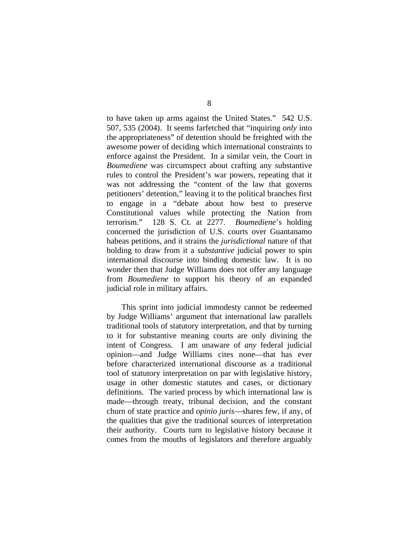to have taken up arms against the United States." 542 U.S. 507, 535 (2004). It seems farfetched that "inquiring *only* into the appropriateness" of detention should be freighted with the awesome power of deciding which international constraints to enforce against the President. In a similar vein, the Court in *Boumediene* was circumspect about crafting any substantive rules to control the President's war powers, repeating that it was not addressing the "content of the law that governs petitioners' detention," leaving it to the political branches first to engage in a "debate about how best to preserve Constitutional values while protecting the Nation from terrorism." 128 S. Ct. at 2277. *Boumediene*'s holding concerned the jurisdiction of U.S. courts over Guantanamo habeas petitions, and it strains the *jurisdictional* nature of that holding to draw from it a *substantive* judicial power to spin international discourse into binding domestic law. It is no wonder then that Judge Williams does not offer any language from *Boumediene* to support his theory of an expanded judicial role in military affairs.

This sprint into judicial immodesty cannot be redeemed by Judge Williams' argument that international law parallels traditional tools of statutory interpretation, and that by turning to it for substantive meaning courts are only divining the intent of Congress. I am unaware of *any* federal judicial opinion—and Judge Williams cites none—that has ever before characterized international discourse as a traditional tool of statutory interpretation on par with legislative history, usage in other domestic statutes and cases, or dictionary definitions. The varied process by which international law is made—through treaty, tribunal decision, and the constant churn of state practice and *opinio juris*—shares few, if any, of the qualities that give the traditional sources of interpretation their authority. Courts turn to legislative history because it comes from the mouths of legislators and therefore arguably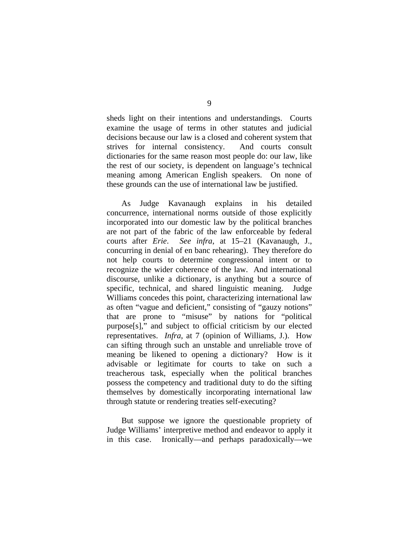sheds light on their intentions and understandings. Courts examine the usage of terms in other statutes and judicial decisions because our law is a closed and coherent system that strives for internal consistency. And courts consult dictionaries for the same reason most people do: our law, like the rest of our society, is dependent on language's technical meaning among American English speakers. On none of these grounds can the use of international law be justified.

As Judge Kavanaugh explains in his detailed concurrence, international norms outside of those explicitly incorporated into our domestic law by the political branches are not part of the fabric of the law enforceable by federal courts after *Erie*. *See infra*, at 15–21 (Kavanaugh, J., concurring in denial of en banc rehearing). They therefore do not help courts to determine congressional intent or to recognize the wider coherence of the law. And international discourse, unlike a dictionary, is anything but a source of specific, technical, and shared linguistic meaning. Judge Williams concedes this point, characterizing international law as often "vague and deficient," consisting of "gauzy notions" that are prone to "misuse" by nations for "political purpose[s]," and subject to official criticism by our elected representatives. *Infra*, at 7 (opinion of Williams, J.). How can sifting through such an unstable and unreliable trove of meaning be likened to opening a dictionary? How is it advisable or legitimate for courts to take on such a treacherous task, especially when the political branches possess the competency and traditional duty to do the sifting themselves by domestically incorporating international law through statute or rendering treaties self-executing?

But suppose we ignore the questionable propriety of Judge Williams' interpretive method and endeavor to apply it in this case. Ironically—and perhaps paradoxically—we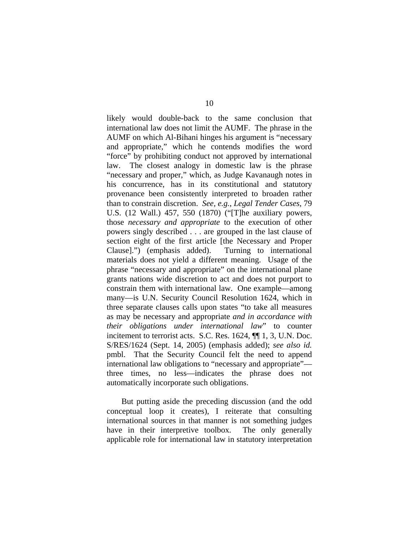likely would double-back to the same conclusion that international law does not limit the AUMF. The phrase in the AUMF on which Al-Bihani hinges his argument is "necessary and appropriate," which he contends modifies the word "force" by prohibiting conduct not approved by international law. The closest analogy in domestic law is the phrase "necessary and proper," which, as Judge Kavanaugh notes in his concurrence, has in its constitutional and statutory provenance been consistently interpreted to broaden rather than to constrain discretion. *See, e.g.*, *Legal Tender Cases*, 79 U.S. (12 Wall.) 457, 550 (1870) ("[T]he auxiliary powers, those *necessary and appropriate* to the execution of other powers singly described . . . are grouped in the last clause of section eight of the first article [the Necessary and Proper Clause].") (emphasis added).Turning to international materials does not yield a different meaning. Usage of the phrase "necessary and appropriate" on the international plane grants nations wide discretion to act and does not purport to constrain them with international law. One example—among many—is U.N. Security Council Resolution 1624, which in three separate clauses calls upon states "to take all measures as may be necessary and appropriate *and in accordance with their obligations under international law*" to counter incitement to terrorist acts. S.C. Res. 1624, ¶¶ 1, 3, U.N. Doc. S/RES/1624 (Sept. 14, 2005) (emphasis added); *see also id.* pmbl. That the Security Council felt the need to append international law obligations to "necessary and appropriate" three times, no less—indicates the phrase does not automatically incorporate such obligations.

But putting aside the preceding discussion (and the odd conceptual loop it creates), I reiterate that consulting international sources in that manner is not something judges have in their interpretive toolbox. The only generally applicable role for international law in statutory interpretation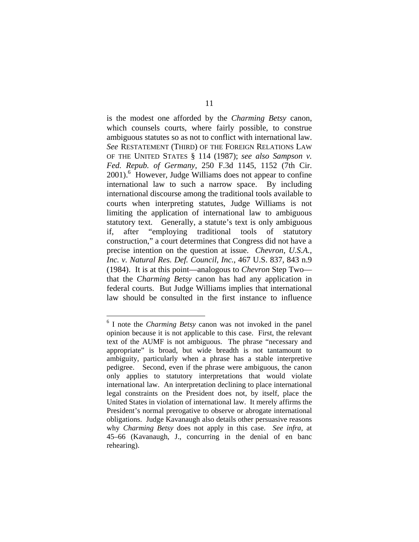is the modest one afforded by the *Charming Betsy* canon, which counsels courts, where fairly possible, to construe ambiguous statutes so as not to conflict with international law. *See* RESTATEMENT (THIRD) OF THE FOREIGN RELATIONS LAW OF THE UNITED STATES § 114 (1987); *see also Sampson v. Fed. Repub. of Germany*, 250 F.3d 1145, 1152 (7th Cir. 2001).<sup>6</sup> However, Judge Williams does not appear to confine international law to such a narrow space. By including international discourse among the traditional tools available to courts when interpreting statutes, Judge Williams is not limiting the application of international law to ambiguous statutory text. Generally, a statute's text is only ambiguous if, after "employing traditional tools of statutory construction," a court determines that Congress did not have a precise intention on the question at issue. *Chevron, U.S.A., Inc. v. Natural Res. Def. Council, Inc.*, 467 U.S. 837, 843 n.9 (1984). It is at this point—analogous to *Chevron* Step Two that the *Charming Betsy* canon has had any application in federal courts. But Judge Williams implies that international law should be consulted in the first instance to influence

<sup>6</sup> I note the *Charming Betsy* canon was not invoked in the panel opinion because it is not applicable to this case. First, the relevant text of the AUMF is not ambiguous. The phrase "necessary and appropriate" is broad, but wide breadth is not tantamount to ambiguity, particularly when a phrase has a stable interpretive pedigree. Second, even if the phrase were ambiguous, the canon only applies to statutory interpretations that would violate international law. An interpretation declining to place international legal constraints on the President does not, by itself, place the United States in violation of international law. It merely affirms the President's normal prerogative to observe or abrogate international obligations. Judge Kavanaugh also details other persuasive reasons why *Charming Betsy* does not apply in this case. *See infra*, at 45–66 (Kavanaugh, J., concurring in the denial of en banc rehearing).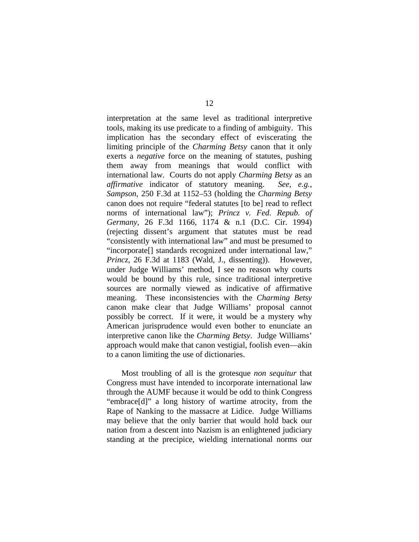interpretation at the same level as traditional interpretive tools, making its use predicate to a finding of ambiguity. This implication has the secondary effect of eviscerating the limiting principle of the *Charming Betsy* canon that it only exerts a *negative* force on the meaning of statutes, pushing them away from meanings that would conflict with international law. Courts do not apply *Charming Betsy* as an *affirmative* indicator of statutory meaning. *See, e.g.*, *Sampson*, 250 F.3d at 1152–53 (holding the *Charming Betsy* canon does not require "federal statutes [to be] read to reflect norms of international law"); *Princz v. Fed. Repub. of Germany*, 26 F.3d 1166, 1174 & n.1 (D.C. Cir. 1994) (rejecting dissent's argument that statutes must be read "consistently with international law" and must be presumed to "incorporate[] standards recognized under international law," *Princz*, 26 F.3d at 1183 (Wald, J., dissenting)). However, under Judge Williams' method, I see no reason why courts would be bound by this rule, since traditional interpretive sources are normally viewed as indicative of affirmative meaning. These inconsistencies with the *Charming Betsy*  canon make clear that Judge Williams' proposal cannot possibly be correct. If it were, it would be a mystery why American jurisprudence would even bother to enunciate an interpretive canon like the *Charming Betsy*. Judge Williams' approach would make that canon vestigial, foolish even—akin to a canon limiting the use of dictionaries.

Most troubling of all is the grotesque *non sequitur* that Congress must have intended to incorporate international law through the AUMF because it would be odd to think Congress "embrace[d]" a long history of wartime atrocity, from the Rape of Nanking to the massacre at Lidice. Judge Williams may believe that the only barrier that would hold back our nation from a descent into Nazism is an enlightened judiciary standing at the precipice, wielding international norms our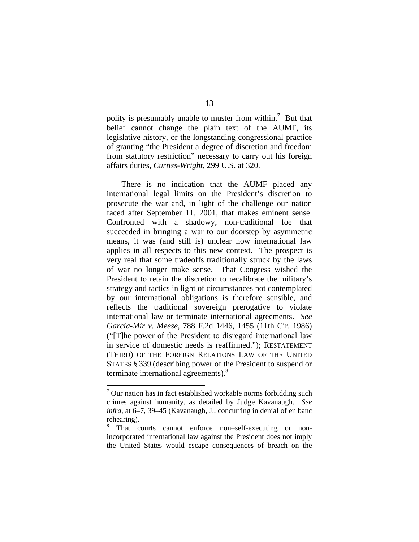polity is presumably unable to muster from within.<sup>7</sup> But that belief cannot change the plain text of the AUMF, its legislative history, or the longstanding congressional practice of granting "the President a degree of discretion and freedom from statutory restriction" necessary to carry out his foreign affairs duties, *Curtiss-Wright*, 299 U.S. at 320.

There is no indication that the AUMF placed any international legal limits on the President's discretion to prosecute the war and, in light of the challenge our nation faced after September 11, 2001, that makes eminent sense. Confronted with a shadowy, non-traditional foe that succeeded in bringing a war to our doorstep by asymmetric means, it was (and still is) unclear how international law applies in all respects to this new context. The prospect is very real that some tradeoffs traditionally struck by the laws of war no longer make sense. That Congress wished the President to retain the discretion to recalibrate the military's strategy and tactics in light of circumstances not contemplated by our international obligations is therefore sensible, and reflects the traditional sovereign prerogative to violate international law or terminate international agreements. *See Garcia-Mir v. Meese*, 788 F.2d 1446, 1455 (11th Cir. 1986) ("[T]he power of the President to disregard international law in service of domestic needs is reaffirmed."); RESTATEMENT (THIRD) OF THE FOREIGN RELATIONS LAW OF THE UNITED STATES § 339 (describing power of the President to suspend or terminate international agreements).<sup>8</sup>

 $7$  Our nation has in fact established workable norms forbidding such crimes against humanity, as detailed by Judge Kavanaugh. *See infra*, at 6–7, 39–45 (Kavanaugh, J., concurring in denial of en banc rehearing).

<sup>8</sup> That courts cannot enforce non–self-executing or nonincorporated international law against the President does not imply the United States would escape consequences of breach on the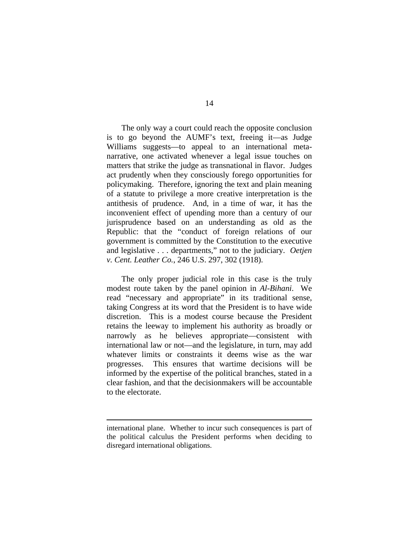The only way a court could reach the opposite conclusion is to go beyond the AUMF's text, freeing it—as Judge Williams suggests—to appeal to an international metanarrative, one activated whenever a legal issue touches on matters that strike the judge as transnational in flavor. Judges act prudently when they consciously forego opportunities for policymaking. Therefore, ignoring the text and plain meaning of a statute to privilege a more creative interpretation is the antithesis of prudence. And, in a time of war, it has the inconvenient effect of upending more than a century of our jurisprudence based on an understanding as old as the Republic: that the "conduct of foreign relations of our government is committed by the Constitution to the executive and legislative . . . departments," not to the judiciary. *Oetjen v. Cent. Leather Co.*, 246 U.S. 297, 302 (1918).

The only proper judicial role in this case is the truly modest route taken by the panel opinion in *Al-Bihani*. We read "necessary and appropriate" in its traditional sense, taking Congress at its word that the President is to have wide discretion. This is a modest course because the President retains the leeway to implement his authority as broadly or narrowly as he believes appropriate—consistent with international law or not—and the legislature, in turn, may add whatever limits or constraints it deems wise as the war progresses. This ensures that wartime decisions will be informed by the expertise of the political branches, stated in a clear fashion, and that the decisionmakers will be accountable to the electorate.

1

international plane. Whether to incur such consequences is part of the political calculus the President performs when deciding to disregard international obligations.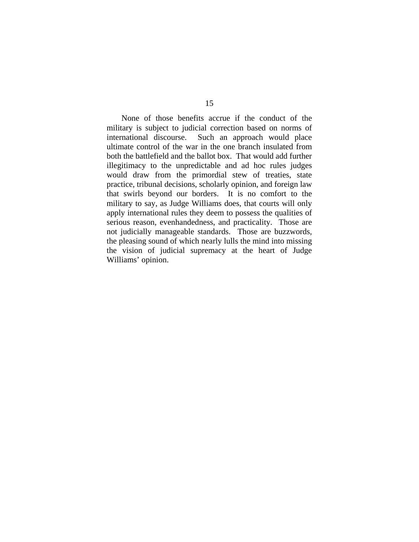None of those benefits accrue if the conduct of the military is subject to judicial correction based on norms of international discourse. Such an approach would place ultimate control of the war in the one branch insulated from both the battlefield and the ballot box. That would add further illegitimacy to the unpredictable and ad hoc rules judges would draw from the primordial stew of treaties, state practice, tribunal decisions, scholarly opinion, and foreign law that swirls beyond our borders. It is no comfort to the military to say, as Judge Williams does, that courts will only apply international rules they deem to possess the qualities of serious reason, evenhandedness, and practicality. Those are not judicially manageable standards. Those are buzzwords, the pleasing sound of which nearly lulls the mind into missing the vision of judicial supremacy at the heart of Judge Williams' opinion.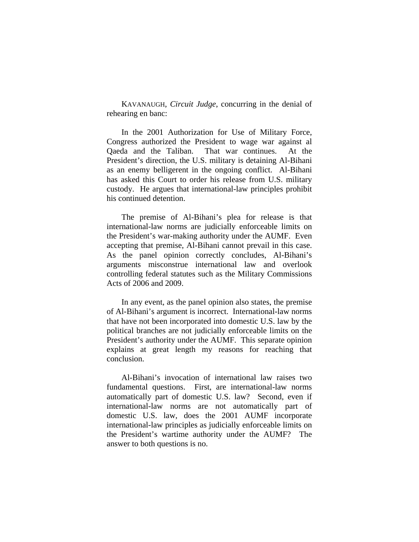KAVANAUGH, *Circuit Judge*, concurring in the denial of rehearing en banc:

In the 2001 Authorization for Use of Military Force, Congress authorized the President to wage war against al Qaeda and the Taliban. That war continues. At the President's direction, the U.S. military is detaining Al-Bihani as an enemy belligerent in the ongoing conflict. Al-Bihani has asked this Court to order his release from U.S. military custody. He argues that international-law principles prohibit his continued detention.

The premise of Al-Bihani's plea for release is that international-law norms are judicially enforceable limits on the President's war-making authority under the AUMF. Even accepting that premise, Al-Bihani cannot prevail in this case. As the panel opinion correctly concludes, Al-Bihani's arguments misconstrue international law and overlook controlling federal statutes such as the Military Commissions Acts of 2006 and 2009.

In any event, as the panel opinion also states, the premise of Al-Bihani's argument is incorrect. International-law norms that have not been incorporated into domestic U.S. law by the political branches are not judicially enforceable limits on the President's authority under the AUMF. This separate opinion explains at great length my reasons for reaching that conclusion.

Al-Bihani's invocation of international law raises two fundamental questions. First, are international-law norms automatically part of domestic U.S. law? Second, even if international-law norms are not automatically part of domestic U.S. law, does the 2001 AUMF incorporate international-law principles as judicially enforceable limits on the President's wartime authority under the AUMF? The answer to both questions is no.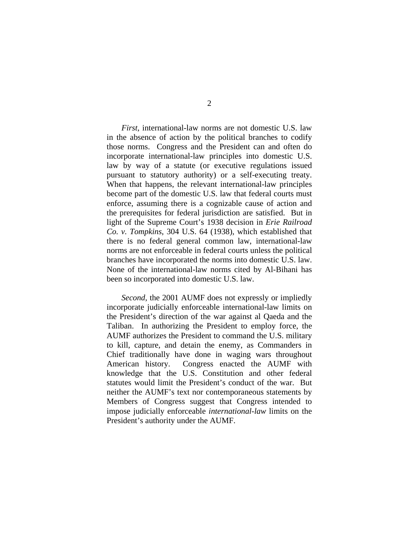*First*, international-law norms are not domestic U.S. law in the absence of action by the political branches to codify those norms. Congress and the President can and often do incorporate international-law principles into domestic U.S. law by way of a statute (or executive regulations issued pursuant to statutory authority) or a self-executing treaty. When that happens, the relevant international-law principles become part of the domestic U.S. law that federal courts must enforce, assuming there is a cognizable cause of action and the prerequisites for federal jurisdiction are satisfied. But in light of the Supreme Court's 1938 decision in *Erie Railroad Co. v. Tompkins*, 304 U.S. 64 (1938), which established that there is no federal general common law, international-law norms are not enforceable in federal courts unless the political branches have incorporated the norms into domestic U.S. law. None of the international-law norms cited by Al-Bihani has been so incorporated into domestic U.S. law.

*Second*, the 2001 AUMF does not expressly or impliedly incorporate judicially enforceable international-law limits on the President's direction of the war against al Qaeda and the Taliban. In authorizing the President to employ force, the AUMF authorizes the President to command the U.S. military to kill, capture, and detain the enemy, as Commanders in Chief traditionally have done in waging wars throughout American history. Congress enacted the AUMF with knowledge that the U.S. Constitution and other federal statutes would limit the President's conduct of the war. But neither the AUMF's text nor contemporaneous statements by Members of Congress suggest that Congress intended to impose judicially enforceable *international-law* limits on the President's authority under the AUMF.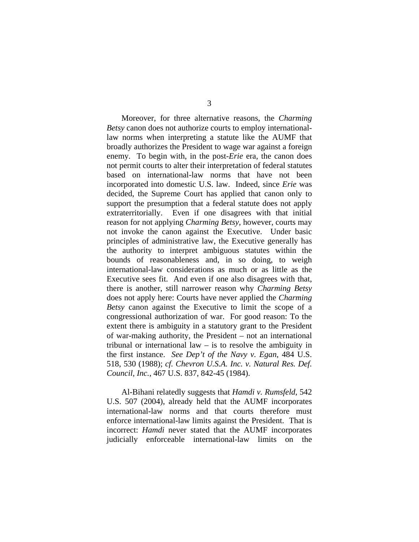Moreover, for three alternative reasons, the *Charming Betsy* canon does not authorize courts to employ internationallaw norms when interpreting a statute like the AUMF that broadly authorizes the President to wage war against a foreign enemy. To begin with, in the post-*Erie* era, the canon does not permit courts to alter their interpretation of federal statutes based on international-law norms that have not been incorporated into domestic U.S. law. Indeed, since *Erie* was decided, the Supreme Court has applied that canon only to support the presumption that a federal statute does not apply extraterritorially. Even if one disagrees with that initial reason for not applying *Charming Betsy*, however, courts may not invoke the canon against the Executive. Under basic principles of administrative law, the Executive generally has the authority to interpret ambiguous statutes within the bounds of reasonableness and, in so doing, to weigh international-law considerations as much or as little as the Executive sees fit. And even if one also disagrees with that, there is another, still narrower reason why *Charming Betsy* does not apply here: Courts have never applied the *Charming Betsy* canon against the Executive to limit the scope of a congressional authorization of war. For good reason: To the extent there is ambiguity in a statutory grant to the President of war-making authority, the President – not an international tribunal or international law – is to resolve the ambiguity in the first instance. *See Dep't of the Navy v. Egan*, 484 U.S. 518, 530 (1988); *cf. Chevron U.S.A. Inc. v. Natural Res. Def. Council, Inc.*, 467 U.S. 837, 842-45 (1984).

Al-Bihani relatedly suggests that *Hamdi v. Rumsfeld*, 542 U.S. 507 (2004), already held that the AUMF incorporates international-law norms and that courts therefore must enforce international-law limits against the President. That is incorrect: *Hamdi* never stated that the AUMF incorporates judicially enforceable international-law limits on the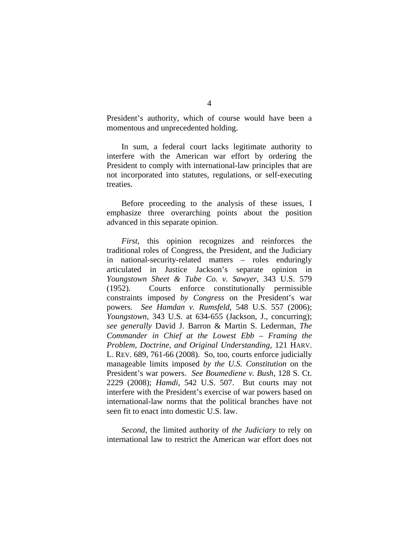President's authority, which of course would have been a momentous and unprecedented holding.

In sum, a federal court lacks legitimate authority to interfere with the American war effort by ordering the President to comply with international-law principles that are not incorporated into statutes, regulations, or self-executing treaties.

Before proceeding to the analysis of these issues, I emphasize three overarching points about the position advanced in this separate opinion.

*First*, this opinion recognizes and reinforces the traditional roles of Congress, the President, and the Judiciary in national-security-related matters – roles enduringly articulated in Justice Jackson's separate opinion in *Youngstown Sheet & Tube Co. v. Sawyer*, 343 U.S. 579 (1952). Courts enforce constitutionally permissible constraints imposed *by Congress* on the President's war powers. *See Hamdan v. Rumsfeld*, 548 U.S. 557 (2006); *Youngstown*, 343 U.S. at 634-655 (Jackson, J., concurring); *see generally* David J. Barron & Martin S. Lederman, *The Commander in Chief at the Lowest Ebb – Framing the Problem, Doctrine, and Original Understanding*, 121 HARV. L. REV. 689, 761-66 (2008). So, too, courts enforce judicially manageable limits imposed *by the U.S. Constitution* on the President's war powers. *See Boumediene v. Bush*, 128 S. Ct. 2229 (2008); *Hamdi*, 542 U.S. 507. But courts may not interfere with the President's exercise of war powers based on international-law norms that the political branches have not seen fit to enact into domestic U.S. law.

*Second*, the limited authority of *the Judiciary* to rely on international law to restrict the American war effort does not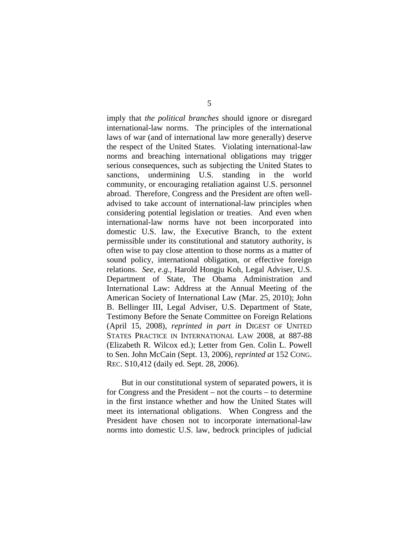imply that *the political branches* should ignore or disregard international-law norms. The principles of the international laws of war (and of international law more generally) deserve the respect of the United States. Violating international-law norms and breaching international obligations may trigger serious consequences, such as subjecting the United States to sanctions, undermining U.S. standing in the world community, or encouraging retaliation against U.S. personnel abroad. Therefore, Congress and the President are often welladvised to take account of international-law principles when considering potential legislation or treaties. And even when international-law norms have not been incorporated into domestic U.S. law, the Executive Branch, to the extent permissible under its constitutional and statutory authority, is often wise to pay close attention to those norms as a matter of sound policy, international obligation, or effective foreign relations. *See, e.g.*, Harold Hongju Koh, Legal Adviser, U.S. Department of State, The Obama Administration and International Law: Address at the Annual Meeting of the American Society of International Law (Mar. 25, 2010); John B. Bellinger III, Legal Adviser, U.S. Department of State, Testimony Before the Senate Committee on Foreign Relations (April 15, 2008), *reprinted in part in* DIGEST OF UNITED STATES PRACTICE IN INTERNATIONAL LAW 2008, at 887-88 (Elizabeth R. Wilcox ed.); Letter from Gen. Colin L. Powell to Sen. John McCain (Sept. 13, 2006), *reprinted at* 152 CONG. REC. S10,412 (daily ed. Sept. 28, 2006).

But in our constitutional system of separated powers, it is for Congress and the President – not the courts – to determine in the first instance whether and how the United States will meet its international obligations. When Congress and the President have chosen not to incorporate international-law norms into domestic U.S. law, bedrock principles of judicial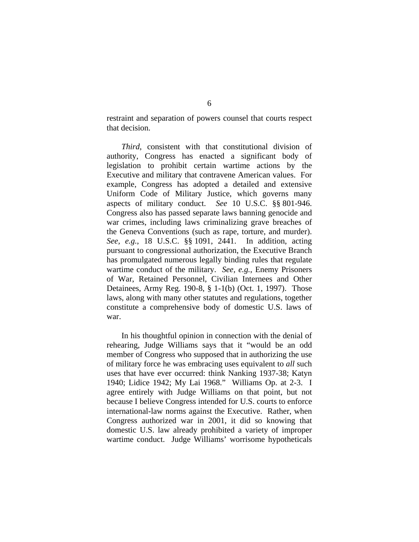restraint and separation of powers counsel that courts respect that decision.

*Third*, consistent with that constitutional division of authority, Congress has enacted a significant body of legislation to prohibit certain wartime actions by the Executive and military that contravene American values. For example, Congress has adopted a detailed and extensive Uniform Code of Military Justice, which governs many aspects of military conduct. *See* 10 U.S.C. §§ 801-946. Congress also has passed separate laws banning genocide and war crimes, including laws criminalizing grave breaches of the Geneva Conventions (such as rape, torture, and murder). *See, e.g.*, 18 U.S.C. §§ 1091, 2441. In addition, acting pursuant to congressional authorization, the Executive Branch has promulgated numerous legally binding rules that regulate wartime conduct of the military. *See, e.g.*, Enemy Prisoners of War, Retained Personnel, Civilian Internees and Other Detainees, Army Reg. 190-8, § 1-1(b) (Oct. 1, 1997). Those laws, along with many other statutes and regulations, together constitute a comprehensive body of domestic U.S. laws of war.

In his thoughtful opinion in connection with the denial of rehearing, Judge Williams says that it "would be an odd member of Congress who supposed that in authorizing the use of military force he was embracing uses equivalent to *all* such uses that have ever occurred: think Nanking 1937-38; Katyn 1940; Lidice 1942; My Lai 1968." Williams Op. at 2-3. I agree entirely with Judge Williams on that point, but not because I believe Congress intended for U.S. courts to enforce international-law norms against the Executive. Rather, when Congress authorized war in 2001, it did so knowing that domestic U.S. law already prohibited a variety of improper wartime conduct. Judge Williams' worrisome hypotheticals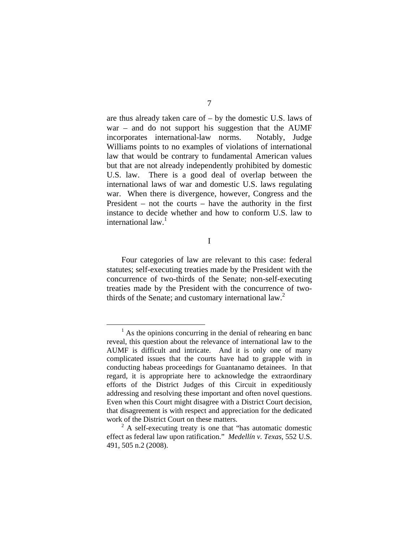are thus already taken care of  $-$  by the domestic U.S. laws of war – and do not support his suggestion that the AUMF incorporates international-law norms. Notably, Judge Williams points to no examples of violations of international law that would be contrary to fundamental American values but that are not already independently prohibited by domestic U.S. law. There is a good deal of overlap between the international laws of war and domestic U.S. laws regulating war. When there is divergence, however, Congress and the President – not the courts – have the authority in the first instance to decide whether and how to conform U.S. law to international law. $<sup>1</sup>$ </sup>

I

 Four categories of law are relevant to this case: federal statutes; self-executing treaties made by the President with the concurrence of two-thirds of the Senate; non-self-executing treaties made by the President with the concurrence of twothirds of the Senate; and customary international  $law^2$ .

 $\frac{1}{1}$  $<sup>1</sup>$  As the opinions concurring in the denial of rehearing en banc</sup> reveal, this question about the relevance of international law to the AUMF is difficult and intricate. And it is only one of many complicated issues that the courts have had to grapple with in conducting habeas proceedings for Guantanamo detainees. In that regard, it is appropriate here to acknowledge the extraordinary efforts of the District Judges of this Circuit in expeditiously addressing and resolving these important and often novel questions. Even when this Court might disagree with a District Court decision, that disagreement is with respect and appreciation for the dedicated work of the District Court on these matters.

 $2^2$  A self-executing treaty is one that "has automatic domestic effect as federal law upon ratification." *Medellín v. Texas*, 552 U.S. 491, 505 n.2 (2008).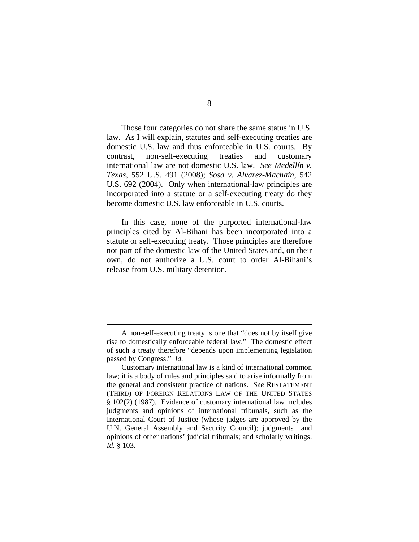Those four categories do not share the same status in U.S. law. As I will explain, statutes and self-executing treaties are domestic U.S. law and thus enforceable in U.S. courts. By contrast, non-self-executing treaties and customary international law are not domestic U.S. law. *See Medellín v. Texas*, 552 U.S. 491 (2008); *Sosa v. Alvarez-Machain*, 542 U.S. 692 (2004). Only when international-law principles are incorporated into a statute or a self-executing treaty do they become domestic U.S. law enforceable in U.S. courts.

In this case, none of the purported international-law principles cited by Al-Bihani has been incorporated into a statute or self-executing treaty. Those principles are therefore not part of the domestic law of the United States and, on their own, do not authorize a U.S. court to order Al-Bihani's release from U.S. military detention.

A non-self-executing treaty is one that "does not by itself give rise to domestically enforceable federal law." The domestic effect of such a treaty therefore "depends upon implementing legislation passed by Congress." *Id.*

Customary international law is a kind of international common law; it is a body of rules and principles said to arise informally from the general and consistent practice of nations. *See* RESTATEMENT (THIRD) OF FOREIGN RELATIONS LAW OF THE UNITED STATES § 102(2) (1987). Evidence of customary international law includes judgments and opinions of international tribunals, such as the International Court of Justice (whose judges are approved by the U.N. General Assembly and Security Council); judgments and opinions of other nations' judicial tribunals; and scholarly writings. *Id.* § 103.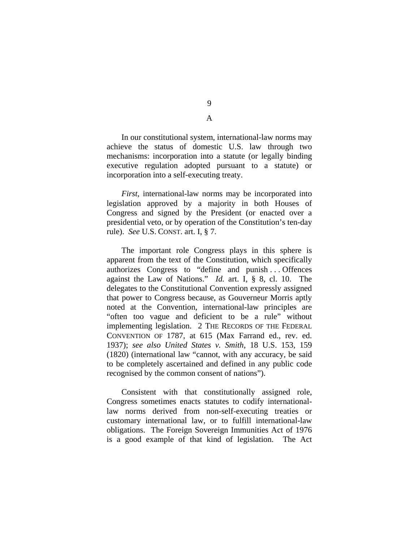A

9

 In our constitutional system, international-law norms may achieve the status of domestic U.S. law through two mechanisms: incorporation into a statute (or legally binding executive regulation adopted pursuant to a statute) or incorporation into a self-executing treaty.

*First*, international-law norms may be incorporated into legislation approved by a majority in both Houses of Congress and signed by the President (or enacted over a presidential veto, or by operation of the Constitution's ten-day rule). *See* U.S. CONST. art. I, § 7.

The important role Congress plays in this sphere is apparent from the text of the Constitution, which specifically authorizes Congress to "define and punish ... Offences against the Law of Nations." *Id.* art. I, § 8, cl. 10. The delegates to the Constitutional Convention expressly assigned that power to Congress because, as Gouverneur Morris aptly noted at the Convention, international-law principles are "often too vague and deficient to be a rule" without implementing legislation. 2 THE RECORDS OF THE FEDERAL CONVENTION OF 1787, at 615 (Max Farrand ed., rev. ed. 1937); *see also United States v. Smith*, 18 U.S. 153, 159 (1820) (international law "cannot, with any accuracy, be said to be completely ascertained and defined in any public code recognised by the common consent of nations").

Consistent with that constitutionally assigned role, Congress sometimes enacts statutes to codify internationallaw norms derived from non-self-executing treaties or customary international law, or to fulfill international-law obligations. The Foreign Sovereign Immunities Act of 1976 is a good example of that kind of legislation. The Act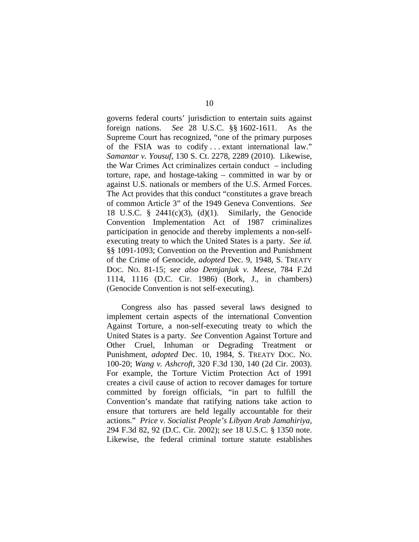governs federal courts' jurisdiction to entertain suits against foreign nations. *See* 28 U.S.C. §§ 1602-1611. As the Supreme Court has recognized, "one of the primary purposes of the FSIA was to codify . . . extant international law." *Samantar v. Yousuf*, 130 S. Ct. 2278, 2289 (2010). Likewise, the War Crimes Act criminalizes certain conduct – including torture, rape, and hostage-taking – committed in war by or against U.S. nationals or members of the U.S. Armed Forces. The Act provides that this conduct "constitutes a grave breach of common Article 3" of the 1949 Geneva Conventions. *See* 18 U.S.C. § 2441(c)(3), (d)(1). Similarly, the Genocide Convention Implementation Act of 1987 criminalizes participation in genocide and thereby implements a non-selfexecuting treaty to which the United States is a party. *See id.* §§ 1091-1093; Convention on the Prevention and Punishment of the Crime of Genocide, *adopted* Dec. 9, 1948, S. TREATY DOC. NO. 81-15; *see also Demjanjuk v. Meese*, 784 F.2d 1114, 1116 (D.C. Cir. 1986) (Bork, J., in chambers) (Genocide Convention is not self-executing).

Congress also has passed several laws designed to implement certain aspects of the international Convention Against Torture, a non-self-executing treaty to which the United States is a party. *See* Convention Against Torture and Other Cruel, Inhuman or Degrading Treatment or Punishment, *adopted* Dec. 10, 1984, S. TREATY DOC. NO. 100-20; *Wang v. Ashcroft*, 320 F.3d 130, 140 (2d Cir. 2003). For example, the Torture Victim Protection Act of 1991 creates a civil cause of action to recover damages for torture committed by foreign officials, "in part to fulfill the Convention's mandate that ratifying nations take action to ensure that torturers are held legally accountable for their actions." *Price v. Socialist People's Libyan Arab Jamahiriya*, 294 F.3d 82, 92 (D.C. Cir. 2002); *see* 18 U.S.C. § 1350 note. Likewise, the federal criminal torture statute establishes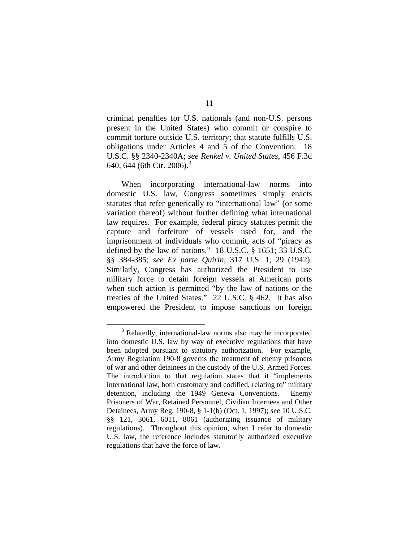criminal penalties for U.S. nationals (and non-U.S. persons present in the United States) who commit or conspire to commit torture outside U.S. territory; that statute fulfills U.S. obligations under Articles 4 and 5 of the Convention. 18 U.S.C. §§ 2340-2340A; *see Renkel v. United States*, 456 F.3d 640, 644 (6th Cir. 2006).<sup>3</sup>

When incorporating international-law norms into domestic U.S. law, Congress sometimes simply enacts statutes that refer generically to "international law" (or some variation thereof) without further defining what international law requires. For example, federal piracy statutes permit the capture and forfeiture of vessels used for, and the imprisonment of individuals who commit, acts of "piracy as defined by the law of nations." 18 U.S.C. § 1651; 33 U.S.C. §§ 384-385; *see Ex parte Quirin*, 317 U.S. 1, 29 (1942). Similarly, Congress has authorized the President to use military force to detain foreign vessels at American ports when such action is permitted "by the law of nations or the treaties of the United States." 22 U.S.C. § 462. It has also empowered the President to impose sanctions on foreign

 $\frac{1}{3}$ <sup>3</sup> Relatedly, international-law norms also may be incorporated into domestic U.S. law by way of executive regulations that have been adopted pursuant to statutory authorization. For example, Army Regulation 190-8 governs the treatment of enemy prisoners of war and other detainees in the custody of the U.S. Armed Forces. The introduction to that regulation states that it "implements international law, both customary and codified, relating to" military detention, including the 1949 Geneva Conventions. Enemy Prisoners of War, Retained Personnel, Civilian Internees and Other Detainees, Army Reg. 190-8, § 1-1(b) (Oct. 1, 1997); *see* 10 U.S.C. §§ 121, 3061, 6011, 8061 (authorizing issuance of military regulations). Throughout this opinion, when I refer to domestic U.S. law, the reference includes statutorily authorized executive regulations that have the force of law.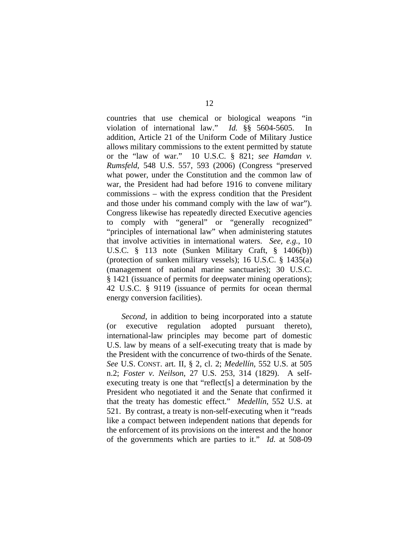countries that use chemical or biological weapons "in violation of international law." *Id.* §§ 5604-5605. In addition, Article 21 of the Uniform Code of Military Justice allows military commissions to the extent permitted by statute or the "law of war." 10 U.S.C. § 821; *see Hamdan v. Rumsfeld*, 548 U.S. 557, 593 (2006) (Congress "preserved what power, under the Constitution and the common law of war, the President had had before 1916 to convene military commissions – with the express condition that the President and those under his command comply with the law of war"). Congress likewise has repeatedly directed Executive agencies to comply with "general" or "generally recognized" "principles of international law" when administering statutes that involve activities in international waters. *See, e.g.*, 10 U.S.C. § 113 note (Sunken Military Craft, § 1406(b)) (protection of sunken military vessels); 16 U.S.C. § 1435(a) (management of national marine sanctuaries); 30 U.S.C. § 1421 (issuance of permits for deepwater mining operations); 42 U.S.C. § 9119 (issuance of permits for ocean thermal energy conversion facilities).

*Second*, in addition to being incorporated into a statute (or executive regulation adopted pursuant thereto), international-law principles may become part of domestic U.S. law by means of a self-executing treaty that is made by the President with the concurrence of two-thirds of the Senate. *See* U.S. CONST. art. II, § 2, cl. 2; *Medellín*, 552 U.S. at 505 n.2; *Foster v. Neilson*, 27 U.S. 253, 314 (1829). A selfexecuting treaty is one that "reflect[s] a determination by the President who negotiated it and the Senate that confirmed it that the treaty has domestic effect." *Medellín*, 552 U.S. at 521. By contrast, a treaty is non-self-executing when it "reads like a compact between independent nations that depends for the enforcement of its provisions on the interest and the honor of the governments which are parties to it." *Id.* at 508-09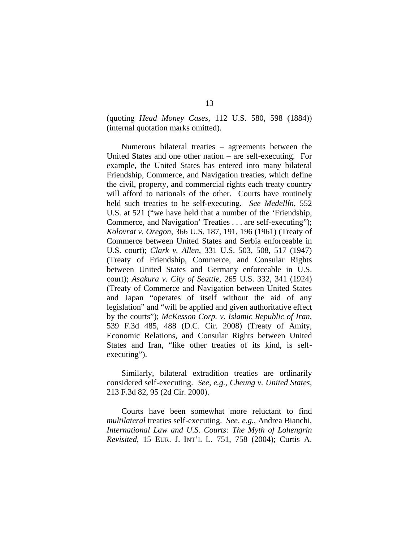## (quoting *Head Money Cases*, 112 U.S. 580, 598 (1884)) (internal quotation marks omitted).

Numerous bilateral treaties – agreements between the United States and one other nation – are self-executing. For example, the United States has entered into many bilateral Friendship, Commerce, and Navigation treaties, which define the civil, property, and commercial rights each treaty country will afford to nationals of the other. Courts have routinely held such treaties to be self-executing. *See Medellín*, 552 U.S. at 521 ("we have held that a number of the 'Friendship, Commerce, and Navigation' Treaties . . . are self-executing"); *Kolovrat v. Oregon*, 366 U.S. 187, 191, 196 (1961) (Treaty of Commerce between United States and Serbia enforceable in U.S. court); *Clark v. Allen*, 331 U.S. 503, 508, 517 (1947) (Treaty of Friendship, Commerce, and Consular Rights between United States and Germany enforceable in U.S. court); *Asakura v. City of Seattle*, 265 U.S. 332, 341 (1924) (Treaty of Commerce and Navigation between United States and Japan "operates of itself without the aid of any legislation" and "will be applied and given authoritative effect by the courts"); *McKesson Corp. v. Islamic Republic of Iran*, 539 F.3d 485, 488 (D.C. Cir. 2008) (Treaty of Amity, Economic Relations, and Consular Rights between United States and Iran, "like other treaties of its kind, is selfexecuting").

Similarly, bilateral extradition treaties are ordinarily considered self-executing. *See, e.g.*, *Cheung v. United States*, 213 F.3d 82, 95 (2d Cir. 2000).

Courts have been somewhat more reluctant to find *multilateral* treaties self-executing. *See, e.g.*, Andrea Bianchi, *International Law and U.S. Courts: The Myth of Lohengrin Revisited*, 15 EUR. J. INT'L L. 751, 758 (2004); Curtis A.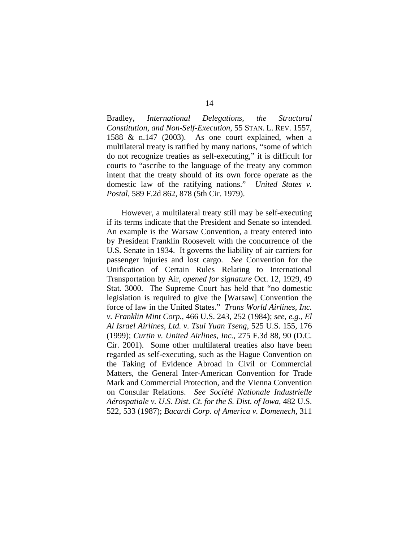Bradley, *International Delegations, the Structural Constitution, and Non-Self-Execution*, 55 STAN. L. REV. 1557, 1588 & n.147 (2003). As one court explained, when a multilateral treaty is ratified by many nations, "some of which do not recognize treaties as self-executing," it is difficult for courts to "ascribe to the language of the treaty any common intent that the treaty should of its own force operate as the domestic law of the ratifying nations." *United States v. Postal*, 589 F.2d 862, 878 (5th Cir. 1979).

However, a multilateral treaty still may be self-executing if its terms indicate that the President and Senate so intended. An example is the Warsaw Convention, a treaty entered into by President Franklin Roosevelt with the concurrence of the U.S. Senate in 1934. It governs the liability of air carriers for passenger injuries and lost cargo. *See* Convention for the Unification of Certain Rules Relating to International Transportation by Air, *opened for signature* Oct. 12, 1929, 49 Stat. 3000. The Supreme Court has held that "no domestic legislation is required to give the [Warsaw] Convention the force of law in the United States." *Trans World Airlines, Inc. v. Franklin Mint Corp.*, 466 U.S. 243, 252 (1984); *see, e.g.*, *El Al Israel Airlines, Ltd. v. Tsui Yuan Tseng*, 525 U.S. 155, 176 (1999); *Curtin v. United Airlines, Inc.*, 275 F.3d 88, 90 (D.C. Cir. 2001). Some other multilateral treaties also have been regarded as self-executing, such as the Hague Convention on the Taking of Evidence Abroad in Civil or Commercial Matters, the General Inter-American Convention for Trade Mark and Commercial Protection, and the Vienna Convention on Consular Relations. *See Société Nationale Industrielle Aérospatiale v. U.S. Dist. Ct. for the S. Dist. of Iowa*, 482 U.S. 522, 533 (1987); *Bacardi Corp. of America v. Domenech*, 311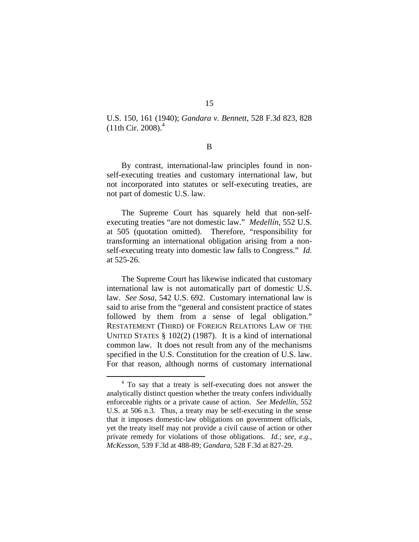U.S. 150, 161 (1940); *Gandara v. Bennett*, 528 F.3d 823, 828  $(11th$  Cir. 2008).<sup>4</sup>

B

By contrast, international-law principles found in nonself-executing treaties and customary international law, but not incorporated into statutes or self-executing treaties, are not part of domestic U.S. law.

The Supreme Court has squarely held that non-selfexecuting treaties "are not domestic law." *Medellín*, 552 U.S. at 505 (quotation omitted). Therefore, "responsibility for transforming an international obligation arising from a nonself-executing treaty into domestic law falls to Congress." *Id.* at 525-26.

The Supreme Court has likewise indicated that customary international law is not automatically part of domestic U.S. law. *See Sosa*, 542 U.S. 692. Customary international law is said to arise from the "general and consistent practice of states followed by them from a sense of legal obligation." RESTATEMENT (THIRD) OF FOREIGN RELATIONS LAW OF THE UNITED STATES § 102(2) (1987). It is a kind of international common law. It does not result from any of the mechanisms specified in the U.S. Constitution for the creation of U.S. law. For that reason, although norms of customary international

 $\overline{a}$ <sup>4</sup> To say that a treaty is self-executing does not answer the analytically distinct question whether the treaty confers individually enforceable rights or a private cause of action. *See Medellín*, 552 U.S. at 506 n.3. Thus, a treaty may be self-executing in the sense that it imposes domestic-law obligations on government officials, yet the treaty itself may not provide a civil cause of action or other private remedy for violations of those obligations. *Id.*; *see, e.g.*, *McKesson*, 539 F.3d at 488-89; *Gandara*, 528 F.3d at 827-29.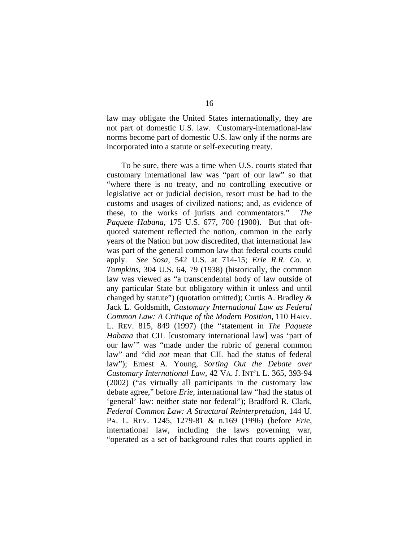law may obligate the United States internationally, they are not part of domestic U.S. law. Customary-international-law norms become part of domestic U.S. law only if the norms are incorporated into a statute or self-executing treaty.

To be sure, there was a time when U.S. courts stated that customary international law was "part of our law" so that "where there is no treaty, and no controlling executive or legislative act or judicial decision, resort must be had to the customs and usages of civilized nations; and, as evidence of these, to the works of jurists and commentators." *The Paquete Habana*, 175 U.S. 677, 700 (1900). But that oftquoted statement reflected the notion, common in the early years of the Nation but now discredited, that international law was part of the general common law that federal courts could apply. *See Sosa*, 542 U.S. at 714-15; *Erie R.R. Co. v. Tompkins*, 304 U.S. 64, 79 (1938) (historically, the common law was viewed as "a transcendental body of law outside of any particular State but obligatory within it unless and until changed by statute") (quotation omitted); Curtis A. Bradley & Jack L. Goldsmith, *Customary International Law as Federal Common Law: A Critique of the Modern Position*, 110 HARV. L. REV. 815, 849 (1997) (the "statement in *The Paquete Habana* that CIL [customary international law] was 'part of our law'" was "made under the rubric of general common law" and "did *not* mean that CIL had the status of federal law"); Ernest A. Young, *Sorting Out the Debate over Customary International Law*, 42 VA. J. INT'L L. 365, 393-94 (2002) ("as virtually all participants in the customary law debate agree," before *Erie*, international law "had the status of 'general' law: neither state nor federal"); Bradford R. Clark, *Federal Common Law: A Structural Reinterpretation*, 144 U. PA. L. REV. 1245, 1279-81 & n.169 (1996) (before *Erie*, international law, including the laws governing war, "operated as a set of background rules that courts applied in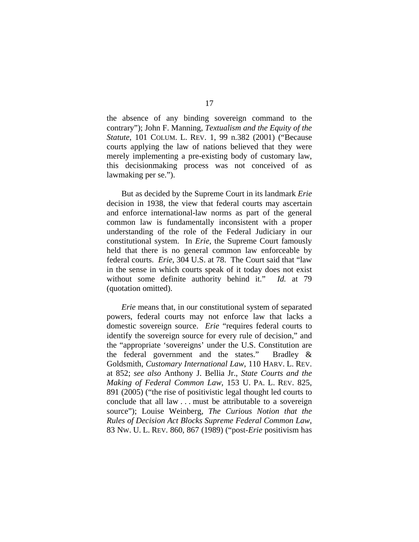the absence of any binding sovereign command to the contrary"); John F. Manning, *Textualism and the Equity of the Statute*, 101 COLUM. L. REV. 1, 99 n.382 (2001) ("Because courts applying the law of nations believed that they were merely implementing a pre-existing body of customary law, this decisionmaking process was not conceived of as lawmaking per se.").

But as decided by the Supreme Court in its landmark *Erie* decision in 1938, the view that federal courts may ascertain and enforce international-law norms as part of the general common law is fundamentally inconsistent with a proper understanding of the role of the Federal Judiciary in our constitutional system. In *Erie*, the Supreme Court famously held that there is no general common law enforceable by federal courts. *Erie*, 304 U.S. at 78. The Court said that "law in the sense in which courts speak of it today does not exist without some definite authority behind it." *Id.* at 79 (quotation omitted).

*Erie* means that, in our constitutional system of separated powers, federal courts may not enforce law that lacks a domestic sovereign source. *Erie* "requires federal courts to identify the sovereign source for every rule of decision," and the "appropriate 'sovereigns' under the U.S. Constitution are the federal government and the states." Bradley & Goldsmith, *Customary International Law*, 110 HARV. L. REV. at 852; *see also* Anthony J. Bellia Jr., *State Courts and the Making of Federal Common Law*, 153 U. PA. L. REV. 825, 891 (2005) ("the rise of positivistic legal thought led courts to conclude that all law . . . must be attributable to a sovereign source"); Louise Weinberg, *The Curious Notion that the Rules of Decision Act Blocks Supreme Federal Common Law*, 83 NW. U. L. REV. 860, 867 (1989) ("post-*Erie* positivism has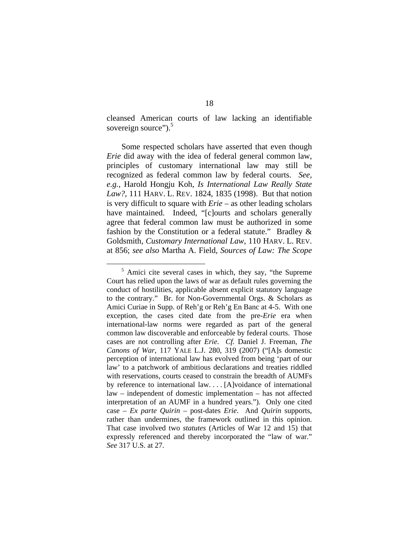cleansed American courts of law lacking an identifiable sovereign source").<sup>5</sup>

Some respected scholars have asserted that even though *Erie* did away with the idea of federal general common law, principles of customary international law may still be recognized as federal common law by federal courts. *See, e.g.*, Harold Hongju Koh, *Is International Law Really State Law?*, 111 HARV. L. REV. 1824, 1835 (1998). But that notion is very difficult to square with *Erie* – as other leading scholars have maintained. Indeed, "[c]ourts and scholars generally agree that federal common law must be authorized in some fashion by the Constitution or a federal statute." Bradley & Goldsmith, *Customary International Law*, 110 HARV. L. REV. at 856; *see also* Martha A. Field, *Sources of Law: The Scope* 

 $rac{1}{5}$  $<sup>5</sup>$  Amici cite several cases in which, they say, "the Supreme"</sup> Court has relied upon the laws of war as default rules governing the conduct of hostilities, applicable absent explicit statutory language to the contrary." Br. for Non-Governmental Orgs. & Scholars as Amici Curiae in Supp. of Reh'g or Reh'g En Banc at 4-5. With one exception, the cases cited date from the pre-*Erie* era when international-law norms were regarded as part of the general common law discoverable and enforceable by federal courts. Those cases are not controlling after *Erie*. *Cf.* Daniel J. Freeman, *The Canons of War*, 117 YALE L.J. 280, 319 (2007) ("[A]s domestic perception of international law has evolved from being 'part of our law' to a patchwork of ambitious declarations and treaties riddled with reservations, courts ceased to constrain the breadth of AUMFs by reference to international law. . . . [A]voidance of international law – independent of domestic implementation – has not affected interpretation of an AUMF in a hundred years."). Only one cited case – *Ex parte Quirin* – post-dates *Erie*. And *Quirin* supports, rather than undermines, the framework outlined in this opinion. That case involved two *statutes* (Articles of War 12 and 15) that expressly referenced and thereby incorporated the "law of war." *See* 317 U.S. at 27.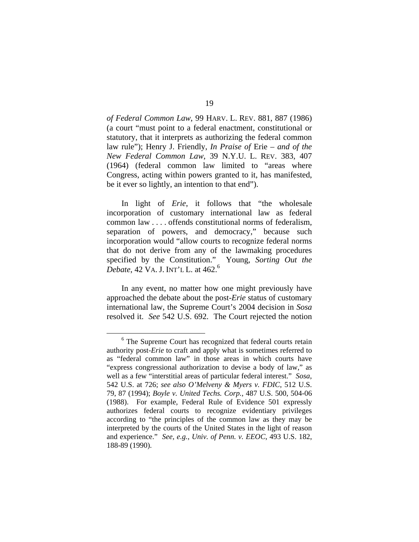*of Federal Common Law*, 99 HARV. L. REV. 881, 887 (1986) (a court "must point to a federal enactment, constitutional or statutory, that it interprets as authorizing the federal common law rule"); Henry J. Friendly, *In Praise of* Erie *– and of the New Federal Common Law*, 39 N.Y.U. L. REV. 383, 407 (1964) (federal common law limited to "areas where Congress, acting within powers granted to it, has manifested, be it ever so lightly, an intention to that end").

In light of *Erie*, it follows that "the wholesale incorporation of customary international law as federal common law . . . . offends constitutional norms of federalism, separation of powers, and democracy," because such incorporation would "allow courts to recognize federal norms that do not derive from any of the lawmaking procedures specified by the Constitution." Young, *Sorting Out the Debate*, 42 VA. J. INT'L L. at 462.<sup>6</sup>

In any event, no matter how one might previously have approached the debate about the post-*Erie* status of customary international law, the Supreme Court's 2004 decision in *Sosa* resolved it. *See* 542 U.S. 692. The Court rejected the notion

 <sup>6</sup>  $6$  The Supreme Court has recognized that federal courts retain authority post-*Erie* to craft and apply what is sometimes referred to as "federal common law" in those areas in which courts have "express congressional authorization to devise a body of law," as well as a few "interstitial areas of particular federal interest." *Sosa*, 542 U.S. at 726; *see also O'Melveny & Myers v. FDIC*, 512 U.S. 79, 87 (1994); *Boyle v. United Techs. Corp.*, 487 U.S. 500, 504-06 (1988). For example, Federal Rule of Evidence 501 expressly authorizes federal courts to recognize evidentiary privileges according to "the principles of the common law as they may be interpreted by the courts of the United States in the light of reason and experience." *See, e.g.*, *Univ. of Penn. v. EEOC*, 493 U.S. 182, 188-89 (1990).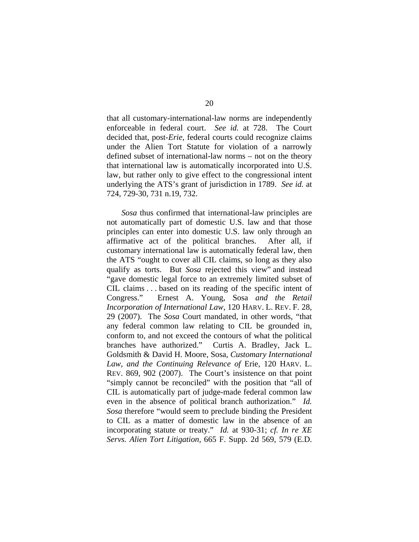that all customary-international-law norms are independently enforceable in federal court. *See id.* at 728. The Court decided that, post-*Erie*, federal courts could recognize claims under the Alien Tort Statute for violation of a narrowly defined subset of international-law norms – not on the theory that international law is automatically incorporated into U.S. law, but rather only to give effect to the congressional intent underlying the ATS's grant of jurisdiction in 1789. *See id.* at 724, 729-30, 731 n.19, 732.

*Sosa* thus confirmed that international-law principles are not automatically part of domestic U.S. law and that those principles can enter into domestic U.S. law only through an affirmative act of the political branches. After all, if customary international law is automatically federal law, then the ATS "ought to cover all CIL claims, so long as they also qualify as torts. But *Sosa* rejected this view" and instead "gave domestic legal force to an extremely limited subset of CIL claims . . . based on its reading of the specific intent of Congress." Ernest A. Young, Sosa *and the Retail Incorporation of International Law*, 120 HARV. L. REV. F. 28, 29 (2007). The *Sosa* Court mandated, in other words, "that any federal common law relating to CIL be grounded in, conform to, and not exceed the contours of what the political branches have authorized." Curtis A. Bradley, Jack L. Goldsmith & David H. Moore, Sosa*, Customary International Law, and the Continuing Relevance of* Erie, 120 HARV. L. REV. 869, 902 (2007). The Court's insistence on that point "simply cannot be reconciled" with the position that "all of CIL is automatically part of judge-made federal common law even in the absence of political branch authorization." *Id. Sosa* therefore "would seem to preclude binding the President to CIL as a matter of domestic law in the absence of an incorporating statute or treaty." *Id.* at 930-31; *cf. In re XE Servs. Alien Tort Litigation*, 665 F. Supp. 2d 569, 579 (E.D.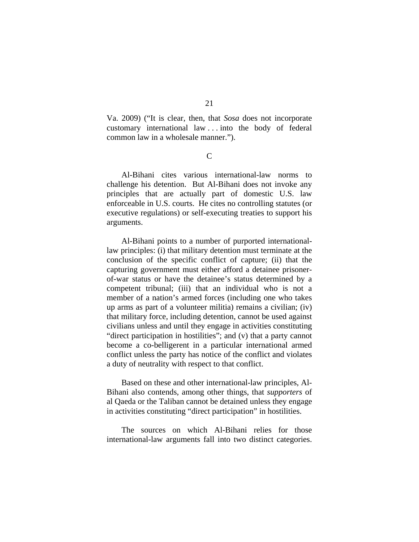Va. 2009) ("It is clear, then, that *Sosa* does not incorporate customary international law . . . into the body of federal common law in a wholesale manner.").

 $\overline{C}$ 

Al-Bihani cites various international-law norms to challenge his detention. But Al-Bihani does not invoke any principles that are actually part of domestic U.S. law enforceable in U.S. courts. He cites no controlling statutes (or executive regulations) or self-executing treaties to support his arguments.

Al-Bihani points to a number of purported internationallaw principles: (i) that military detention must terminate at the conclusion of the specific conflict of capture; (ii) that the capturing government must either afford a detainee prisonerof-war status or have the detainee's status determined by a competent tribunal; (iii) that an individual who is not a member of a nation's armed forces (including one who takes up arms as part of a volunteer militia) remains a civilian; (iv) that military force, including detention, cannot be used against civilians unless and until they engage in activities constituting "direct participation in hostilities"; and (v) that a party cannot become a co-belligerent in a particular international armed conflict unless the party has notice of the conflict and violates a duty of neutrality with respect to that conflict.

Based on these and other international-law principles, Al-Bihani also contends, among other things, that *supporters* of al Qaeda or the Taliban cannot be detained unless they engage in activities constituting "direct participation" in hostilities.

The sources on which Al-Bihani relies for those international-law arguments fall into two distinct categories.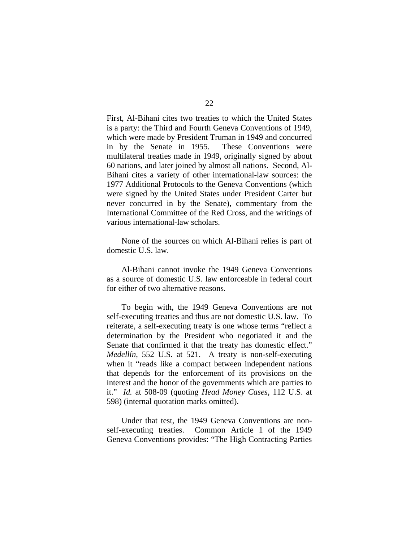First, Al-Bihani cites two treaties to which the United States is a party: the Third and Fourth Geneva Conventions of 1949, which were made by President Truman in 1949 and concurred in by the Senate in 1955. These Conventions were multilateral treaties made in 1949, originally signed by about 60 nations, and later joined by almost all nations. Second, Al-Bihani cites a variety of other international-law sources: the 1977 Additional Protocols to the Geneva Conventions (which were signed by the United States under President Carter but never concurred in by the Senate), commentary from the International Committee of the Red Cross, and the writings of various international-law scholars.

None of the sources on which Al-Bihani relies is part of domestic U.S. law.

Al-Bihani cannot invoke the 1949 Geneva Conventions as a source of domestic U.S. law enforceable in federal court for either of two alternative reasons.

To begin with, the 1949 Geneva Conventions are not self-executing treaties and thus are not domestic U.S. law. To reiterate, a self-executing treaty is one whose terms "reflect a determination by the President who negotiated it and the Senate that confirmed it that the treaty has domestic effect." *Medellín*, 552 U.S. at 521. A treaty is non-self-executing when it "reads like a compact between independent nations that depends for the enforcement of its provisions on the interest and the honor of the governments which are parties to it." *Id.* at 508-09 (quoting *Head Money Cases*, 112 U.S. at 598) (internal quotation marks omitted).

Under that test, the 1949 Geneva Conventions are nonself-executing treaties. Common Article 1 of the 1949 Geneva Conventions provides: "The High Contracting Parties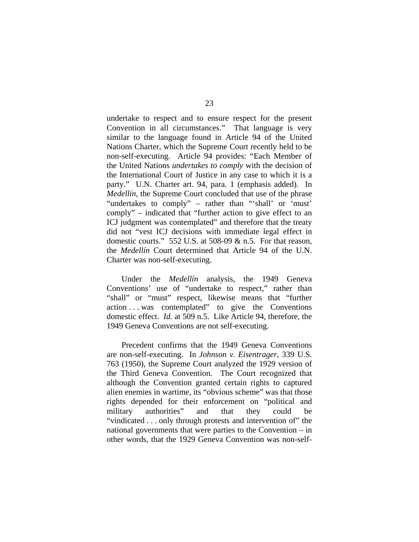undertake to respect and to ensure respect for the present Convention in all circumstances." That language is very similar to the language found in Article 94 of the United Nations Charter, which the Supreme Court recently held to be non-self-executing. Article 94 provides: "Each Member of the United Nations *undertakes to comply* with the decision of the International Court of Justice in any case to which it is a party." U.N. Charter art. 94, para. 1 (emphasis added). In *Medellín*, the Supreme Court concluded that use of the phrase "undertakes to comply" – rather than "'shall' or 'must' comply" – indicated that "further action to give effect to an ICJ judgment was contemplated" and therefore that the treaty did not "vest ICJ decisions with immediate legal effect in domestic courts." 552 U.S. at 508-09 & n.5. For that reason, the *Medellín* Court determined that Article 94 of the U.N. Charter was non-self-executing.

Under the *Medellín* analysis, the 1949 Geneva Conventions' use of "undertake to respect," rather than "shall" or "must" respect, likewise means that "further action . . . was contemplated" to give the Conventions domestic effect. *Id.* at 509 n.5. Like Article 94, therefore, the 1949 Geneva Conventions are not self-executing.

Precedent confirms that the 1949 Geneva Conventions are non-self-executing. In *Johnson v. Eisentrager*, 339 U.S. 763 (1950), the Supreme Court analyzed the 1929 version of the Third Geneva Convention. The Court recognized that although the Convention granted certain rights to captured alien enemies in wartime, its "obvious scheme" was that those rights depended for their enforcement on "political and military authorities" and that they could be "vindicated . . . only through protests and intervention of" the national governments that were parties to the Convention – in other words, that the 1929 Geneva Convention was non-self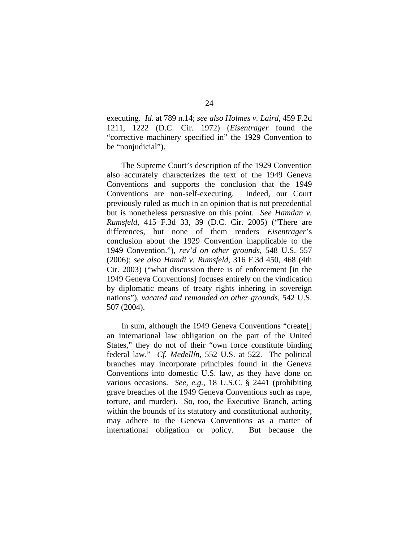executing. *Id.* at 789 n.14; *see also Holmes v. Laird*, 459 F.2d 1211, 1222 (D.C. Cir. 1972) (*Eisentrager* found the "corrective machinery specified in" the 1929 Convention to be "nonjudicial").

The Supreme Court's description of the 1929 Convention also accurately characterizes the text of the 1949 Geneva Conventions and supports the conclusion that the 1949 Conventions are non-self-executing. Indeed, our Court previously ruled as much in an opinion that is not precedential but is nonetheless persuasive on this point. *See Hamdan v. Rumsfeld*, 415 F.3d 33, 39 (D.C. Cir. 2005) ("There are differences, but none of them renders *Eisentrager*'s conclusion about the 1929 Convention inapplicable to the 1949 Convention."), *rev'd on other grounds*, 548 U.S. 557 (2006); *see also Hamdi v. Rumsfeld*, 316 F.3d 450, 468 (4th Cir. 2003) ("what discussion there is of enforcement [in the 1949 Geneva Conventions] focuses entirely on the vindication by diplomatic means of treaty rights inhering in sovereign nations"), *vacated and remanded on other grounds*, 542 U.S. 507 (2004).

In sum, although the 1949 Geneva Conventions "create[] an international law obligation on the part of the United States," they do not of their "own force constitute binding federal law." *Cf. Medellín*, 552 U.S. at 522. The political branches may incorporate principles found in the Geneva Conventions into domestic U.S. law, as they have done on various occasions. *See, e.g.*, 18 U.S.C. § 2441 (prohibiting grave breaches of the 1949 Geneva Conventions such as rape, torture, and murder). So, too, the Executive Branch, acting within the bounds of its statutory and constitutional authority, may adhere to the Geneva Conventions as a matter of international obligation or policy. But because the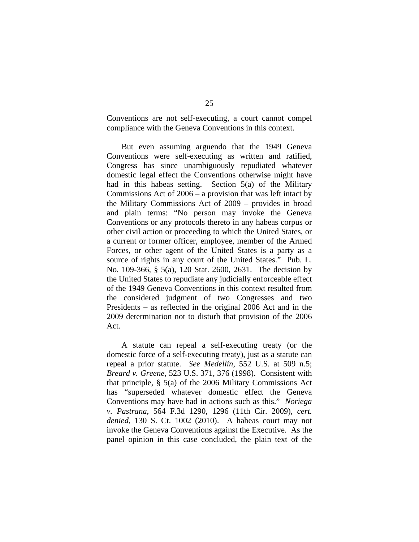Conventions are not self-executing, a court cannot compel compliance with the Geneva Conventions in this context.

But even assuming arguendo that the 1949 Geneva Conventions were self-executing as written and ratified, Congress has since unambiguously repudiated whatever domestic legal effect the Conventions otherwise might have had in this habeas setting. Section 5(a) of the Military Commissions Act of 2006 – a provision that was left intact by the Military Commissions Act of 2009 – provides in broad and plain terms: "No person may invoke the Geneva Conventions or any protocols thereto in any habeas corpus or other civil action or proceeding to which the United States, or a current or former officer, employee, member of the Armed Forces, or other agent of the United States is a party as a source of rights in any court of the United States." Pub. L. No. 109-366, § 5(a), 120 Stat. 2600, 2631. The decision by the United States to repudiate any judicially enforceable effect of the 1949 Geneva Conventions in this context resulted from the considered judgment of two Congresses and two Presidents – as reflected in the original 2006 Act and in the 2009 determination not to disturb that provision of the 2006 Act.

A statute can repeal a self-executing treaty (or the domestic force of a self-executing treaty), just as a statute can repeal a prior statute. *See Medellín*, 552 U.S. at 509 n.5; *Breard v. Greene*, 523 U.S. 371, 376 (1998). Consistent with that principle, § 5(a) of the 2006 Military Commissions Act has "superseded whatever domestic effect the Geneva Conventions may have had in actions such as this." *Noriega v. Pastrana*, 564 F.3d 1290, 1296 (11th Cir. 2009), *cert. denied*, 130 S. Ct. 1002 (2010). A habeas court may not invoke the Geneva Conventions against the Executive. As the panel opinion in this case concluded, the plain text of the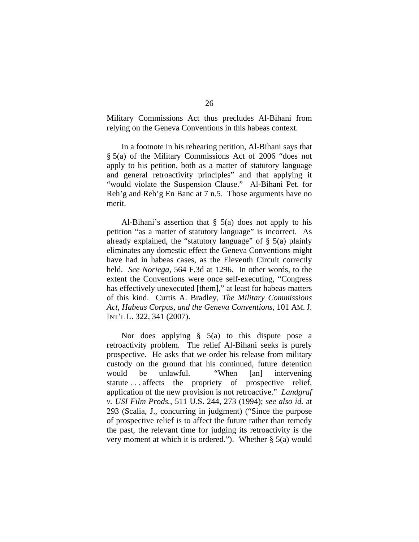Military Commissions Act thus precludes Al-Bihani from relying on the Geneva Conventions in this habeas context.

In a footnote in his rehearing petition, Al-Bihani says that § 5(a) of the Military Commissions Act of 2006 "does not apply to his petition, both as a matter of statutory language and general retroactivity principles" and that applying it "would violate the Suspension Clause." Al-Bihani Pet. for Reh'g and Reh'g En Banc at 7 n.5. Those arguments have no merit.

Al-Bihani's assertion that  $\S$  5(a) does not apply to his petition "as a matter of statutory language" is incorrect. As already explained, the "statutory language" of § 5(a) plainly eliminates any domestic effect the Geneva Conventions might have had in habeas cases, as the Eleventh Circuit correctly held. *See Noriega*, 564 F.3d at 1296. In other words, to the extent the Conventions were once self-executing, "Congress has effectively unexecuted [them]," at least for habeas matters of this kind. Curtis A. Bradley, *The Military Commissions Act, Habeas Corpus, and the Geneva Conventions*, 101 AM. J. INT'L L. 322, 341 (2007).

Nor does applying § 5(a) to this dispute pose a retroactivity problem. The relief Al-Bihani seeks is purely prospective. He asks that we order his release from military custody on the ground that his continued, future detention would be unlawful. "When [an] intervening statute . . . affects the propriety of prospective relief, application of the new provision is not retroactive." *Landgraf v. USI Film Prods.*, 511 U.S. 244, 273 (1994); *see also id.* at 293 (Scalia, J., concurring in judgment) ("Since the purpose of prospective relief is to affect the future rather than remedy the past, the relevant time for judging its retroactivity is the very moment at which it is ordered."). Whether § 5(a) would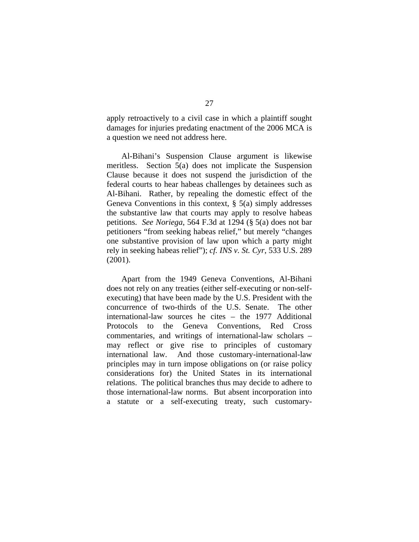apply retroactively to a civil case in which a plaintiff sought damages for injuries predating enactment of the 2006 MCA is a question we need not address here.

Al-Bihani's Suspension Clause argument is likewise meritless. Section 5(a) does not implicate the Suspension Clause because it does not suspend the jurisdiction of the federal courts to hear habeas challenges by detainees such as Al-Bihani. Rather, by repealing the domestic effect of the Geneva Conventions in this context, § 5(a) simply addresses the substantive law that courts may apply to resolve habeas petitions. *See Noriega*, 564 F.3d at 1294 (§ 5(a) does not bar petitioners "from seeking habeas relief," but merely "changes one substantive provision of law upon which a party might rely in seeking habeas relief"); *cf. INS v. St. Cyr*, 533 U.S. 289 (2001).

 Apart from the 1949 Geneva Conventions, Al-Bihani does not rely on any treaties (either self-executing or non-selfexecuting) that have been made by the U.S. President with the concurrence of two-thirds of the U.S. Senate. The other international-law sources he cites – the 1977 Additional Protocols to the Geneva Conventions, Red Cross commentaries, and writings of international-law scholars – may reflect or give rise to principles of customary international law. And those customary-international-law principles may in turn impose obligations on (or raise policy considerations for) the United States in its international relations. The political branches thus may decide to adhere to those international-law norms. But absent incorporation into a statute or a self-executing treaty, such customary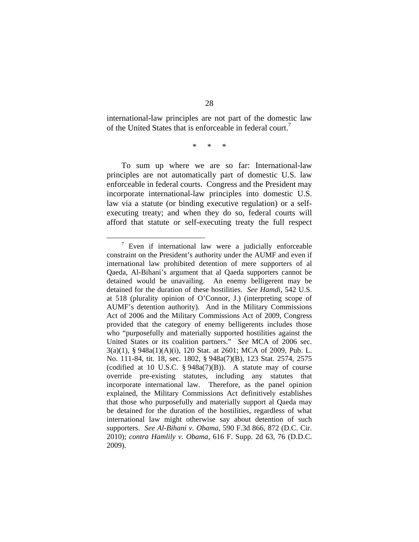international-law principles are not part of the domestic law of the United States that is enforceable in federal court.

\* \* \*

To sum up where we are so far: International-law principles are not automatically part of domestic U.S. law enforceable in federal courts. Congress and the President may incorporate international-law principles into domestic U.S. law via a statute (or binding executive regulation) or a selfexecuting treaty; and when they do so, federal courts will afford that statute or self-executing treaty the full respect

 <sup>7</sup> Even if international law were a judicially enforceable constraint on the President's authority under the AUMF and even if international law prohibited detention of mere supporters of al Qaeda, Al-Bihani's argument that al Qaeda supporters cannot be detained would be unavailing. An enemy belligerent may be detained for the duration of these hostilities. *See Hamdi*, 542 U.S. at 518 (plurality opinion of O'Connor, J.) (interpreting scope of AUMF's detention authority). And in the Military Commissions Act of 2006 and the Military Commissions Act of 2009, Congress provided that the category of enemy belligerents includes those who "purposefully and materially supported hostilities against the United States or its coalition partners." *See* MCA of 2006 sec. 3(a)(1), § 948a(1)(A)(i), 120 Stat. at 2601; MCA of 2009, Pub. L. No. 111-84, tit. 18, sec. 1802, § 948a(7)(B), 123 Stat. 2574, 2575 (codified at 10 U.S.C.  $\S 948a(7)(B)$ ). A statute may of course override pre-existing statutes, including any statutes that incorporate international law. Therefore, as the panel opinion explained, the Military Commissions Act definitively establishes that those who purposefully and materially support al Qaeda may be detained for the duration of the hostilities, regardless of what international law might otherwise say about detention of such supporters. *See Al-Bihani v. Obama*, 590 F.3d 866, 872 (D.C. Cir. 2010); *contra Hamlily v. Obama*, 616 F. Supp. 2d 63, 76 (D.D.C. 2009).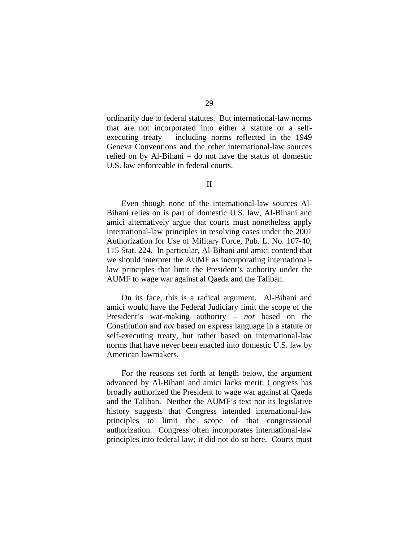ordinarily due to federal statutes. But international-law norms that are not incorporated into either a statute or a selfexecuting treaty – including norms reflected in the 1949 Geneva Conventions and the other international-law sources relied on by Al-Bihani – do not have the status of domestic U.S. law enforceable in federal courts.

 Even though none of the international-law sources Al-Bihani relies on is part of domestic U.S. law, Al-Bihani and amici alternatively argue that courts must nonetheless apply international-law principles in resolving cases under the 2001 Authorization for Use of Military Force, Pub. L. No. 107-40, 115 Stat. 224. In particular, Al-Bihani and amici contend that we should interpret the AUMF as incorporating internationallaw principles that limit the President's authority under the AUMF to wage war against al Qaeda and the Taliban.

 On its face, this is a radical argument. Al-Bihani and amici would have the Federal Judiciary limit the scope of the President's war-making authority – *not* based on the Constitution and *not* based on express language in a statute or self-executing treaty, but rather based on international-law norms that have never been enacted into domestic U.S. law by American lawmakers.

 For the reasons set forth at length below, the argument advanced by Al-Bihani and amici lacks merit: Congress has broadly authorized the President to wage war against al Qaeda and the Taliban. Neither the AUMF's text nor its legislative history suggests that Congress intended international-law principles to limit the scope of that congressional authorization. Congress often incorporates international-law principles into federal law; it did not do so here. Courts must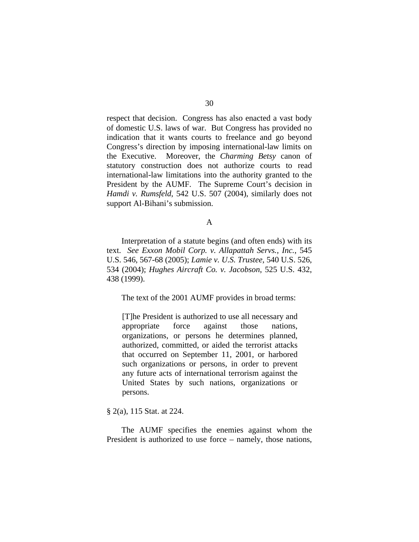respect that decision. Congress has also enacted a vast body of domestic U.S. laws of war. But Congress has provided no indication that it wants courts to freelance and go beyond Congress's direction by imposing international-law limits on the Executive. Moreover, the *Charming Betsy* canon of statutory construction does not authorize courts to read international-law limitations into the authority granted to the President by the AUMF. The Supreme Court's decision in *Hamdi v. Rumsfeld*, 542 U.S. 507 (2004), similarly does not support Al-Bihani's submission.

## A

Interpretation of a statute begins (and often ends) with its text. *See Exxon Mobil Corp. v. Allapattah Servs., Inc.*, 545 U.S. 546, 567-68 (2005); *Lamie v. U.S. Trustee*, 540 U.S. 526, 534 (2004); *Hughes Aircraft Co. v. Jacobson*, 525 U.S. 432, 438 (1999).

The text of the 2001 AUMF provides in broad terms:

[T]he President is authorized to use all necessary and appropriate force against those nations, organizations, or persons he determines planned, authorized, committed, or aided the terrorist attacks that occurred on September 11, 2001, or harbored such organizations or persons, in order to prevent any future acts of international terrorism against the United States by such nations, organizations or persons.

§ 2(a), 115 Stat. at 224.

The AUMF specifies the enemies against whom the President is authorized to use force – namely, those nations,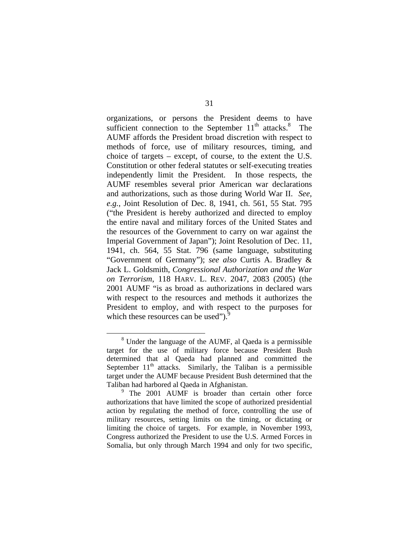organizations, or persons the President deems to have sufficient connection to the September  $11<sup>th</sup>$  attacks.<sup>8</sup> The AUMF affords the President broad discretion with respect to methods of force, use of military resources, timing, and choice of targets – except, of course, to the extent the U.S. Constitution or other federal statutes or self-executing treaties independently limit the President. In those respects, the AUMF resembles several prior American war declarations and authorizations, such as those during World War II. *See, e.g.*, Joint Resolution of Dec. 8, 1941, ch. 561, 55 Stat. 795 ("the President is hereby authorized and directed to employ the entire naval and military forces of the United States and the resources of the Government to carry on war against the Imperial Government of Japan"); Joint Resolution of Dec. 11, 1941, ch. 564, 55 Stat. 796 (same language, substituting "Government of Germany"); *see also* Curtis A. Bradley & Jack L. Goldsmith, *Congressional Authorization and the War on Terrorism*, 118 HARV. L. REV. 2047, 2083 (2005) (the 2001 AUMF "is as broad as authorizations in declared wars with respect to the resources and methods it authorizes the President to employ, and with respect to the purposes for which these resources can be used").<sup>9</sup>

 <sup>8</sup> <sup>8</sup> Under the language of the AUMF, al Qaeda is a permissible target for the use of military force because President Bush determined that al Qaeda had planned and committed the September  $11<sup>th</sup>$  attacks. Similarly, the Taliban is a permissible target under the AUMF because President Bush determined that the Taliban had harbored al Qaeda in Afghanistan.

<sup>&</sup>lt;sup>9</sup> The 2001 AUMF is broader than certain other force authorizations that have limited the scope of authorized presidential action by regulating the method of force, controlling the use of military resources, setting limits on the timing, or dictating or limiting the choice of targets. For example, in November 1993, Congress authorized the President to use the U.S. Armed Forces in Somalia, but only through March 1994 and only for two specific,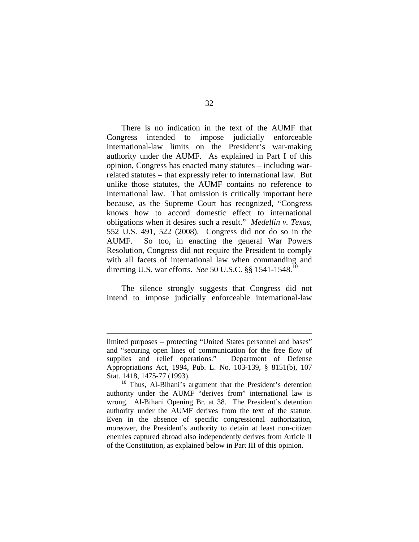There is no indication in the text of the AUMF that Congress intended to impose judicially enforceable international-law limits on the President's war-making authority under the AUMF. As explained in Part I of this opinion, Congress has enacted many statutes – including warrelated statutes – that expressly refer to international law. But unlike those statutes, the AUMF contains no reference to international law. That omission is critically important here because, as the Supreme Court has recognized, "Congress knows how to accord domestic effect to international obligations when it desires such a result." *Medellín v. Texas*, 552 U.S. 491, 522 (2008). Congress did not do so in the AUMF. So too, in enacting the general War Powers Resolution, Congress did not require the President to comply with all facets of international law when commanding and directing U.S. war efforts. *See* 50 U.S.C. §§ 1541-1548.<sup>10</sup>

The silence strongly suggests that Congress did not intend to impose judicially enforceable international-law

 $\overline{a}$ 

limited purposes – protecting "United States personnel and bases" and "securing open lines of communication for the free flow of supplies and relief operations." Department of Defense Appropriations Act, 1994, Pub. L. No. 103-139, § 8151(b), 107 Stat. 1418, 1475-77 (1993).

<sup>&</sup>lt;sup>10</sup> Thus, Al-Bihani's argument that the President's detention authority under the AUMF "derives from" international law is wrong. Al-Bihani Opening Br. at 38. The President's detention authority under the AUMF derives from the text of the statute. Even in the absence of specific congressional authorization, moreover, the President's authority to detain at least non-citizen enemies captured abroad also independently derives from Article II of the Constitution, as explained below in Part III of this opinion.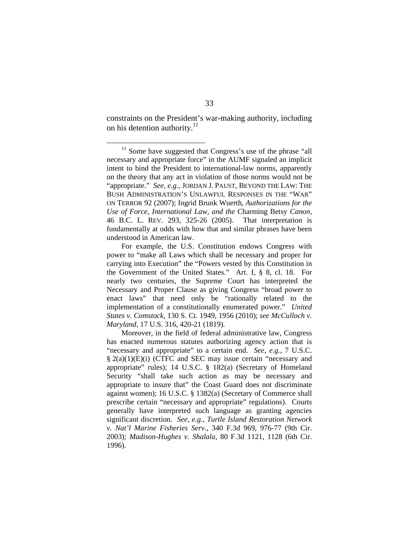constraints on the President's war-making authority, including on his detention authority.<sup>11</sup>

<sup>&</sup>lt;sup>11</sup> Some have suggested that Congress's use of the phrase "all necessary and appropriate force" in the AUMF signaled an implicit intent to bind the President to international-law norms, apparently on the theory that any act in violation of those norms would not be "appropriate." *See, e.g.*, JORDAN J. PAUST, BEYOND THE LAW: THE BUSH ADMINISTRATION'S UNLAWFUL RESPONSES IN THE "WAR" ON TERROR 92 (2007); Ingrid Brunk Wuerth, *Authorizations for the Use of Force, International Law, and the* Charming Betsy *Canon*, 46 B.C. L. REV. 293, 325-26 (2005). That interpretation is fundamentally at odds with how that and similar phrases have been understood in American law.

For example, the U.S. Constitution endows Congress with power to "make all Laws which shall be necessary and proper for carrying into Execution" the "Powers vested by this Constitution in the Government of the United States." Art. I, § 8, cl. 18. For nearly two centuries, the Supreme Court has interpreted the Necessary and Proper Clause as giving Congress "broad power to enact laws" that need only be "rationally related to the implementation of a constitutionally enumerated power." *United States v. Comstock*, 130 S. Ct. 1949, 1956 (2010); *see McCulloch v. Maryland*, 17 U.S. 316, 420-21 (1819).

Moreover, in the field of federal administrative law, Congress has enacted numerous statutes authorizing agency action that is "necessary and appropriate" to a certain end. *See, e.g.*, 7 U.S.C. § 2(a)(1)(E)(i) (CTFC and SEC may issue certain "necessary and appropriate" rules); 14 U.S.C. § 182(a) (Secretary of Homeland Security "shall take such action as may be necessary and appropriate to insure that" the Coast Guard does not discriminate against women); 16 U.S.C. § 1382(a) (Secretary of Commerce shall prescribe certain "necessary and appropriate" regulations). Courts generally have interpreted such language as granting agencies significant discretion. *See, e.g.*, *Turtle Island Restoration Network v. Nat'l Marine Fisheries Serv.*, 340 F.3d 969, 976-77 (9th Cir. 2003); *Madison-Hughes v. Shalala*, 80 F.3d 1121, 1128 (6th Cir. 1996).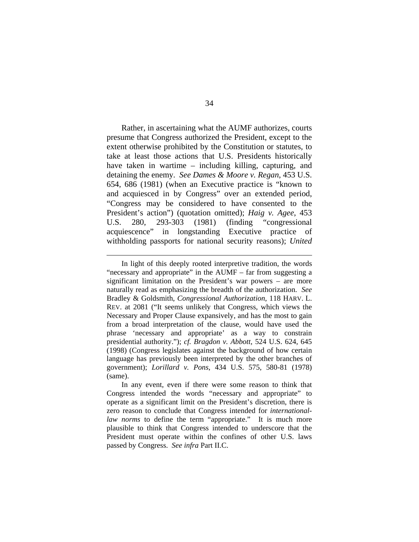Rather, in ascertaining what the AUMF authorizes, courts presume that Congress authorized the President, except to the extent otherwise prohibited by the Constitution or statutes, to take at least those actions that U.S. Presidents historically have taken in wartime – including killing, capturing, and detaining the enemy. *See Dames & Moore v. Regan*, 453 U.S. 654, 686 (1981) (when an Executive practice is "known to and acquiesced in by Congress" over an extended period, "Congress may be considered to have consented to the President's action") (quotation omitted); *Haig v. Agee*, 453 U.S. 280, 293-303 (1981) (finding "congressional acquiescence" in longstanding Executive practice of withholding passports for national security reasons); *United* 

 $\overline{a}$ 

In light of this deeply rooted interpretive tradition, the words "necessary and appropriate" in the AUMF – far from suggesting a significant limitation on the President's war powers – are more naturally read as emphasizing the breadth of the authorization. *See* Bradley & Goldsmith, *Congressional Authorization*, 118 HARV. L. REV. at 2081 ("It seems unlikely that Congress, which views the Necessary and Proper Clause expansively, and has the most to gain from a broad interpretation of the clause, would have used the phrase 'necessary and appropriate' as a way to constrain presidential authority."); *cf. Bragdon v. Abbott*, 524 U.S. 624, 645 (1998) (Congress legislates against the background of how certain language has previously been interpreted by the other branches of government); *Lorillard v. Pons*, 434 U.S. 575, 580-81 (1978) (same).

In any event, even if there were some reason to think that Congress intended the words "necessary and appropriate" to operate as a significant limit on the President's discretion, there is zero reason to conclude that Congress intended for *internationallaw norms* to define the term "appropriate." It is much more plausible to think that Congress intended to underscore that the President must operate within the confines of other U.S. laws passed by Congress. *See infra* Part II.C.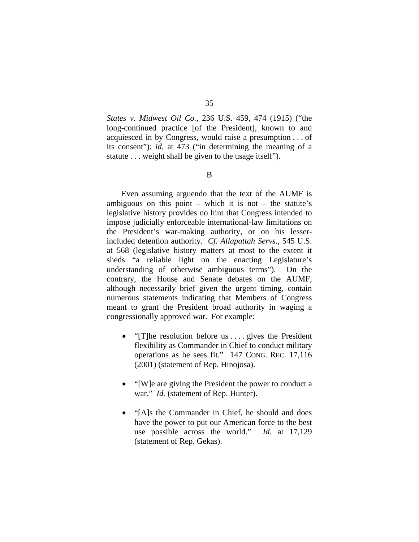*States v. Midwest Oil Co.*, 236 U.S. 459, 474 (1915) ("the long-continued practice [of the President], known to and acquiesced in by Congress, would raise a presumption . . . of its consent"); *id.* at 473 ("in determining the meaning of a statute . . . weight shall be given to the usage itself").

## B

 Even assuming arguendo that the text of the AUMF is ambiguous on this point – which it is not – the statute's legislative history provides no hint that Congress intended to impose judicially enforceable international-law limitations on the President's war-making authority, or on his lesserincluded detention authority. *Cf. Allapattah Servs.*, 545 U.S. at 568 (legislative history matters at most to the extent it sheds "a reliable light on the enacting Legislature's understanding of otherwise ambiguous terms"). On the contrary, the House and Senate debates on the AUMF, although necessarily brief given the urgent timing, contain numerous statements indicating that Members of Congress meant to grant the President broad authority in waging a congressionally approved war. For example:

- $\bullet$  "[T]he resolution before us ... gives the President flexibility as Commander in Chief to conduct military operations as he sees fit." 147 CONG. REC. 17,116 (2001) (statement of Rep. Hinojosa).
- "[W]e are giving the President the power to conduct a war." *Id.* (statement of Rep. Hunter).
- "[A]s the Commander in Chief, he should and does have the power to put our American force to the best use possible across the world." *Id.* at 17,129 (statement of Rep. Gekas).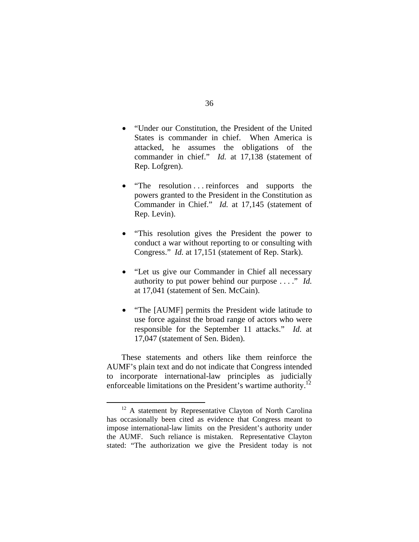- "Under our Constitution, the President of the United States is commander in chief. When America is attacked, he assumes the obligations of the commander in chief." *Id.* at 17,138 (statement of Rep. Lofgren).
- "The resolution . . . reinforces and supports the powers granted to the President in the Constitution as Commander in Chief." *Id.* at 17,145 (statement of Rep. Levin).
- "This resolution gives the President the power to conduct a war without reporting to or consulting with Congress." *Id.* at 17,151 (statement of Rep. Stark).
- "Let us give our Commander in Chief all necessary authority to put power behind our purpose . . . ." *Id.* at 17,041 (statement of Sen. McCain).
- "The [AUMF] permits the President wide latitude to use force against the broad range of actors who were responsible for the September 11 attacks." *Id.* at 17,047 (statement of Sen. Biden).

These statements and others like them reinforce the AUMF's plain text and do not indicate that Congress intended to incorporate international-law principles as judicially enforceable limitations on the President's wartime authority.<sup>12</sup>

<sup>&</sup>lt;sup>12</sup> A statement by Representative Clayton of North Carolina has occasionally been cited as evidence that Congress meant to impose international-law limits on the President's authority under the AUMF. Such reliance is mistaken. Representative Clayton stated: "The authorization we give the President today is not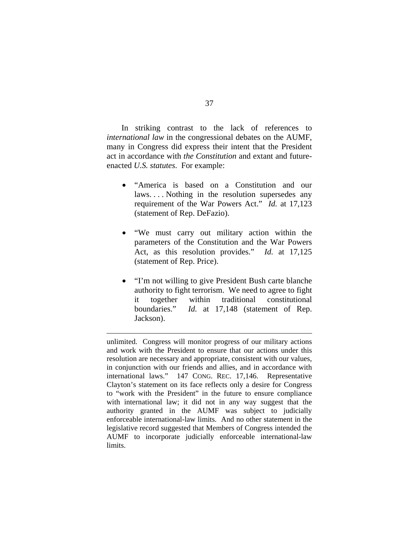In striking contrast to the lack of references to *international law* in the congressional debates on the AUMF, many in Congress did express their intent that the President act in accordance with *the Constitution* and extant and futureenacted *U.S. statutes*. For example:

- "America is based on a Constitution and our laws. . . . Nothing in the resolution supersedes any requirement of the War Powers Act." *Id.* at 17,123 (statement of Rep. DeFazio).
- "We must carry out military action within the parameters of the Constitution and the War Powers Act, as this resolution provides." *Id.* at 17,125 (statement of Rep. Price).
- "I'm not willing to give President Bush carte blanche authority to fight terrorism. We need to agree to fight it together within traditional constitutional boundaries." *Id.* at 17,148 (statement of Rep. Jackson).

unlimited. Congress will monitor progress of our military actions and work with the President to ensure that our actions under this resolution are necessary and appropriate, consistent with our values, in conjunction with our friends and allies, and in accordance with international laws." 147 CONG. REC. 17,146. Representative Clayton's statement on its face reflects only a desire for Congress to "work with the President" in the future to ensure compliance with international law; it did not in any way suggest that the authority granted in the AUMF was subject to judicially enforceable international-law limits. And no other statement in the legislative record suggested that Members of Congress intended the AUMF to incorporate judicially enforceable international-law limits.

 $\overline{a}$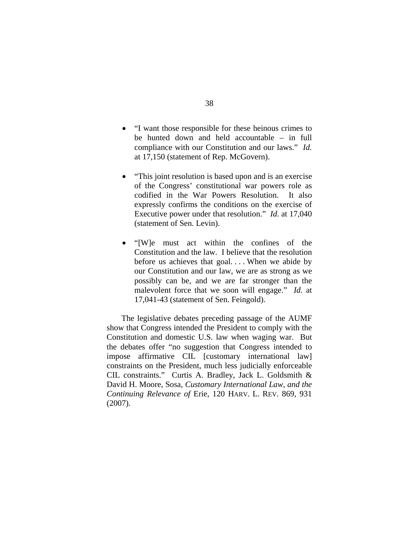- "I want those responsible for these heinous crimes to be hunted down and held accountable – in full compliance with our Constitution and our laws." *Id.* at 17,150 (statement of Rep. McGovern).
- "This joint resolution is based upon and is an exercise of the Congress' constitutional war powers role as codified in the War Powers Resolution. It also expressly confirms the conditions on the exercise of Executive power under that resolution." *Id.* at 17,040 (statement of Sen. Levin).
- "[W]e must act within the confines of the Constitution and the law. I believe that the resolution before us achieves that goal.... When we abide by our Constitution and our law, we are as strong as we possibly can be, and we are far stronger than the malevolent force that we soon will engage." *Id.* at 17,041-43 (statement of Sen. Feingold).

The legislative debates preceding passage of the AUMF show that Congress intended the President to comply with the Constitution and domestic U.S. law when waging war. But the debates offer "no suggestion that Congress intended to impose affirmative CIL [customary international law] constraints on the President, much less judicially enforceable CIL constraints." Curtis A. Bradley, Jack L. Goldsmith & David H. Moore, Sosa*, Customary International Law, and the Continuing Relevance of* Erie, 120 HARV. L. REV. 869, 931 (2007).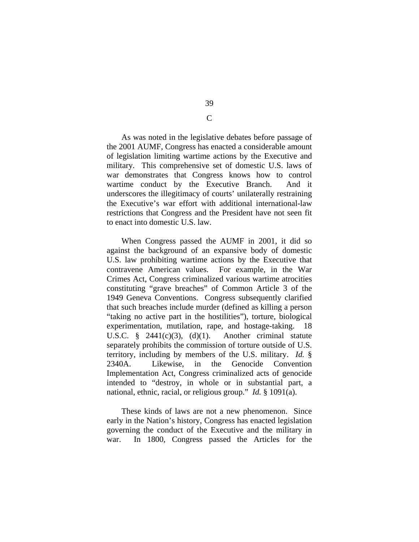As was noted in the legislative debates before passage of the 2001 AUMF, Congress has enacted a considerable amount of legislation limiting wartime actions by the Executive and military. This comprehensive set of domestic U.S. laws of war demonstrates that Congress knows how to control wartime conduct by the Executive Branch. And it underscores the illegitimacy of courts' unilaterally restraining the Executive's war effort with additional international-law restrictions that Congress and the President have not seen fit to enact into domestic U.S. law.

When Congress passed the AUMF in 2001, it did so against the background of an expansive body of domestic U.S. law prohibiting wartime actions by the Executive that contravene American values. For example, in the War Crimes Act, Congress criminalized various wartime atrocities constituting "grave breaches" of Common Article 3 of the 1949 Geneva Conventions. Congress subsequently clarified that such breaches include murder (defined as killing a person "taking no active part in the hostilities"), torture, biological experimentation, mutilation, rape, and hostage-taking. 18 U.S.C.  $\frac{8}{9}$  2441(c)(3), (d)(1). Another criminal statute separately prohibits the commission of torture outside of U.S. territory, including by members of the U.S. military. *Id.* § 2340A. Likewise, in the Genocide Convention Implementation Act, Congress criminalized acts of genocide intended to "destroy, in whole or in substantial part, a national, ethnic, racial, or religious group." *Id.* § 1091(a).

These kinds of laws are not a new phenomenon. Since early in the Nation's history, Congress has enacted legislation governing the conduct of the Executive and the military in war. In 1800, Congress passed the Articles for the

39  $\mathcal{C}$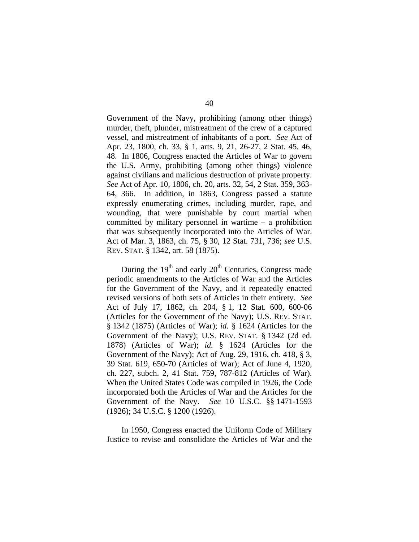Government of the Navy, prohibiting (among other things) murder, theft, plunder, mistreatment of the crew of a captured vessel, and mistreatment of inhabitants of a port. *See* Act of Apr. 23, 1800, ch. 33, § 1, arts. 9, 21, 26-27, 2 Stat. 45, 46, 48. In 1806, Congress enacted the Articles of War to govern the U.S. Army, prohibiting (among other things) violence against civilians and malicious destruction of private property. *See* Act of Apr. 10, 1806, ch. 20, arts. 32, 54, 2 Stat. 359, 363- 64, 366. In addition, in 1863, Congress passed a statute expressly enumerating crimes, including murder, rape, and wounding, that were punishable by court martial when committed by military personnel in wartime – a prohibition that was subsequently incorporated into the Articles of War. Act of Mar. 3, 1863, ch. 75, § 30, 12 Stat. 731, 736; *see* U.S. REV. STAT. § 1342, art. 58 (1875).

During the  $19<sup>th</sup>$  and early  $20<sup>th</sup>$  Centuries, Congress made periodic amendments to the Articles of War and the Articles for the Government of the Navy, and it repeatedly enacted revised versions of both sets of Articles in their entirety. *See* Act of July 17, 1862, ch. 204, § 1, 12 Stat. 600, 600-06 (Articles for the Government of the Navy); U.S. REV. STAT. § 1342 (1875) (Articles of War); *id.* § 1624 (Articles for the Government of the Navy); U.S. REV. STAT. § 1342 (2d ed. 1878) (Articles of War); *id.* § 1624 (Articles for the Government of the Navy); Act of Aug. 29, 1916, ch. 418, § 3, 39 Stat. 619, 650-70 (Articles of War); Act of June 4, 1920, ch. 227, subch. 2, 41 Stat. 759, 787-812 (Articles of War). When the United States Code was compiled in 1926, the Code incorporated both the Articles of War and the Articles for the Government of the Navy. *See* 10 U.S.C. §§ 1471-1593 (1926); 34 U.S.C. § 1200 (1926).

In 1950, Congress enacted the Uniform Code of Military Justice to revise and consolidate the Articles of War and the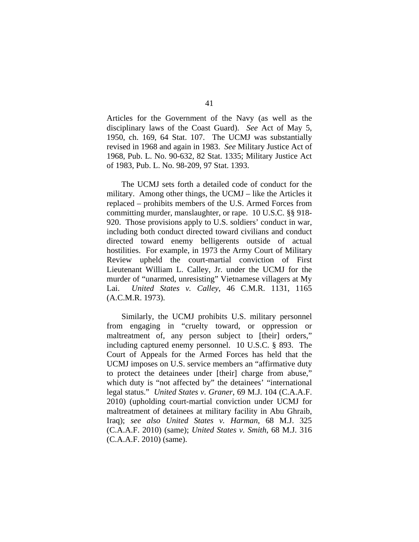Articles for the Government of the Navy (as well as the disciplinary laws of the Coast Guard). *See* Act of May 5, 1950, ch. 169, 64 Stat. 107. The UCMJ was substantially revised in 1968 and again in 1983. *See* Military Justice Act of 1968, Pub. L. No. 90-632, 82 Stat. 1335; Military Justice Act of 1983, Pub. L. No. 98-209, 97 Stat. 1393.

The UCMJ sets forth a detailed code of conduct for the military. Among other things, the UCMJ – like the Articles it replaced – prohibits members of the U.S. Armed Forces from committing murder, manslaughter, or rape. 10 U.S.C. §§ 918- 920. Those provisions apply to U.S. soldiers' conduct in war, including both conduct directed toward civilians and conduct directed toward enemy belligerents outside of actual hostilities. For example, in 1973 the Army Court of Military Review upheld the court-martial conviction of First Lieutenant William L. Calley, Jr. under the UCMJ for the murder of "unarmed, unresisting" Vietnamese villagers at My Lai. *United States v. Calley*, 46 C.M.R. 1131, 1165 (A.C.M.R. 1973).

Similarly, the UCMJ prohibits U.S. military personnel from engaging in "cruelty toward, or oppression or maltreatment of, any person subject to [their] orders," including captured enemy personnel. 10 U.S.C. § 893. The Court of Appeals for the Armed Forces has held that the UCMJ imposes on U.S. service members an "affirmative duty to protect the detainees under [their] charge from abuse," which duty is "not affected by" the detainees' "international legal status." *United States v. Graner*, 69 M.J. 104 (C.A.A.F. 2010) (upholding court-martial conviction under UCMJ for maltreatment of detainees at military facility in Abu Ghraib, Iraq); *see also United States v. Harman*, 68 M.J. 325 (C.A.A.F. 2010) (same); *United States v. Smith*, 68 M.J. 316 (C.A.A.F. 2010) (same).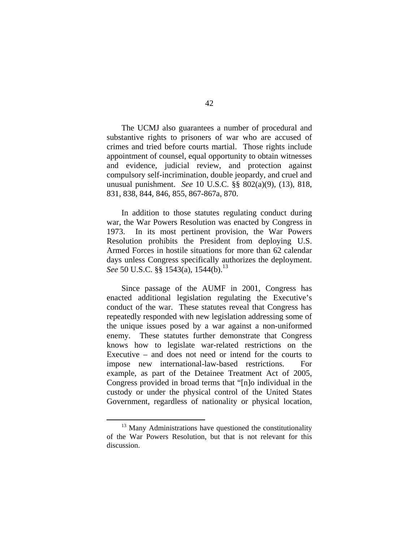The UCMJ also guarantees a number of procedural and substantive rights to prisoners of war who are accused of crimes and tried before courts martial. Those rights include appointment of counsel, equal opportunity to obtain witnesses and evidence, judicial review, and protection against compulsory self-incrimination, double jeopardy, and cruel and unusual punishment. *See* 10 U.S.C. §§ 802(a)(9), (13), 818, 831, 838, 844, 846, 855, 867-867a, 870.

In addition to those statutes regulating conduct during war, the War Powers Resolution was enacted by Congress in 1973. In its most pertinent provision, the War Powers Resolution prohibits the President from deploying U.S. Armed Forces in hostile situations for more than 62 calendar days unless Congress specifically authorizes the deployment. *See* 50 U.S.C. §§ 1543(a), 1544(b).<sup>13</sup>

Since passage of the AUMF in 2001, Congress has enacted additional legislation regulating the Executive's conduct of the war. These statutes reveal that Congress has repeatedly responded with new legislation addressing some of the unique issues posed by a war against a non-uniformed enemy. These statutes further demonstrate that Congress knows how to legislate war-related restrictions on the Executive – and does not need or intend for the courts to impose new international-law-based restrictions. For example, as part of the Detainee Treatment Act of 2005, Congress provided in broad terms that "[n]o individual in the custody or under the physical control of the United States Government, regardless of nationality or physical location,

<sup>&</sup>lt;sup>13</sup> Many Administrations have questioned the constitutionality of the War Powers Resolution, but that is not relevant for this discussion.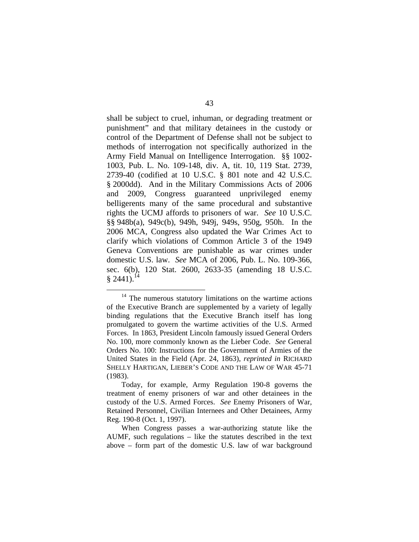shall be subject to cruel, inhuman, or degrading treatment or punishment" and that military detainees in the custody or control of the Department of Defense shall not be subject to methods of interrogation not specifically authorized in the Army Field Manual on Intelligence Interrogation. §§ 1002- 1003, Pub. L. No. 109-148, div. A, tit. 10, 119 Stat. 2739, 2739-40 (codified at 10 U.S.C. § 801 note and 42 U.S.C. § 2000dd). And in the Military Commissions Acts of 2006 and 2009, Congress guaranteed unprivileged enemy belligerents many of the same procedural and substantive rights the UCMJ affords to prisoners of war. *See* 10 U.S.C. §§ 948b(a), 949c(b), 949h, 949j, 949s, 950g, 950h. In the 2006 MCA, Congress also updated the War Crimes Act to clarify which violations of Common Article 3 of the 1949 Geneva Conventions are punishable as war crimes under domestic U.S. law. *See* MCA of 2006, Pub. L. No. 109-366, sec. 6(b), 120 Stat. 2600, 2633-35 (amending 18 U.S.C.  $§ 2441$ .<sup>14</sup>

When Congress passes a war-authorizing statute like the AUMF, such regulations – like the statutes described in the text above – form part of the domestic U.S. law of war background

<sup>&</sup>lt;sup>14</sup> The numerous statutory limitations on the wartime actions of the Executive Branch are supplemented by a variety of legally binding regulations that the Executive Branch itself has long promulgated to govern the wartime activities of the U.S. Armed Forces. In 1863, President Lincoln famously issued General Orders No. 100, more commonly known as the Lieber Code. *See* General Orders No. 100: Instructions for the Government of Armies of the United States in the Field (Apr. 24, 1863), *reprinted in* RICHARD SHELLY HARTIGAN, LIEBER'S CODE AND THE LAW OF WAR 45-71 (1983).

Today, for example, Army Regulation 190-8 governs the treatment of enemy prisoners of war and other detainees in the custody of the U.S. Armed Forces. *See* Enemy Prisoners of War, Retained Personnel, Civilian Internees and Other Detainees, Army Reg. 190-8 (Oct. 1, 1997).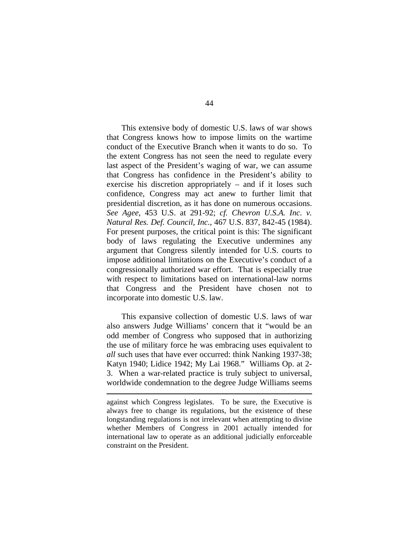This extensive body of domestic U.S. laws of war shows that Congress knows how to impose limits on the wartime conduct of the Executive Branch when it wants to do so. To the extent Congress has not seen the need to regulate every last aspect of the President's waging of war, we can assume that Congress has confidence in the President's ability to exercise his discretion appropriately – and if it loses such confidence, Congress may act anew to further limit that presidential discretion, as it has done on numerous occasions. *See Agee*, 453 U.S. at 291-92; *cf. Chevron U.S.A. Inc. v. Natural Res. Def. Council, Inc.*, 467 U.S. 837, 842-45 (1984). For present purposes, the critical point is this: The significant body of laws regulating the Executive undermines any argument that Congress silently intended for U.S. courts to impose additional limitations on the Executive's conduct of a congressionally authorized war effort. That is especially true with respect to limitations based on international-law norms that Congress and the President have chosen not to incorporate into domestic U.S. law.

This expansive collection of domestic U.S. laws of war also answers Judge Williams' concern that it "would be an odd member of Congress who supposed that in authorizing the use of military force he was embracing uses equivalent to *all* such uses that have ever occurred: think Nanking 1937-38; Katyn 1940; Lidice 1942; My Lai 1968." Williams Op. at 2- 3. When a war-related practice is truly subject to universal, worldwide condemnation to the degree Judge Williams seems

 $\overline{a}$ 

against which Congress legislates. To be sure, the Executive is always free to change its regulations, but the existence of these longstanding regulations is not irrelevant when attempting to divine whether Members of Congress in 2001 actually intended for international law to operate as an additional judicially enforceable constraint on the President.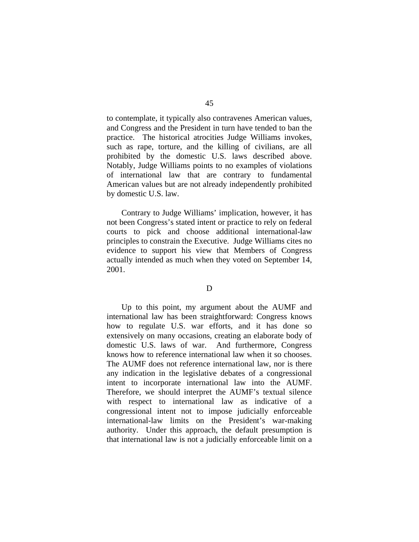to contemplate, it typically also contravenes American values, and Congress and the President in turn have tended to ban the practice. The historical atrocities Judge Williams invokes, such as rape, torture, and the killing of civilians, are all prohibited by the domestic U.S. laws described above. Notably, Judge Williams points to no examples of violations of international law that are contrary to fundamental American values but are not already independently prohibited by domestic U.S. law.

Contrary to Judge Williams' implication, however, it has not been Congress's stated intent or practice to rely on federal courts to pick and choose additional international-law principles to constrain the Executive. Judge Williams cites no evidence to support his view that Members of Congress actually intended as much when they voted on September 14, 2001.

## D

Up to this point, my argument about the AUMF and international law has been straightforward: Congress knows how to regulate U.S. war efforts, and it has done so extensively on many occasions, creating an elaborate body of domestic U.S. laws of war. And furthermore, Congress knows how to reference international law when it so chooses. The AUMF does not reference international law, nor is there any indication in the legislative debates of a congressional intent to incorporate international law into the AUMF. Therefore, we should interpret the AUMF's textual silence with respect to international law as indicative of a congressional intent not to impose judicially enforceable international-law limits on the President's war-making authority. Under this approach, the default presumption is that international law is not a judicially enforceable limit on a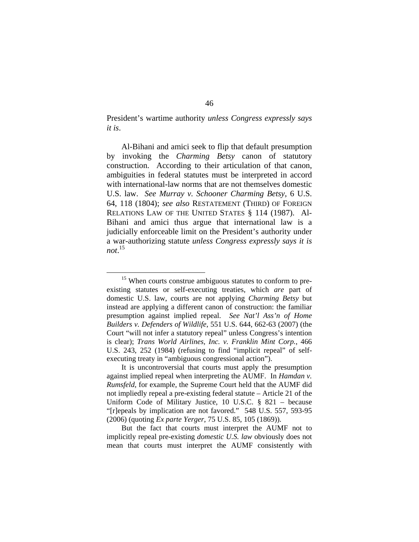President's wartime authority *unless Congress expressly says it is*.

Al-Bihani and amici seek to flip that default presumption by invoking the *Charming Betsy* canon of statutory construction. According to their articulation of that canon, ambiguities in federal statutes must be interpreted in accord with international-law norms that are not themselves domestic U.S. law. *See Murray v. Schooner Charming Betsy*, 6 U.S. 64, 118 (1804); *see also* RESTATEMENT (THIRD) OF FOREIGN RELATIONS LAW OF THE UNITED STATES § 114 (1987). Al-Bihani and amici thus argue that international law is a judicially enforceable limit on the President's authority under a war-authorizing statute *unless Congress expressly says it is not*. 15

But the fact that courts must interpret the AUMF not to implicitly repeal pre-existing *domestic U.S. law* obviously does not mean that courts must interpret the AUMF consistently with

<sup>&</sup>lt;sup>15</sup> When courts construe ambiguous statutes to conform to preexisting statutes or self-executing treaties, which *are* part of domestic U.S. law, courts are not applying *Charming Betsy* but instead are applying a different canon of construction: the familiar presumption against implied repeal. *See Nat'l Ass'n of Home Builders v. Defenders of Wildlife*, 551 U.S. 644, 662-63 (2007) (the Court "will not infer a statutory repeal" unless Congress's intention is clear); *Trans World Airlines, Inc. v. Franklin Mint Corp.*, 466 U.S. 243, 252 (1984) (refusing to find "implicit repeal" of selfexecuting treaty in "ambiguous congressional action").

It is uncontroversial that courts must apply the presumption against implied repeal when interpreting the AUMF. In *Hamdan v. Rumsfeld*, for example, the Supreme Court held that the AUMF did not impliedly repeal a pre-existing federal statute – Article 21 of the Uniform Code of Military Justice, 10 U.S.C. § 821 – because "[r]epeals by implication are not favored." 548 U.S. 557, 593-95 (2006) (quoting *Ex parte Yerger*, 75 U.S. 85, 105 (1869)).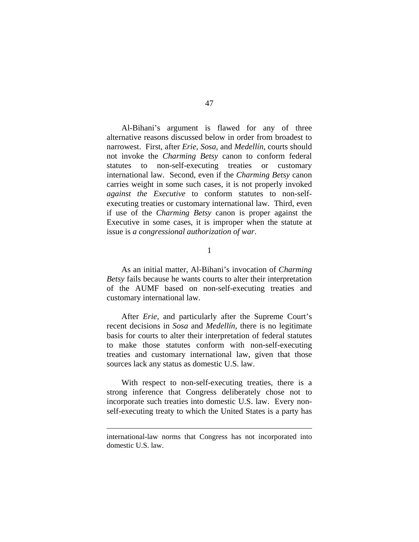Al-Bihani's argument is flawed for any of three alternative reasons discussed below in order from broadest to narrowest. First, after *Erie*, *Sosa*, and *Medellín*, courts should not invoke the *Charming Betsy* canon to conform federal statutes to non-self-executing treaties or customary international law. Second, even if the *Charming Betsy* canon carries weight in some such cases, it is not properly invoked *against the Executive* to conform statutes to non-selfexecuting treaties or customary international law. Third, even if use of the *Charming Betsy* canon is proper against the Executive in some cases, it is improper when the statute at issue is *a congressional authorization of war*.

1

As an initial matter, Al-Bihani's invocation of *Charming Betsy* fails because he wants courts to alter their interpretation of the AUMF based on non-self-executing treaties and customary international law.

After *Erie*, and particularly after the Supreme Court's recent decisions in *Sosa* and *Medellín*, there is no legitimate basis for courts to alter their interpretation of federal statutes to make those statutes conform with non-self-executing treaties and customary international law, given that those sources lack any status as domestic U.S. law.

With respect to non-self-executing treaties, there is a strong inference that Congress deliberately chose not to incorporate such treaties into domestic U.S. law. Every nonself-executing treaty to which the United States is a party has

 $\overline{a}$ 

international-law norms that Congress has not incorporated into domestic U.S. law.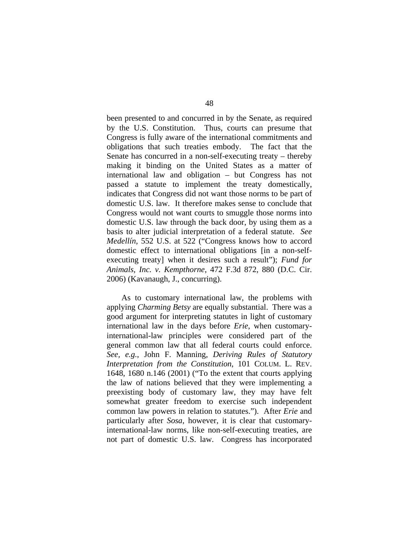been presented to and concurred in by the Senate, as required by the U.S. Constitution. Thus, courts can presume that Congress is fully aware of the international commitments and obligations that such treaties embody. The fact that the Senate has concurred in a non-self-executing treaty – thereby making it binding on the United States as a matter of international law and obligation – but Congress has not passed a statute to implement the treaty domestically, indicates that Congress did not want those norms to be part of domestic U.S. law. It therefore makes sense to conclude that Congress would not want courts to smuggle those norms into domestic U.S. law through the back door, by using them as a basis to alter judicial interpretation of a federal statute. *See Medellín*, 552 U.S. at 522 ("Congress knows how to accord domestic effect to international obligations [in a non-selfexecuting treaty] when it desires such a result"); *Fund for Animals, Inc. v. Kempthorne*, 472 F.3d 872, 880 (D.C. Cir. 2006) (Kavanaugh, J., concurring).

As to customary international law, the problems with applying *Charming Betsy* are equally substantial. There was a good argument for interpreting statutes in light of customary international law in the days before *Erie*, when customaryinternational-law principles were considered part of the general common law that all federal courts could enforce. *See, e.g.*, John F. Manning, *Deriving Rules of Statutory Interpretation from the Constitution*, 101 COLUM. L. REV. 1648, 1680 n.146 (2001) ("To the extent that courts applying the law of nations believed that they were implementing a preexisting body of customary law, they may have felt somewhat greater freedom to exercise such independent common law powers in relation to statutes."). After *Erie* and particularly after *Sosa*, however, it is clear that customaryinternational-law norms, like non-self-executing treaties, are not part of domestic U.S. law. Congress has incorporated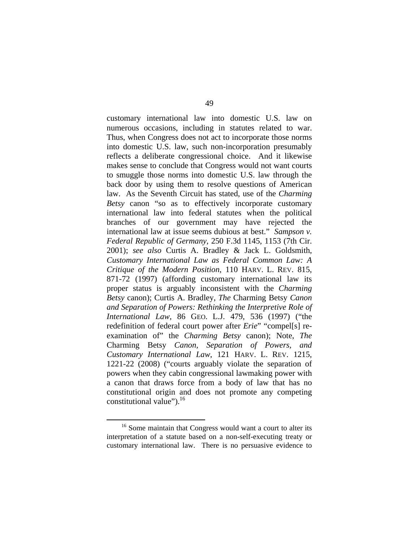customary international law into domestic U.S. law on numerous occasions, including in statutes related to war. Thus, when Congress does not act to incorporate those norms into domestic U.S. law, such non-incorporation presumably reflects a deliberate congressional choice. And it likewise makes sense to conclude that Congress would not want courts to smuggle those norms into domestic U.S. law through the back door by using them to resolve questions of American law. As the Seventh Circuit has stated, use of the *Charming Betsy* canon "so as to effectively incorporate customary international law into federal statutes when the political branches of our government may have rejected the international law at issue seems dubious at best." *Sampson v. Federal Republic of Germany*, 250 F.3d 1145, 1153 (7th Cir. 2001); *see also* Curtis A. Bradley & Jack L. Goldsmith, *Customary International Law as Federal Common Law: A Critique of the Modern Position*, 110 HARV. L. REV. 815, 871-72 (1997) (affording customary international law its proper status is arguably inconsistent with the *Charming Betsy* canon); Curtis A. Bradley, *The* Charming Betsy *Canon and Separation of Powers: Rethinking the Interpretive Role of International Law*, 86 GEO. L.J. 479, 536 (1997) ("the redefinition of federal court power after *Erie*" "compel[s] reexamination of" the *Charming Betsy* canon); Note, *The*  Charming Betsy *Canon, Separation of Powers, and Customary International Law*, 121 HARV. L. REV. 1215, 1221-22 (2008) ("courts arguably violate the separation of powers when they cabin congressional lawmaking power with a canon that draws force from a body of law that has no constitutional origin and does not promote any competing constitutional value").<sup>16</sup>

<sup>&</sup>lt;sup>16</sup> Some maintain that Congress would want a court to alter its interpretation of a statute based on a non-self-executing treaty or customary international law. There is no persuasive evidence to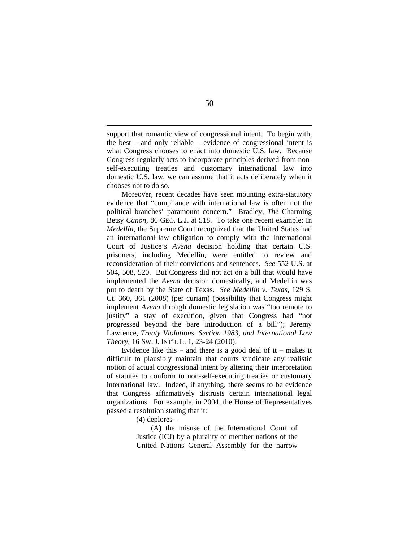support that romantic view of congressional intent. To begin with, the best – and only reliable – evidence of congressional intent is what Congress chooses to enact into domestic U.S. law. Because Congress regularly acts to incorporate principles derived from nonself-executing treaties and customary international law into domestic U.S. law, we can assume that it acts deliberately when it chooses not to do so.

Moreover, recent decades have seen mounting extra-statutory evidence that "compliance with international law is often not the political branches' paramount concern." Bradley, *The* Charming Betsy *Canon*, 86 GEO. L.J. at 518. To take one recent example: In *Medellín*, the Supreme Court recognized that the United States had an international-law obligation to comply with the International Court of Justice's *Avena* decision holding that certain U.S. prisoners, including Medellín, were entitled to review and reconsideration of their convictions and sentences. *See* 552 U.S. at 504, 508, 520. But Congress did not act on a bill that would have implemented the *Avena* decision domestically, and Medellín was put to death by the State of Texas. *See Medellín v. Texas*, 129 S. Ct. 360, 361 (2008) (per curiam) (possibility that Congress might implement *Avena* through domestic legislation was "too remote to justify" a stay of execution, given that Congress had "not progressed beyond the bare introduction of a bill"); Jeremy Lawrence, *Treaty Violations, Section 1983, and International Law Theory*, 16 SW. J. INT'L L. 1, 23-24 (2010).

Evidence like this – and there is a good deal of it – makes it difficult to plausibly maintain that courts vindicate any realistic notion of actual congressional intent by altering their interpretation of statutes to conform to non-self-executing treaties or customary international law. Indeed, if anything, there seems to be evidence that Congress affirmatively distrusts certain international legal organizations. For example, in 2004, the House of Representatives passed a resolution stating that it:

(4) deplores –

(A) the misuse of the International Court of Justice (ICJ) by a plurality of member nations of the United Nations General Assembly for the narrow

 $\overline{a}$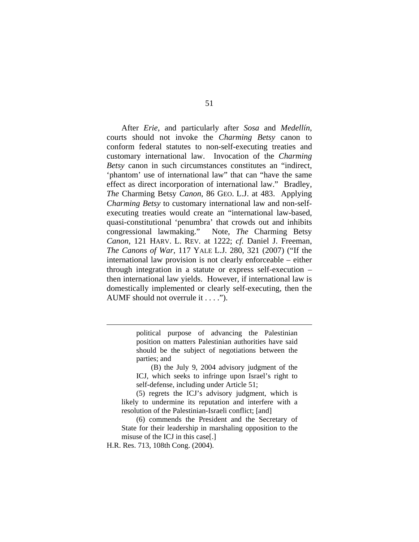After *Erie*, and particularly after *Sosa* and *Medellín*, courts should not invoke the *Charming Betsy* canon to conform federal statutes to non-self-executing treaties and customary international law. Invocation of the *Charming Betsy* canon in such circumstances constitutes an "indirect, 'phantom' use of international law" that can "have the same effect as direct incorporation of international law." Bradley, *The* Charming Betsy *Canon*, 86 GEO. L.J. at 483. Applying *Charming Betsy* to customary international law and non-selfexecuting treaties would create an "international law-based, quasi-constitutional 'penumbra' that crowds out and inhibits congressional lawmaking." Note, *The* Charming Betsy *Canon*, 121 HARV. L. REV. at 1222; *cf.* Daniel J. Freeman, *The Canons of War*, 117 YALE L.J. 280, 321 (2007) ("If the international law provision is not clearly enforceable – either through integration in a statute or express self-execution – then international law yields. However, if international law is domestically implemented or clearly self-executing, then the AUMF should not overrule it . . . .").

> political purpose of advancing the Palestinian position on matters Palestinian authorities have said should be the subject of negotiations between the parties; and

> (B) the July 9, 2004 advisory judgment of the ICJ, which seeks to infringe upon Israel's right to self-defense, including under Article 51;

(5) regrets the ICJ's advisory judgment, which is likely to undermine its reputation and interfere with a resolution of the Palestinian-Israeli conflict; [and]

(6) commends the President and the Secretary of State for their leadership in marshaling opposition to the misuse of the ICJ in this case[.]

H.R. Res. 713, 108th Cong. (2004).

 $\overline{a}$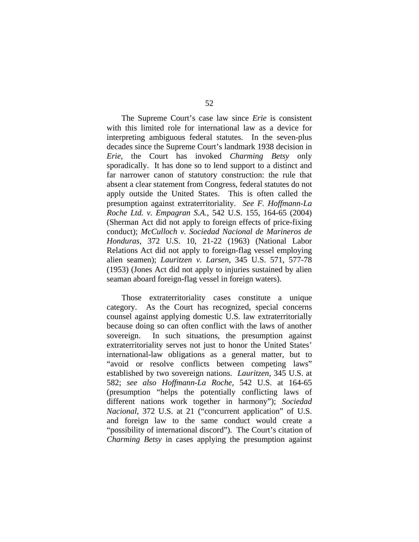The Supreme Court's case law since *Erie* is consistent with this limited role for international law as a device for interpreting ambiguous federal statutes. In the seven-plus decades since the Supreme Court's landmark 1938 decision in *Erie*, the Court has invoked *Charming Betsy* only sporadically. It has done so to lend support to a distinct and far narrower canon of statutory construction: the rule that absent a clear statement from Congress, federal statutes do not apply outside the United States. This is often called the presumption against extraterritoriality. *See F. Hoffmann-La Roche Ltd. v. Empagran S.A.*, 542 U.S. 155, 164-65 (2004) (Sherman Act did not apply to foreign effects of price-fixing conduct); *McCulloch v. Sociedad Nacional de Marineros de Honduras*, 372 U.S. 10, 21-22 (1963) (National Labor Relations Act did not apply to foreign-flag vessel employing alien seamen); *Lauritzen v. Larsen*, 345 U.S. 571, 577-78 (1953) (Jones Act did not apply to injuries sustained by alien seaman aboard foreign-flag vessel in foreign waters).

Those extraterritoriality cases constitute a unique category. As the Court has recognized, special concerns counsel against applying domestic U.S. law extraterritorially because doing so can often conflict with the laws of another sovereign. In such situations, the presumption against extraterritoriality serves not just to honor the United States' international-law obligations as a general matter, but to "avoid or resolve conflicts between competing laws" established by two sovereign nations. *Lauritzen*, 345 U.S. at 582; *see also Hoffmann-La Roche*, 542 U.S. at 164-65 (presumption "helps the potentially conflicting laws of different nations work together in harmony"); *Sociedad Nacional*, 372 U.S. at 21 ("concurrent application" of U.S. and foreign law to the same conduct would create a "possibility of international discord"). The Court's citation of *Charming Betsy* in cases applying the presumption against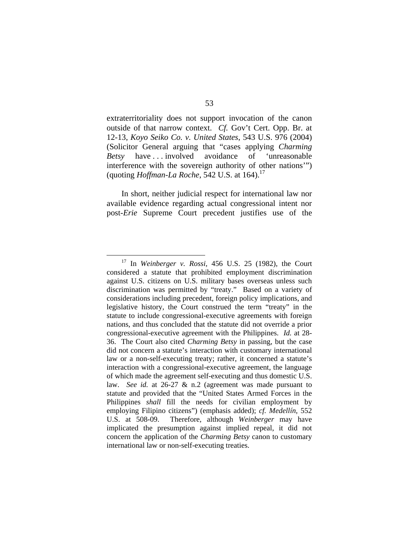extraterritoriality does not support invocation of the canon outside of that narrow context. *Cf.* Gov't Cert. Opp. Br. at 12-13, *Koyo Seiko Co. v. United States*, 543 U.S. 976 (2004) (Solicitor General arguing that "cases applying *Charming Betsy* have . . . involved avoidance of 'unreasonable interference with the sovereign authority of other nations'") (quoting *Hoffman-La Roche*, 542 U.S. at  $164$ ).<sup>17</sup>

In short, neither judicial respect for international law nor available evidence regarding actual congressional intent nor post-*Erie* Supreme Court precedent justifies use of the

 <sup>17</sup> In *Weinberger v. Rossi*, 456 U.S. 25 (1982), the Court considered a statute that prohibited employment discrimination against U.S. citizens on U.S. military bases overseas unless such discrimination was permitted by "treaty." Based on a variety of considerations including precedent, foreign policy implications, and legislative history, the Court construed the term "treaty" in the statute to include congressional-executive agreements with foreign nations, and thus concluded that the statute did not override a prior congressional-executive agreement with the Philippines. *Id.* at 28- 36. The Court also cited *Charming Betsy* in passing, but the case did not concern a statute's interaction with customary international law or a non-self-executing treaty; rather, it concerned a statute's interaction with a congressional-executive agreement, the language of which made the agreement self-executing and thus domestic U.S. law. *See id.* at 26-27 & n.2 (agreement was made pursuant to statute and provided that the "United States Armed Forces in the Philippines *shall* fill the needs for civilian employment by employing Filipino citizens") (emphasis added); *cf. Medellín*, 552 U.S. at 508-09. Therefore, although *Weinberger* may have implicated the presumption against implied repeal, it did not concern the application of the *Charming Betsy* canon to customary international law or non-self-executing treaties.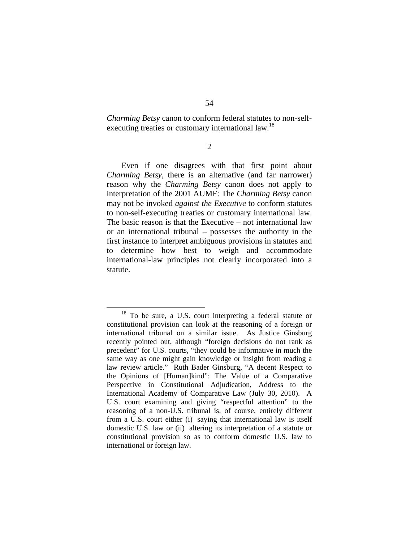*Charming Betsy* canon to conform federal statutes to non-selfexecuting treaties or customary international law.<sup>18</sup>

2

Even if one disagrees with that first point about *Charming Betsy*, there is an alternative (and far narrower) reason why the *Charming Betsy* canon does not apply to interpretation of the 2001 AUMF: The *Charming Betsy* canon may not be invoked *against the Executive* to conform statutes to non-self-executing treaties or customary international law. The basic reason is that the Executive – not international law or an international tribunal – possesses the authority in the first instance to interpret ambiguous provisions in statutes and to determine how best to weigh and accommodate international-law principles not clearly incorporated into a statute.

<sup>&</sup>lt;sup>18</sup> To be sure, a U.S. court interpreting a federal statute or constitutional provision can look at the reasoning of a foreign or international tribunal on a similar issue. As Justice Ginsburg recently pointed out, although "foreign decisions do not rank as precedent" for U.S. courts, "they could be informative in much the same way as one might gain knowledge or insight from reading a law review article." Ruth Bader Ginsburg, "A decent Respect to the Opinions of [Human]kind": The Value of a Comparative Perspective in Constitutional Adjudication, Address to the International Academy of Comparative Law (July 30, 2010). A U.S. court examining and giving "respectful attention" to the reasoning of a non-U.S. tribunal is, of course, entirely different from a U.S. court either (i) saying that international law is itself domestic U.S. law or (ii) altering its interpretation of a statute or constitutional provision so as to conform domestic U.S. law to international or foreign law.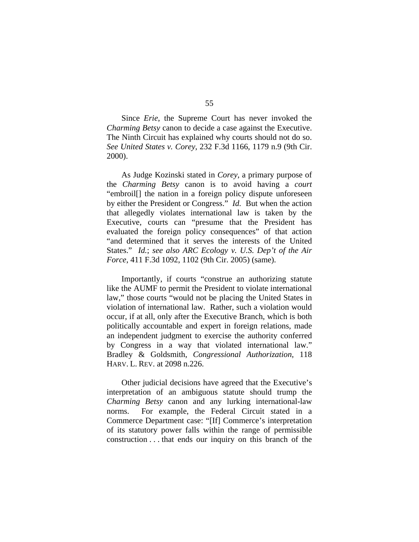Since *Erie*, the Supreme Court has never invoked the *Charming Betsy* canon to decide a case against the Executive. The Ninth Circuit has explained why courts should not do so. *See United States v. Corey*, 232 F.3d 1166, 1179 n.9 (9th Cir. 2000).

As Judge Kozinski stated in *Corey*, a primary purpose of the *Charming Betsy* canon is to avoid having a *court* "embroil[] the nation in a foreign policy dispute unforeseen by either the President or Congress." *Id.* But when the action that allegedly violates international law is taken by the Executive, courts can "presume that the President has evaluated the foreign policy consequences" of that action "and determined that it serves the interests of the United States." *Id.*; *see also ARC Ecology v. U.S. Dep't of the Air Force*, 411 F.3d 1092, 1102 (9th Cir. 2005) (same).

Importantly, if courts "construe an authorizing statute like the AUMF to permit the President to violate international law," those courts "would not be placing the United States in violation of international law. Rather, such a violation would occur, if at all, only after the Executive Branch, which is both politically accountable and expert in foreign relations, made an independent judgment to exercise the authority conferred by Congress in a way that violated international law." Bradley & Goldsmith, *Congressional Authorization*, 118 HARV. L. REV. at 2098 n.226.

Other judicial decisions have agreed that the Executive's interpretation of an ambiguous statute should trump the *Charming Betsy* canon and any lurking international-law norms. For example, the Federal Circuit stated in a Commerce Department case: "[If] Commerce's interpretation of its statutory power falls within the range of permissible construction . . . that ends our inquiry on this branch of the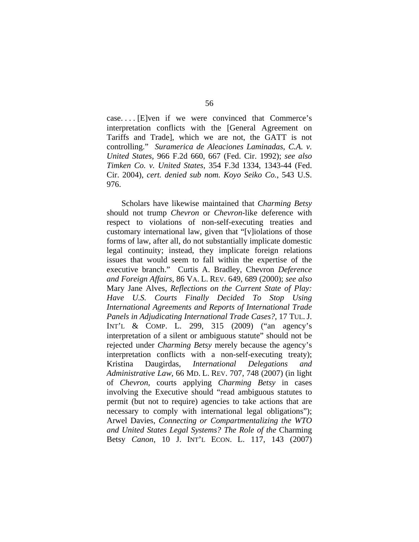case. . . . [E]ven if we were convinced that Commerce's interpretation conflicts with the [General Agreement on Tariffs and Trade], which we are not, the GATT is not controlling." *Suramerica de Aleaciones Laminadas, C.A. v. United States*, 966 F.2d 660, 667 (Fed. Cir. 1992); *see also Timken Co. v. United States*, 354 F.3d 1334, 1343-44 (Fed. Cir. 2004), *cert. denied sub nom. Koyo Seiko Co.*, 543 U.S. 976.

Scholars have likewise maintained that *Charming Betsy* should not trump *Chevron* or *Chevron*-like deference with respect to violations of non-self-executing treaties and customary international law, given that "[v]iolations of those forms of law, after all, do not substantially implicate domestic legal continuity; instead, they implicate foreign relations issues that would seem to fall within the expertise of the executive branch." Curtis A. Bradley, Chevron *Deference and Foreign Affairs*, 86 VA. L. REV. 649, 689 (2000); *see also* Mary Jane Alves, *Reflections on the Current State of Play: Have U.S. Courts Finally Decided To Stop Using International Agreements and Reports of International Trade Panels in Adjudicating International Trade Cases?*, 17 TUL. J. INT'L & COMP. L. 299, 315 (2009) ("an agency's interpretation of a silent or ambiguous statute" should not be rejected under *Charming Betsy* merely because the agency's interpretation conflicts with a non-self-executing treaty); Kristina Daugirdas, *International Delegations and Administrative Law*, 66 MD. L. REV. 707, 748 (2007) (in light of *Chevron*, courts applying *Charming Betsy* in cases involving the Executive should "read ambiguous statutes to permit (but not to require) agencies to take actions that are necessary to comply with international legal obligations"); Arwel Davies, *Connecting or Compartmentalizing the WTO and United States Legal Systems? The Role of the* Charming Betsy *Canon*, 10 J. INT'L ECON. L. 117, 143 (2007)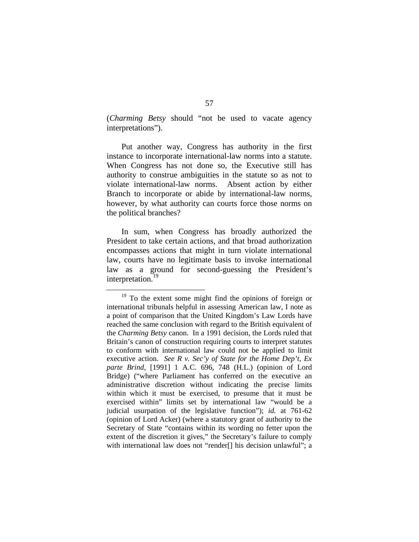(*Charming Betsy* should "not be used to vacate agency interpretations").

Put another way, Congress has authority in the first instance to incorporate international-law norms into a statute. When Congress has not done so, the Executive still has authority to construe ambiguities in the statute so as not to violate international-law norms. Absent action by either Branch to incorporate or abide by international-law norms, however, by what authority can courts force those norms on the political branches?

In sum, when Congress has broadly authorized the President to take certain actions, and that broad authorization encompasses actions that might in turn violate international law, courts have no legitimate basis to invoke international law as a ground for second-guessing the President's interpretation.<sup>19</sup>

<sup>&</sup>lt;sup>19</sup> To the extent some might find the opinions of foreign or international tribunals helpful in assessing American law, I note as a point of comparison that the United Kingdom's Law Lords have reached the same conclusion with regard to the British equivalent of the *Charming Betsy* canon. In a 1991 decision, the Lords ruled that Britain's canon of construction requiring courts to interpret statutes to conform with international law could not be applied to limit executive action. *See R v. Sec'y of State for the Home Dep't, Ex parte Brind*, [1991] 1 A.C. 696, 748 (H.L.) (opinion of Lord Bridge) ("where Parliament has conferred on the executive an administrative discretion without indicating the precise limits within which it must be exercised, to presume that it must be exercised within" limits set by international law "would be a judicial usurpation of the legislative function"); *id.* at 761-62 (opinion of Lord Acker) (where a statutory grant of authority to the Secretary of State "contains within its wording no fetter upon the extent of the discretion it gives," the Secretary's failure to comply with international law does not "render[] his decision unlawful"; a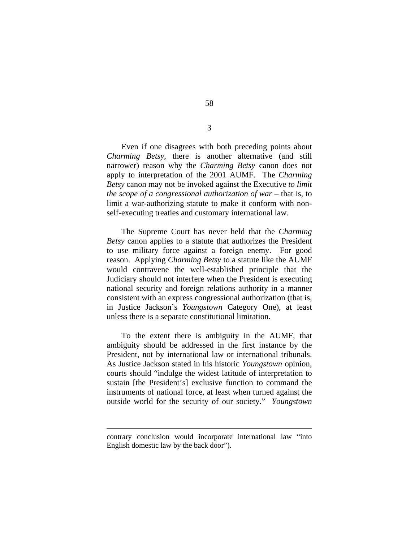Even if one disagrees with both preceding points about *Charming Betsy*, there is another alternative (and still narrower) reason why the *Charming Betsy* canon does not apply to interpretation of the 2001 AUMF. The *Charming Betsy* canon may not be invoked against the Executive *to limit the scope of a congressional authorization of war* – that is, to limit a war-authorizing statute to make it conform with nonself-executing treaties and customary international law.

The Supreme Court has never held that the *Charming Betsy* canon applies to a statute that authorizes the President to use military force against a foreign enemy. For good reason. Applying *Charming Betsy* to a statute like the AUMF would contravene the well-established principle that the Judiciary should not interfere when the President is executing national security and foreign relations authority in a manner consistent with an express congressional authorization (that is, in Justice Jackson's *Youngstown* Category One), at least unless there is a separate constitutional limitation.

To the extent there is ambiguity in the AUMF, that ambiguity should be addressed in the first instance by the President, not by international law or international tribunals. As Justice Jackson stated in his historic *Youngstown* opinion, courts should "indulge the widest latitude of interpretation to sustain [the President's] exclusive function to command the instruments of national force, at least when turned against the outside world for the security of our society." *Youngstown* 

contrary conclusion would incorporate international law "into English domestic law by the back door").

 $\overline{a}$ 

3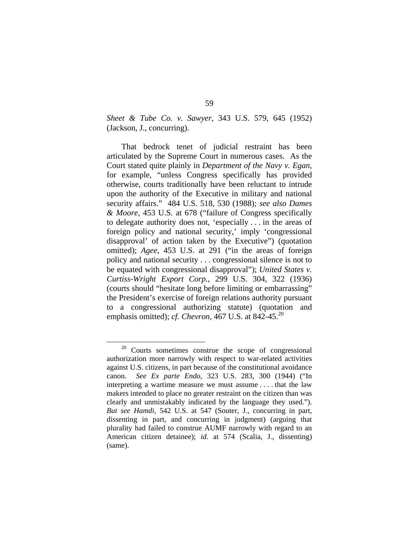*Sheet & Tube Co. v. Sawyer*, 343 U.S. 579, 645 (1952) (Jackson, J., concurring).

That bedrock tenet of judicial restraint has been articulated by the Supreme Court in numerous cases. As the Court stated quite plainly in *Department of the Navy v. Egan*, for example, "unless Congress specifically has provided otherwise, courts traditionally have been reluctant to intrude upon the authority of the Executive in military and national security affairs." 484 U.S. 518, 530 (1988); *see also Dames & Moore*, 453 U.S. at 678 ("failure of Congress specifically to delegate authority does not, 'especially . . . in the areas of foreign policy and national security,' imply 'congressional disapproval' of action taken by the Executive") (quotation omitted); *Agee*, 453 U.S. at 291 ("in the areas of foreign policy and national security . . . congressional silence is not to be equated with congressional disapproval"); *United States v. Curtiss-Wright Export Corp.*, 299 U.S. 304, 322 (1936) (courts should "hesitate long before limiting or embarrassing" the President's exercise of foreign relations authority pursuant to a congressional authorizing statute) (quotation and emphasis omitted); *cf. Chevron*, 467 U.S. at 842-45.<sup>20</sup>

 <sup>20</sup> Courts sometimes construe the scope of congressional authorization more narrowly with respect to war-related activities against U.S. citizens, in part because of the constitutional avoidance canon. *See Ex parte Endo*, 323 U.S. 283, 300 (1944) ("In interpreting a wartime measure we must assume . . . . that the law makers intended to place no greater restraint on the citizen than was clearly and unmistakably indicated by the language they used."). *But see Hamdi*, 542 U.S. at 547 (Souter, J., concurring in part, dissenting in part, and concurring in judgment) (arguing that plurality had failed to construe AUMF narrowly with regard to an American citizen detainee); *id.* at 574 (Scalia, J., dissenting) (same).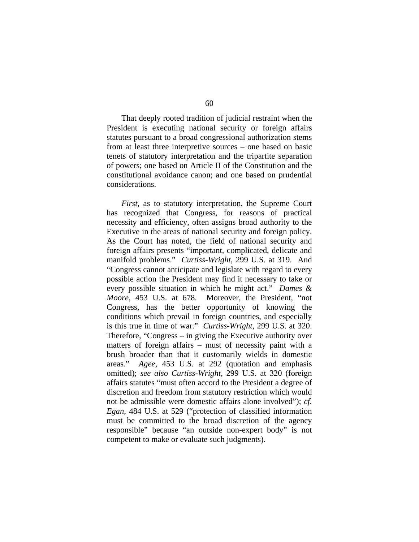That deeply rooted tradition of judicial restraint when the President is executing national security or foreign affairs statutes pursuant to a broad congressional authorization stems from at least three interpretive sources – one based on basic tenets of statutory interpretation and the tripartite separation of powers; one based on Article II of the Constitution and the constitutional avoidance canon; and one based on prudential considerations.

*First*, as to statutory interpretation, the Supreme Court has recognized that Congress, for reasons of practical necessity and efficiency, often assigns broad authority to the Executive in the areas of national security and foreign policy. As the Court has noted, the field of national security and foreign affairs presents "important, complicated, delicate and manifold problems." *Curtiss-Wright*, 299 U.S. at 319. And "Congress cannot anticipate and legislate with regard to every possible action the President may find it necessary to take or every possible situation in which he might act." *Dames & Moore*, 453 U.S. at 678. Moreover, the President, "not Congress, has the better opportunity of knowing the conditions which prevail in foreign countries, and especially is this true in time of war." *Curtiss-Wright*, 299 U.S. at 320. Therefore, "Congress – in giving the Executive authority over matters of foreign affairs – must of necessity paint with a brush broader than that it customarily wields in domestic areas." *Agee*, 453 U.S. at 292 (quotation and emphasis omitted); *see also Curtiss-Wright*, 299 U.S. at 320 (foreign affairs statutes "must often accord to the President a degree of discretion and freedom from statutory restriction which would not be admissible were domestic affairs alone involved"); *cf. Egan*, 484 U.S. at 529 ("protection of classified information must be committed to the broad discretion of the agency responsible" because "an outside non-expert body" is not competent to make or evaluate such judgments).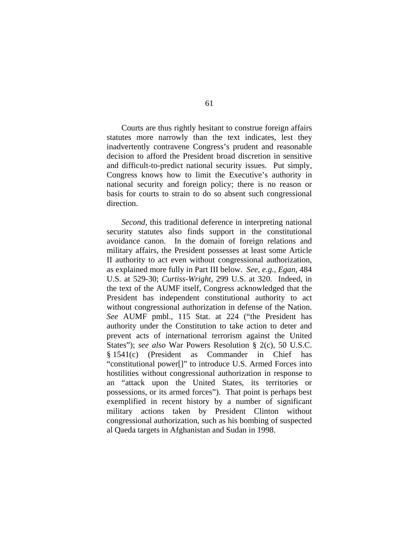Courts are thus rightly hesitant to construe foreign affairs statutes more narrowly than the text indicates, lest they inadvertently contravene Congress's prudent and reasonable decision to afford the President broad discretion in sensitive and difficult-to-predict national security issues. Put simply, Congress knows how to limit the Executive's authority in national security and foreign policy; there is no reason or basis for courts to strain to do so absent such congressional direction.

*Second*, this traditional deference in interpreting national security statutes also finds support in the constitutional avoidance canon. In the domain of foreign relations and military affairs, the President possesses at least some Article II authority to act even without congressional authorization, as explained more fully in Part III below. *See, e.g.*, *Egan*, 484 U.S. at 529-30; *Curtiss-Wright*, 299 U.S. at 320. Indeed, in the text of the AUMF itself, Congress acknowledged that the President has independent constitutional authority to act without congressional authorization in defense of the Nation. *See* AUMF pmbl., 115 Stat. at 224 ("the President has authority under the Constitution to take action to deter and prevent acts of international terrorism against the United States"); *see also* War Powers Resolution § 2(c), 50 U.S.C. § 1541(c) (President as Commander in Chief has "constitutional power[]" to introduce U.S. Armed Forces into hostilities without congressional authorization in response to an "attack upon the United States, its territories or possessions, or its armed forces"). That point is perhaps best exemplified in recent history by a number of significant military actions taken by President Clinton without congressional authorization, such as his bombing of suspected al Qaeda targets in Afghanistan and Sudan in 1998.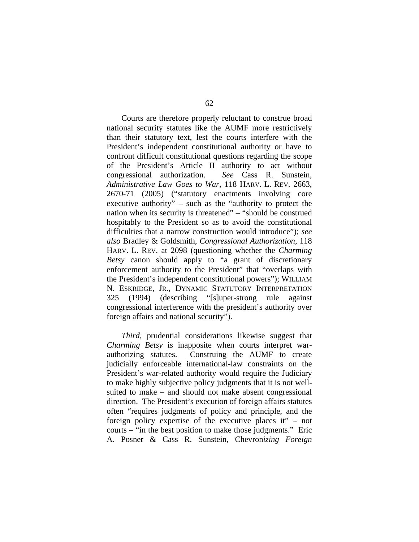Courts are therefore properly reluctant to construe broad national security statutes like the AUMF more restrictively than their statutory text, lest the courts interfere with the President's independent constitutional authority or have to confront difficult constitutional questions regarding the scope of the President's Article II authority to act without congressional authorization. *See* Cass R. Sunstein, *Administrative Law Goes to War*, 118 HARV. L. REV. 2663, 2670-71 (2005) ("statutory enactments involving core executive authority" – such as the "authority to protect the nation when its security is threatened" – "should be construed hospitably to the President so as to avoid the constitutional difficulties that a narrow construction would introduce"); *see also* Bradley & Goldsmith, *Congressional Authorization*, 118 HARV. L. REV. at 2098 (questioning whether the *Charming Betsy* canon should apply to "a grant of discretionary enforcement authority to the President" that "overlaps with the President's independent constitutional powers"); WILLIAM N. ESKRIDGE, JR., DYNAMIC STATUTORY INTERPRETATION 325 (1994) (describing "[s]uper-strong rule against congressional interference with the president's authority over foreign affairs and national security").

*Third*, prudential considerations likewise suggest that *Charming Betsy* is inapposite when courts interpret warauthorizing statutes. Construing the AUMF to create judicially enforceable international-law constraints on the President's war-related authority would require the Judiciary to make highly subjective policy judgments that it is not wellsuited to make – and should not make absent congressional direction. The President's execution of foreign affairs statutes often "requires judgments of policy and principle, and the foreign policy expertise of the executive places it" – not courts – "in the best position to make those judgments." Eric A. Posner & Cass R. Sunstein, Chevron*izing Foreign*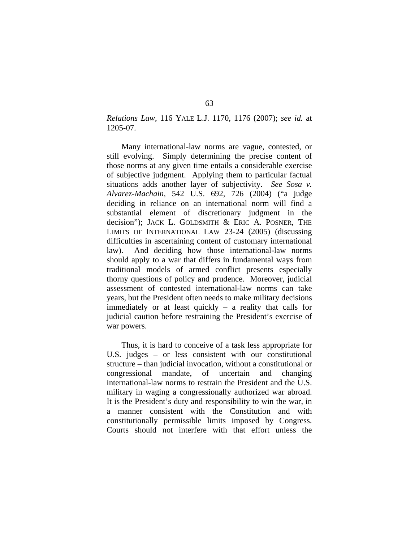## *Relations Law*, 116 YALE L.J. 1170, 1176 (2007); *see id.* at 1205-07.

Many international-law norms are vague, contested, or still evolving. Simply determining the precise content of those norms at any given time entails a considerable exercise of subjective judgment. Applying them to particular factual situations adds another layer of subjectivity. *See Sosa v. Alvarez-Machain*, 542 U.S. 692, 726 (2004) ("a judge deciding in reliance on an international norm will find a substantial element of discretionary judgment in the decision"); JACK L. GOLDSMITH & ERIC A. POSNER, THE LIMITS OF INTERNATIONAL LAW 23-24 (2005) (discussing difficulties in ascertaining content of customary international law). And deciding how those international-law norms should apply to a war that differs in fundamental ways from traditional models of armed conflict presents especially thorny questions of policy and prudence. Moreover, judicial assessment of contested international-law norms can take years, but the President often needs to make military decisions immediately or at least quickly – a reality that calls for judicial caution before restraining the President's exercise of war powers.

Thus, it is hard to conceive of a task less appropriate for U.S. judges – or less consistent with our constitutional structure – than judicial invocation, without a constitutional or congressional mandate, of uncertain and changing international-law norms to restrain the President and the U.S. military in waging a congressionally authorized war abroad. It is the President's duty and responsibility to win the war, in a manner consistent with the Constitution and with constitutionally permissible limits imposed by Congress. Courts should not interfere with that effort unless the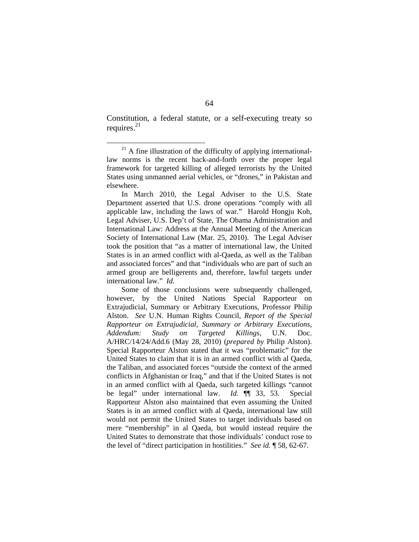Constitution, a federal statute, or a self-executing treaty so requires. $^{21}$ 

 $21$  A fine illustration of the difficulty of applying internationallaw norms is the recent back-and-forth over the proper legal framework for targeted killing of alleged terrorists by the United States using unmanned aerial vehicles, or "drones," in Pakistan and elsewhere.

In March 2010, the Legal Adviser to the U.S. State Department asserted that U.S. drone operations "comply with all applicable law, including the laws of war." Harold Hongju Koh, Legal Adviser, U.S. Dep't of State, The Obama Administration and International Law: Address at the Annual Meeting of the American Society of International Law (Mar. 25, 2010). The Legal Adviser took the position that "as a matter of international law, the United States is in an armed conflict with al-Qaeda, as well as the Taliban and associated forces" and that "individuals who are part of such an armed group are belligerents and, therefore, lawful targets under international law." *Id.*

Some of those conclusions were subsequently challenged, however, by the United Nations Special Rapporteur on Extrajudicial, Summary or Arbitrary Executions, Professor Philip Alston. *See* U.N. Human Rights Council, *Report of the Special Rapporteur on Extrajudicial, Summary or Arbitrary Executions, Addendum: Study on Targeted Killings*, U.N. Doc. A/HRC/14/24/Add.6 (May 28, 2010) (*prepared by* Philip Alston). Special Rapporteur Alston stated that it was "problematic" for the United States to claim that it is in an armed conflict with al Qaeda, the Taliban, and associated forces "outside the context of the armed conflicts in Afghanistan or Iraq," and that if the United States is not in an armed conflict with al Qaeda, such targeted killings "cannot be legal" under international law. *Id.* ¶¶ 33, 53. Special Rapporteur Alston also maintained that even assuming the United States is in an armed conflict with al Qaeda, international law still would not permit the United States to target individuals based on mere "membership" in al Qaeda, but would instead require the United States to demonstrate that those individuals' conduct rose to the level of "direct participation in hostilities." *See id.* ¶ 58, 62-67.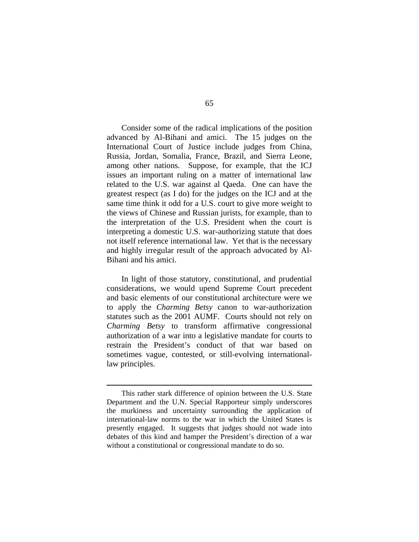Consider some of the radical implications of the position advanced by Al-Bihani and amici. The 15 judges on the International Court of Justice include judges from China, Russia, Jordan, Somalia, France, Brazil, and Sierra Leone, among other nations. Suppose, for example, that the ICJ issues an important ruling on a matter of international law related to the U.S. war against al Qaeda. One can have the greatest respect (as I do) for the judges on the ICJ and at the same time think it odd for a U.S. court to give more weight to the views of Chinese and Russian jurists, for example, than to the interpretation of the U.S. President when the court is interpreting a domestic U.S. war-authorizing statute that does not itself reference international law. Yet that is the necessary and highly irregular result of the approach advocated by Al-Bihani and his amici.

In light of those statutory, constitutional, and prudential considerations, we would upend Supreme Court precedent and basic elements of our constitutional architecture were we to apply the *Charming Betsy* canon to war-authorization statutes such as the 2001 AUMF. Courts should not rely on *Charming Betsy* to transform affirmative congressional authorization of a war into a legislative mandate for courts to restrain the President's conduct of that war based on sometimes vague, contested, or still-evolving internationallaw principles.

 $\overline{a}$ 

This rather stark difference of opinion between the U.S. State Department and the U.N. Special Rapporteur simply underscores the murkiness and uncertainty surrounding the application of international-law norms to the war in which the United States is presently engaged. It suggests that judges should not wade into debates of this kind and hamper the President's direction of a war without a constitutional or congressional mandate to do so.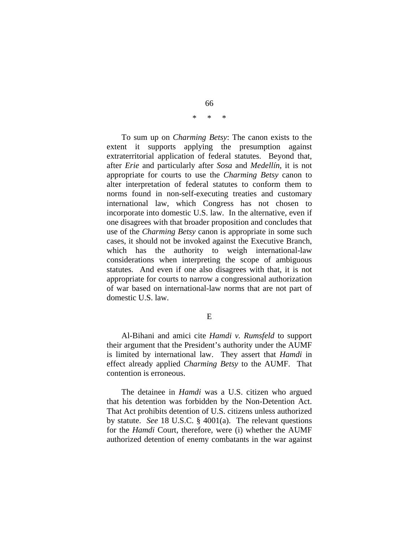\* \* \*

To sum up on *Charming Betsy*: The canon exists to the extent it supports applying the presumption against extraterritorial application of federal statutes. Beyond that, after *Erie* and particularly after *Sosa* and *Medellín*, it is not appropriate for courts to use the *Charming Betsy* canon to alter interpretation of federal statutes to conform them to norms found in non-self-executing treaties and customary international law, which Congress has not chosen to incorporate into domestic U.S. law. In the alternative, even if one disagrees with that broader proposition and concludes that use of the *Charming Betsy* canon is appropriate in some such cases, it should not be invoked against the Executive Branch, which has the authority to weigh international-law considerations when interpreting the scope of ambiguous statutes. And even if one also disagrees with that, it is not appropriate for courts to narrow a congressional authorization of war based on international-law norms that are not part of domestic U.S. law.

E

 Al-Bihani and amici cite *Hamdi v. Rumsfeld* to support their argument that the President's authority under the AUMF is limited by international law. They assert that *Hamdi* in effect already applied *Charming Betsy* to the AUMF. That contention is erroneous.

 The detainee in *Hamdi* was a U.S. citizen who argued that his detention was forbidden by the Non-Detention Act. That Act prohibits detention of U.S. citizens unless authorized by statute. *See* 18 U.S.C. § 4001(a). The relevant questions for the *Hamdi* Court, therefore, were (i) whether the AUMF authorized detention of enemy combatants in the war against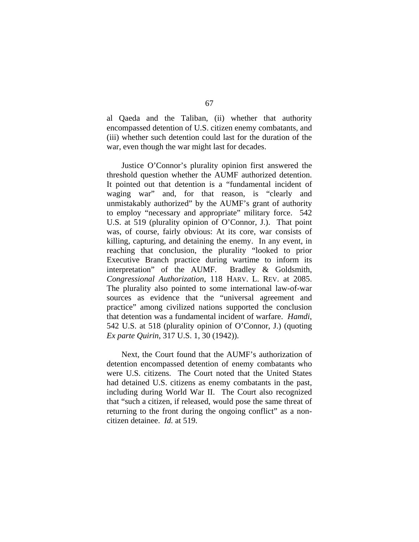al Qaeda and the Taliban, (ii) whether that authority encompassed detention of U.S. citizen enemy combatants, and (iii) whether such detention could last for the duration of the war, even though the war might last for decades.

Justice O'Connor's plurality opinion first answered the threshold question whether the AUMF authorized detention. It pointed out that detention is a "fundamental incident of waging war" and, for that reason, is "clearly and unmistakably authorized" by the AUMF's grant of authority to employ "necessary and appropriate" military force. 542 U.S. at 519 (plurality opinion of O'Connor, J.). That point was, of course, fairly obvious: At its core, war consists of killing, capturing, and detaining the enemy. In any event, in reaching that conclusion, the plurality "looked to prior Executive Branch practice during wartime to inform its interpretation" of the AUMF. Bradley & Goldsmith, *Congressional Authorization*, 118 HARV. L. REV. at 2085. The plurality also pointed to some international law-of-war sources as evidence that the "universal agreement and practice" among civilized nations supported the conclusion that detention was a fundamental incident of warfare. *Hamdi*, 542 U.S. at 518 (plurality opinion of O'Connor, J.) (quoting *Ex parte Quirin*, 317 U.S. 1, 30 (1942)).

Next, the Court found that the AUMF's authorization of detention encompassed detention of enemy combatants who were U.S. citizens. The Court noted that the United States had detained U.S. citizens as enemy combatants in the past, including during World War II. The Court also recognized that "such a citizen, if released, would pose the same threat of returning to the front during the ongoing conflict" as a noncitizen detainee. *Id.* at 519.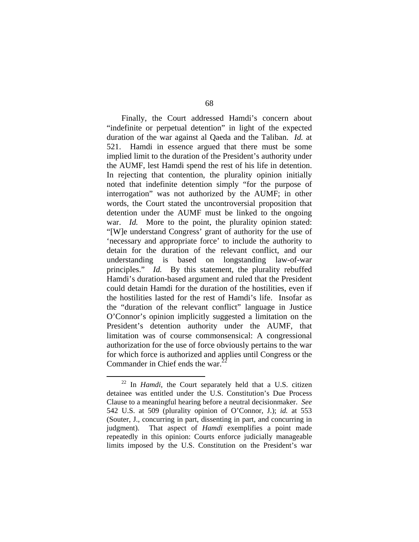Finally, the Court addressed Hamdi's concern about "indefinite or perpetual detention" in light of the expected duration of the war against al Qaeda and the Taliban. *Id.* at 521. Hamdi in essence argued that there must be some implied limit to the duration of the President's authority under the AUMF, lest Hamdi spend the rest of his life in detention. In rejecting that contention, the plurality opinion initially noted that indefinite detention simply "for the purpose of interrogation" was not authorized by the AUMF; in other words, the Court stated the uncontroversial proposition that detention under the AUMF must be linked to the ongoing war. *Id.* More to the point, the plurality opinion stated: "[W]e understand Congress' grant of authority for the use of 'necessary and appropriate force' to include the authority to detain for the duration of the relevant conflict, and our understanding is based on longstanding law-of-war principles." *Id.* By this statement, the plurality rebuffed Hamdi's duration-based argument and ruled that the President could detain Hamdi for the duration of the hostilities, even if the hostilities lasted for the rest of Hamdi's life. Insofar as the "duration of the relevant conflict" language in Justice O'Connor's opinion implicitly suggested a limitation on the President's detention authority under the AUMF, that limitation was of course commonsensical: A congressional authorization for the use of force obviously pertains to the war for which force is authorized and applies until Congress or the Commander in Chief ends the war.<sup>2</sup>

<sup>&</sup>lt;sup>22</sup> In *Hamdi*, the Court separately held that a U.S. citizen detainee was entitled under the U.S. Constitution's Due Process Clause to a meaningful hearing before a neutral decisionmaker. *See* 542 U.S. at 509 (plurality opinion of O'Connor, J.); *id.* at 553 (Souter, J., concurring in part, dissenting in part, and concurring in judgment). That aspect of *Hamdi* exemplifies a point made repeatedly in this opinion: Courts enforce judicially manageable limits imposed by the U.S. Constitution on the President's war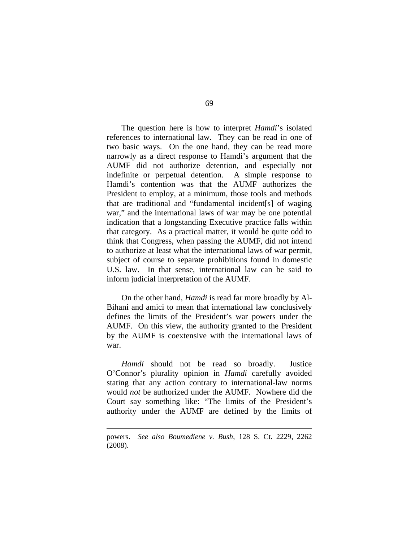The question here is how to interpret *Hamdi*'s isolated references to international law. They can be read in one of two basic ways. On the one hand, they can be read more narrowly as a direct response to Hamdi's argument that the AUMF did not authorize detention, and especially not indefinite or perpetual detention. A simple response to Hamdi's contention was that the AUMF authorizes the President to employ, at a minimum, those tools and methods that are traditional and "fundamental incident[s] of waging war," and the international laws of war may be one potential indication that a longstanding Executive practice falls within that category. As a practical matter, it would be quite odd to think that Congress, when passing the AUMF, did not intend to authorize at least what the international laws of war permit, subject of course to separate prohibitions found in domestic U.S. law. In that sense, international law can be said to inform judicial interpretation of the AUMF.

On the other hand, *Hamdi* is read far more broadly by Al-Bihani and amici to mean that international law conclusively defines the limits of the President's war powers under the AUMF. On this view, the authority granted to the President by the AUMF is coextensive with the international laws of war.

*Hamdi* should not be read so broadly. Justice O'Connor's plurality opinion in *Hamdi* carefully avoided stating that any action contrary to international-law norms would *not* be authorized under the AUMF. Nowhere did the Court say something like: "The limits of the President's authority under the AUMF are defined by the limits of

 $\overline{a}$ 

powers. *See also Boumediene v. Bush*, 128 S. Ct. 2229, 2262 (2008).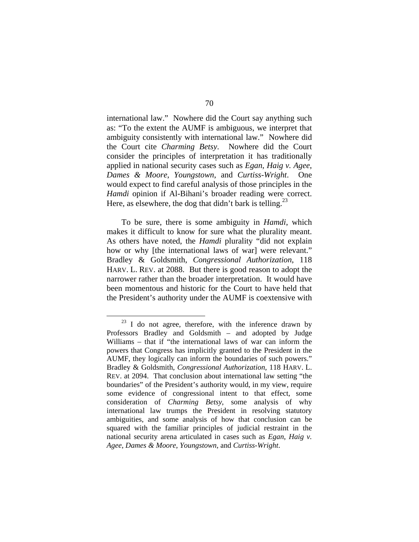international law." Nowhere did the Court say anything such as: "To the extent the AUMF is ambiguous, we interpret that ambiguity consistently with international law." Nowhere did the Court cite *Charming Betsy*. Nowhere did the Court consider the principles of interpretation it has traditionally applied in national security cases such as *Egan*, *Haig v. Agee*, *Dames & Moore*, *Youngstown*, and *Curtiss-Wright*. One would expect to find careful analysis of those principles in the *Hamdi* opinion if Al-Bihani's broader reading were correct. Here, as elsewhere, the dog that didn't bark is telling.<sup>23</sup>

To be sure, there is some ambiguity in *Hamdi*, which makes it difficult to know for sure what the plurality meant. As others have noted, the *Hamdi* plurality "did not explain how or why [the international laws of war] were relevant." Bradley & Goldsmith, *Congressional Authorization*, 118 HARV. L. REV. at 2088. But there is good reason to adopt the narrower rather than the broader interpretation. It would have been momentous and historic for the Court to have held that the President's authority under the AUMF is coextensive with

 $23$  I do not agree, therefore, with the inference drawn by Professors Bradley and Goldsmith – and adopted by Judge Williams – that if "the international laws of war can inform the powers that Congress has implicitly granted to the President in the AUMF, they logically can inform the boundaries of such powers." Bradley & Goldsmith, *Congressional Authorization*, 118 HARV. L. REV. at 2094. That conclusion about international law setting "the boundaries" of the President's authority would, in my view, require some evidence of congressional intent to that effect, some consideration of *Charming Betsy*, some analysis of why international law trumps the President in resolving statutory ambiguities, and some analysis of how that conclusion can be squared with the familiar principles of judicial restraint in the national security arena articulated in cases such as *Egan*, *Haig v. Agee*, *Dames & Moore*, *Youngstown*, and *Curtiss-Wright*.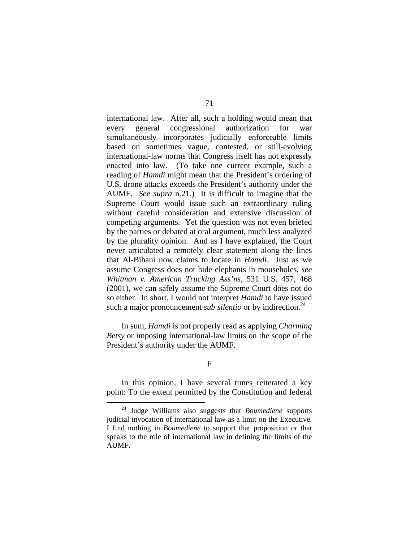international law. After all, such a holding would mean that every general congressional authorization for war simultaneously incorporates judicially enforceable limits based on sometimes vague, contested, or still-evolving international-law norms that Congress itself has not expressly enacted into law. (To take one current example, such a reading of *Hamdi* might mean that the President's ordering of U.S. drone attacks exceeds the President's authority under the AUMF. *See supra* n.21.) It is difficult to imagine that the Supreme Court would issue such an extraordinary ruling without careful consideration and extensive discussion of competing arguments. Yet the question was not even briefed by the parties or debated at oral argument, much less analyzed by the plurality opinion. And as I have explained, the Court never articulated a remotely clear statement along the lines that Al-Bihani now claims to locate in *Hamdi*. Just as we assume Congress does not hide elephants in mouseholes, *see Whitman v. American Trucking Ass'ns*, 531 U.S. 457, 468 (2001), we can safely assume the Supreme Court does not do so either. In short, I would not interpret *Hamdi* to have issued such a major pronouncement *sub silentio* or by indirection.<sup>24</sup>

In sum, *Hamdi* is not properly read as applying *Charming Betsy* or imposing international-law limits on the scope of the President's authority under the AUMF.

## F

In this opinion, I have several times reiterated a key point: To the extent permitted by the Constitution and federal

 <sup>24</sup> Judge Williams also suggests that *Boumediene* supports judicial invocation of international law as a limit on the Executive. I find nothing in *Boumediene* to support that proposition or that speaks to the role of international law in defining the limits of the AUMF.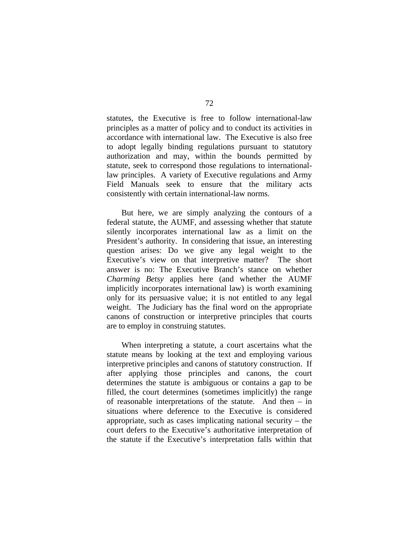statutes, the Executive is free to follow international-law principles as a matter of policy and to conduct its activities in accordance with international law. The Executive is also free to adopt legally binding regulations pursuant to statutory authorization and may, within the bounds permitted by statute, seek to correspond those regulations to internationallaw principles. A variety of Executive regulations and Army Field Manuals seek to ensure that the military acts consistently with certain international-law norms.

But here, we are simply analyzing the contours of a federal statute, the AUMF, and assessing whether that statute silently incorporates international law as a limit on the President's authority. In considering that issue, an interesting question arises: Do we give any legal weight to the Executive's view on that interpretive matter? The short answer is no: The Executive Branch's stance on whether *Charming Betsy* applies here (and whether the AUMF implicitly incorporates international law) is worth examining only for its persuasive value; it is not entitled to any legal weight. The Judiciary has the final word on the appropriate canons of construction or interpretive principles that courts are to employ in construing statutes.

When interpreting a statute, a court ascertains what the statute means by looking at the text and employing various interpretive principles and canons of statutory construction. If after applying those principles and canons, the court determines the statute is ambiguous or contains a gap to be filled, the court determines (sometimes implicitly) the range of reasonable interpretations of the statute. And then – in situations where deference to the Executive is considered appropriate, such as cases implicating national security – the court defers to the Executive's authoritative interpretation of the statute if the Executive's interpretation falls within that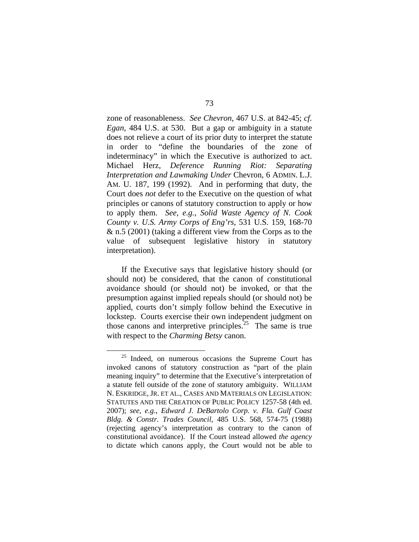zone of reasonableness. *See Chevron*, 467 U.S. at 842-45; *cf. Egan*, 484 U.S. at 530. But a gap or ambiguity in a statute does not relieve a court of its prior duty to interpret the statute in order to "define the boundaries of the zone of indeterminacy" in which the Executive is authorized to act. Michael Herz, *Deference Running Riot: Separating Interpretation and Lawmaking Under* Chevron, 6 ADMIN. L.J. AM. U. 187, 199 (1992). And in performing that duty, the Court does *not* defer to the Executive on the question of what principles or canons of statutory construction to apply or how to apply them. *See, e.g.*, *Solid Waste Agency of N. Cook County v. U.S. Army Corps of Eng'rs*, 531 U.S. 159, 168-70 & n.5 (2001) (taking a different view from the Corps as to the value of subsequent legislative history in statutory interpretation).

If the Executive says that legislative history should (or should not) be considered, that the canon of constitutional avoidance should (or should not) be invoked, or that the presumption against implied repeals should (or should not) be applied, courts don't simply follow behind the Executive in lockstep. Courts exercise their own independent judgment on those canons and interpretive principles.<sup>25</sup> The same is true with respect to the *Charming Betsy* canon.

 $25$  Indeed, on numerous occasions the Supreme Court has invoked canons of statutory construction as "part of the plain meaning inquiry" to determine that the Executive's interpretation of a statute fell outside of the zone of statutory ambiguity. WILLIAM N. ESKRIDGE, JR. ET AL., CASES AND MATERIALS ON LEGISLATION: STATUTES AND THE CREATION OF PUBLIC POLICY 1257-58 (4th ed. 2007); *see, e.g.*, *Edward J. DeBartolo Corp. v. Fla. Gulf Coast Bldg. & Constr. Trades Council*, 485 U.S. 568, 574-75 (1988) (rejecting agency's interpretation as contrary to the canon of constitutional avoidance). If the Court instead allowed *the agency* to dictate which canons apply, the Court would not be able to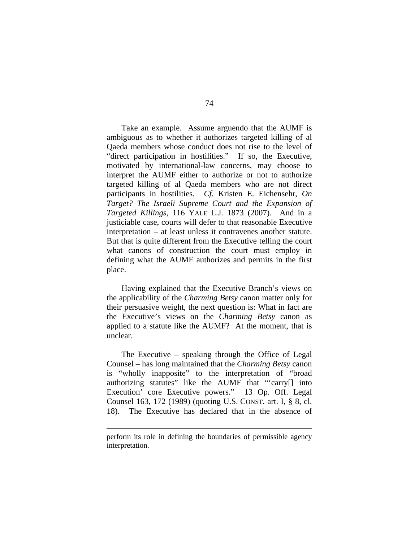Take an example. Assume arguendo that the AUMF is ambiguous as to whether it authorizes targeted killing of al Qaeda members whose conduct does not rise to the level of "direct participation in hostilities." If so, the Executive, motivated by international-law concerns, may choose to interpret the AUMF either to authorize or not to authorize targeted killing of al Qaeda members who are not direct participants in hostilities. *Cf.* Kristen E. Eichensehr, *On Target? The Israeli Supreme Court and the Expansion of Targeted Killings*, 116 YALE L.J. 1873 (2007). And in a justiciable case, courts will defer to that reasonable Executive interpretation – at least unless it contravenes another statute. But that is quite different from the Executive telling the court what canons of construction the court must employ in defining what the AUMF authorizes and permits in the first place.

Having explained that the Executive Branch's views on the applicability of the *Charming Betsy* canon matter only for their persuasive weight, the next question is: What in fact are the Executive's views on the *Charming Betsy* canon as applied to a statute like the AUMF? At the moment, that is unclear.

The Executive – speaking through the Office of Legal Counsel – has long maintained that the *Charming Betsy* canon is "wholly inapposite" to the interpretation of "broad authorizing statutes" like the AUMF that "'carry[] into Execution' core Executive powers." 13 Op. Off. Legal Counsel 163, 172 (1989) (quoting U.S. CONST. art. I, § 8, cl. 18). The Executive has declared that in the absence of

 $\overline{a}$ 

perform its role in defining the boundaries of permissible agency interpretation.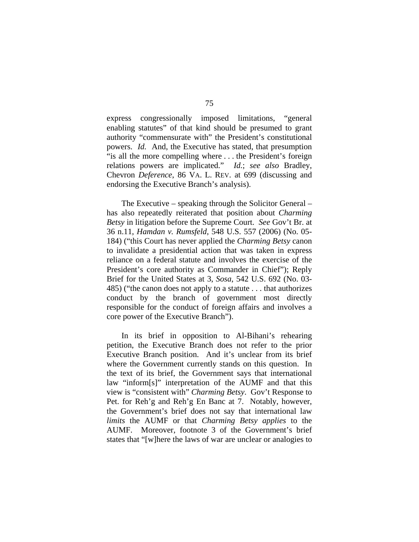express congressionally imposed limitations, "general enabling statutes" of that kind should be presumed to grant authority "commensurate with" the President's constitutional powers. *Id.* And, the Executive has stated, that presumption "is all the more compelling where . . . the President's foreign relations powers are implicated." *Id.*; *see also* Bradley, Chevron *Deference*, 86 VA. L. REV. at 699 (discussing and endorsing the Executive Branch's analysis).

The Executive – speaking through the Solicitor General – has also repeatedly reiterated that position about *Charming Betsy* in litigation before the Supreme Court. *See* Gov't Br. at 36 n.11, *Hamdan v. Rumsfeld*, 548 U.S. 557 (2006) (No. 05- 184) ("this Court has never applied the *Charming Betsy* canon to invalidate a presidential action that was taken in express reliance on a federal statute and involves the exercise of the President's core authority as Commander in Chief"); Reply Brief for the United States at 3, *Sosa*, 542 U.S. 692 (No. 03- 485) ("the canon does not apply to a statute . . . that authorizes conduct by the branch of government most directly responsible for the conduct of foreign affairs and involves a core power of the Executive Branch").

In its brief in opposition to Al-Bihani's rehearing petition, the Executive Branch does not refer to the prior Executive Branch position. And it's unclear from its brief where the Government currently stands on this question. In the text of its brief, the Government says that international law "inform[s]" interpretation of the AUMF and that this view is "consistent with" *Charming Betsy*. Gov't Response to Pet. for Reh'g and Reh'g En Banc at 7. Notably, however, the Government's brief does not say that international law *limits* the AUMF or that *Charming Betsy applies* to the AUMF. Moreover, footnote 3 of the Government's brief states that "[w]here the laws of war are unclear or analogies to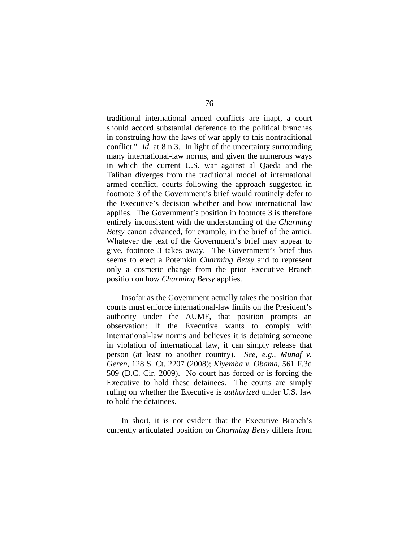traditional international armed conflicts are inapt, a court should accord substantial deference to the political branches in construing how the laws of war apply to this nontraditional conflict." *Id.* at 8 n.3. In light of the uncertainty surrounding many international-law norms, and given the numerous ways in which the current U.S. war against al Qaeda and the Taliban diverges from the traditional model of international armed conflict, courts following the approach suggested in footnote 3 of the Government's brief would routinely defer to the Executive's decision whether and how international law applies. The Government's position in footnote 3 is therefore entirely inconsistent with the understanding of the *Charming Betsy* canon advanced, for example, in the brief of the amici. Whatever the text of the Government's brief may appear to give, footnote 3 takes away. The Government's brief thus seems to erect a Potemkin *Charming Betsy* and to represent only a cosmetic change from the prior Executive Branch position on how *Charming Betsy* applies.

Insofar as the Government actually takes the position that courts must enforce international-law limits on the President's authority under the AUMF, that position prompts an observation: If the Executive wants to comply with international-law norms and believes it is detaining someone in violation of international law, it can simply release that person (at least to another country). *See, e.g.*, *Munaf v. Geren*, 128 S. Ct. 2207 (2008); *Kiyemba v. Obama*, 561 F.3d 509 (D.C. Cir. 2009). No court has forced or is forcing the Executive to hold these detainees. The courts are simply ruling on whether the Executive is *authorized* under U.S. law to hold the detainees.

In short, it is not evident that the Executive Branch's currently articulated position on *Charming Betsy* differs from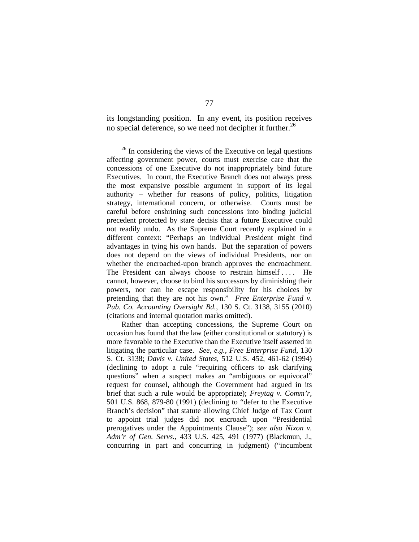its longstanding position. In any event, its position receives no special deference, so we need not decipher it further.<sup>26</sup>

 $^{26}$  In considering the views of the Executive on legal questions affecting government power, courts must exercise care that the concessions of one Executive do not inappropriately bind future Executives. In court, the Executive Branch does not always press the most expansive possible argument in support of its legal authority – whether for reasons of policy, politics, litigation strategy, international concern, or otherwise. Courts must be careful before enshrining such concessions into binding judicial precedent protected by stare decisis that a future Executive could not readily undo. As the Supreme Court recently explained in a different context: "Perhaps an individual President might find advantages in tying his own hands. But the separation of powers does not depend on the views of individual Presidents, nor on whether the encroached-upon branch approves the encroachment. The President can always choose to restrain himself .... He cannot, however, choose to bind his successors by diminishing their powers, nor can he escape responsibility for his choices by pretending that they are not his own." *Free Enterprise Fund v. Pub. Co. Accounting Oversight Bd.*, 130 S. Ct. 3138, 3155 (2010) (citations and internal quotation marks omitted).

Rather than accepting concessions, the Supreme Court on occasion has found that the law (either constitutional or statutory) is more favorable to the Executive than the Executive itself asserted in litigating the particular case. *See, e.g.*, *Free Enterprise Fund*, 130 S. Ct. 3138; *Davis v. United States*, 512 U.S. 452, 461-62 (1994) (declining to adopt a rule "requiring officers to ask clarifying questions" when a suspect makes an "ambiguous or equivocal" request for counsel, although the Government had argued in its brief that such a rule would be appropriate); *Freytag v. Comm'r*, 501 U.S. 868, 879-80 (1991) (declining to "defer to the Executive Branch's decision" that statute allowing Chief Judge of Tax Court to appoint trial judges did not encroach upon "Presidential prerogatives under the Appointments Clause"); *see also Nixon v. Adm'r of Gen. Servs.*, 433 U.S. 425, 491 (1977) (Blackmun, J., concurring in part and concurring in judgment) ("incumbent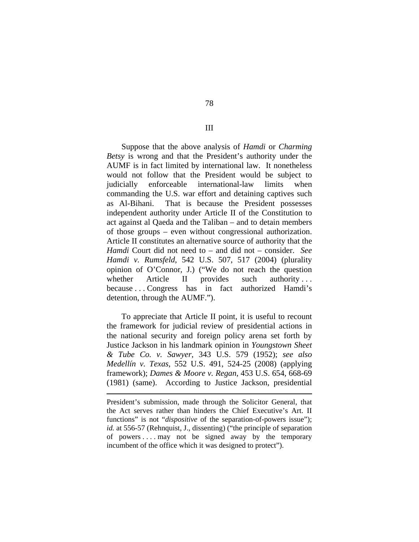Suppose that the above analysis of *Hamdi* or *Charming Betsy* is wrong and that the President's authority under the AUMF is in fact limited by international law. It nonetheless would not follow that the President would be subject to judicially enforceable international-law limits when commanding the U.S. war effort and detaining captives such as Al-Bihani. That is because the President possesses independent authority under Article II of the Constitution to act against al Qaeda and the Taliban – and to detain members of those groups – even without congressional authorization. Article II constitutes an alternative source of authority that the *Hamdi* Court did not need to – and did not – consider. *See Hamdi v. Rumsfeld*, 542 U.S. 507, 517 (2004) (plurality opinion of O'Connor, J.) ("We do not reach the question whether Article II provides such authority ... because . . . Congress has in fact authorized Hamdi's detention, through the AUMF.").

To appreciate that Article II point, it is useful to recount the framework for judicial review of presidential actions in the national security and foreign policy arena set forth by Justice Jackson in his landmark opinion in *Youngstown Sheet & Tube Co. v. Sawyer*, 343 U.S. 579 (1952); *see also Medellín v. Texas*, 552 U.S. 491, 524-25 (2008) (applying framework); *Dames & Moore v. Regan*, 453 U.S. 654, 668-69 (1981) (same). According to Justice Jackson, presidential

 $\overline{a}$ 

78

## III

President's submission, made through the Solicitor General, that the Act serves rather than hinders the Chief Executive's Art. II functions" is not "*dispositive* of the separation-of-powers issue"); *id.* at 556-57 (Rehnquist, J., dissenting) ("the principle of separation of powers . . . . may not be signed away by the temporary incumbent of the office which it was designed to protect").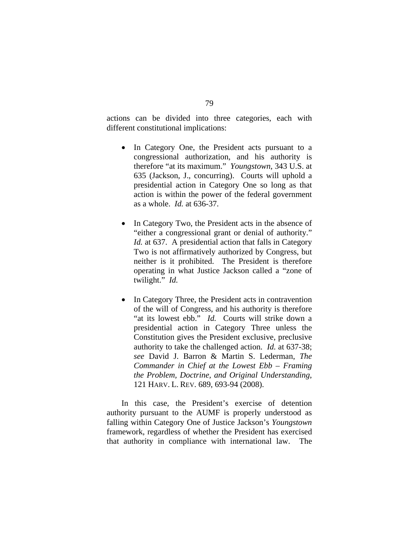actions can be divided into three categories, each with different constitutional implications:

- In Category One, the President acts pursuant to a congressional authorization, and his authority is therefore "at its maximum." *Youngstown*, 343 U.S. at 635 (Jackson, J., concurring). Courts will uphold a presidential action in Category One so long as that action is within the power of the federal government as a whole. *Id.* at 636-37.
- In Category Two, the President acts in the absence of "either a congressional grant or denial of authority." *Id.* at 637. A presidential action that falls in Category Two is not affirmatively authorized by Congress, but neither is it prohibited. The President is therefore operating in what Justice Jackson called a "zone of twilight." *Id.*
- In Category Three, the President acts in contravention of the will of Congress, and his authority is therefore "at its lowest ebb." *Id.* Courts will strike down a presidential action in Category Three unless the Constitution gives the President exclusive, preclusive authority to take the challenged action. *Id.* at 637-38; *see* David J. Barron & Martin S. Lederman, *The Commander in Chief at the Lowest Ebb – Framing the Problem, Doctrine, and Original Understanding*, 121 HARV. L. REV. 689, 693-94 (2008).

In this case, the President's exercise of detention authority pursuant to the AUMF is properly understood as falling within Category One of Justice Jackson's *Youngstown* framework, regardless of whether the President has exercised that authority in compliance with international law. The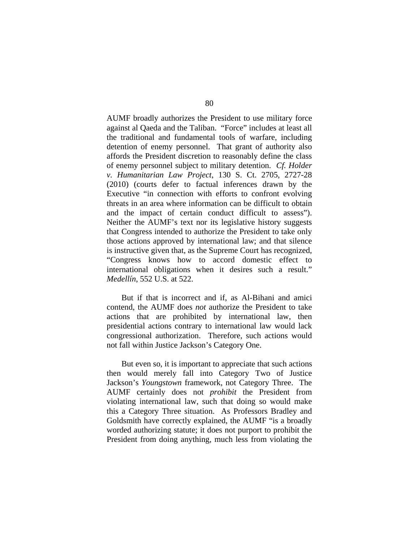AUMF broadly authorizes the President to use military force against al Qaeda and the Taliban. "Force" includes at least all the traditional and fundamental tools of warfare, including detention of enemy personnel. That grant of authority also affords the President discretion to reasonably define the class of enemy personnel subject to military detention. *Cf. Holder v. Humanitarian Law Project*, 130 S. Ct. 2705, 2727-28 (2010) (courts defer to factual inferences drawn by the Executive "in connection with efforts to confront evolving threats in an area where information can be difficult to obtain and the impact of certain conduct difficult to assess"). Neither the AUMF's text nor its legislative history suggests that Congress intended to authorize the President to take only those actions approved by international law; and that silence is instructive given that, as the Supreme Court has recognized, "Congress knows how to accord domestic effect to international obligations when it desires such a result." *Medellín*, 552 U.S. at 522.

But if that is incorrect and if, as Al-Bihani and amici contend, the AUMF does *not* authorize the President to take actions that are prohibited by international law, then presidential actions contrary to international law would lack congressional authorization. Therefore, such actions would not fall within Justice Jackson's Category One.

But even so, it is important to appreciate that such actions then would merely fall into Category Two of Justice Jackson's *Youngstown* framework, not Category Three. The AUMF certainly does not *prohibit* the President from violating international law, such that doing so would make this a Category Three situation. As Professors Bradley and Goldsmith have correctly explained, the AUMF "is a broadly worded authorizing statute; it does not purport to prohibit the President from doing anything, much less from violating the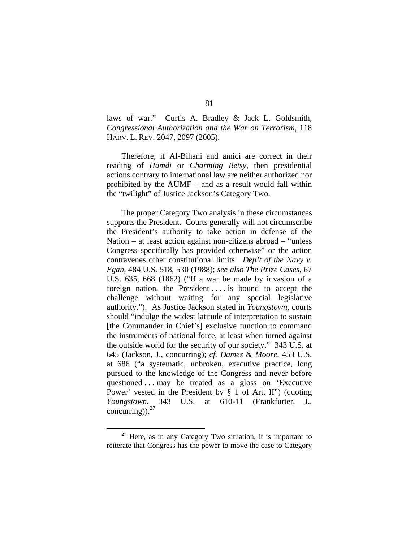laws of war." Curtis A. Bradley & Jack L. Goldsmith, *Congressional Authorization and the War on Terrorism*, 118 HARV. L. REV. 2047, 2097 (2005).

Therefore, if Al-Bihani and amici are correct in their reading of *Hamdi* or *Charming Betsy*, then presidential actions contrary to international law are neither authorized nor prohibited by the AUMF – and as a result would fall within the "twilight" of Justice Jackson's Category Two.

The proper Category Two analysis in these circumstances supports the President. Courts generally will not circumscribe the President's authority to take action in defense of the Nation – at least action against non-citizens abroad – "unless Congress specifically has provided otherwise" or the action contravenes other constitutional limits. *Dep't of the Navy v. Egan*, 484 U.S. 518, 530 (1988); *see also The Prize Cases*, 67 U.S. 635, 668 (1862) ("If a war be made by invasion of a foreign nation, the President . . . . is bound to accept the challenge without waiting for any special legislative authority."). As Justice Jackson stated in *Youngstown*, courts should "indulge the widest latitude of interpretation to sustain [the Commander in Chief's] exclusive function to command the instruments of national force, at least when turned against the outside world for the security of our society." 343 U.S. at 645 (Jackson, J., concurring); *cf. Dames & Moore*, 453 U.S. at 686 ("a systematic, unbroken, executive practice, long pursued to the knowledge of the Congress and never before questioned . . . may be treated as a gloss on 'Executive Power' vested in the President by § 1 of Art. II") (quoting *Youngstown*, 343 U.S. at 610-11 (Frankfurter, J., concurring)). $^{27}$ 

 $27$  Here, as in any Category Two situation, it is important to reiterate that Congress has the power to move the case to Category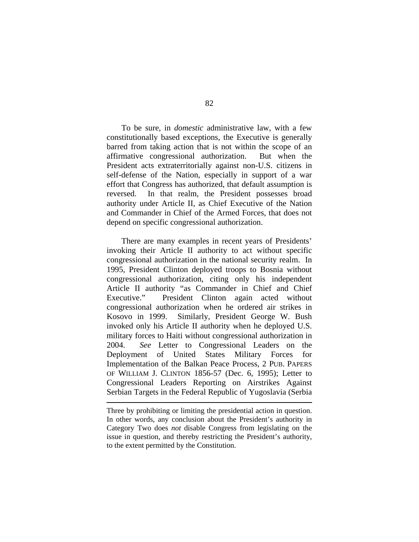To be sure, in *domestic* administrative law, with a few constitutionally based exceptions, the Executive is generally barred from taking action that is not within the scope of an affirmative congressional authorization. But when the President acts extraterritorially against non-U.S. citizens in self-defense of the Nation, especially in support of a war effort that Congress has authorized, that default assumption is reversed. In that realm, the President possesses broad authority under Article II, as Chief Executive of the Nation and Commander in Chief of the Armed Forces, that does not depend on specific congressional authorization.

There are many examples in recent years of Presidents' invoking their Article II authority to act without specific congressional authorization in the national security realm. In 1995, President Clinton deployed troops to Bosnia without congressional authorization, citing only his independent Article II authority "as Commander in Chief and Chief Executive." President Clinton again acted without congressional authorization when he ordered air strikes in Kosovo in 1999. Similarly, President George W. Bush invoked only his Article II authority when he deployed U.S. military forces to Haiti without congressional authorization in 2004. *See* Letter to Congressional Leaders on the Deployment of United States Military Forces for Implementation of the Balkan Peace Process, 2 PUB. PAPERS OF WILLIAM J. CLINTON 1856-57 (Dec. 6, 1995); Letter to Congressional Leaders Reporting on Airstrikes Against Serbian Targets in the Federal Republic of Yugoslavia (Serbia

<u>.</u>

Three by prohibiting or limiting the presidential action in question. In other words, any conclusion about the President's authority in Category Two does *not* disable Congress from legislating on the issue in question, and thereby restricting the President's authority, to the extent permitted by the Constitution.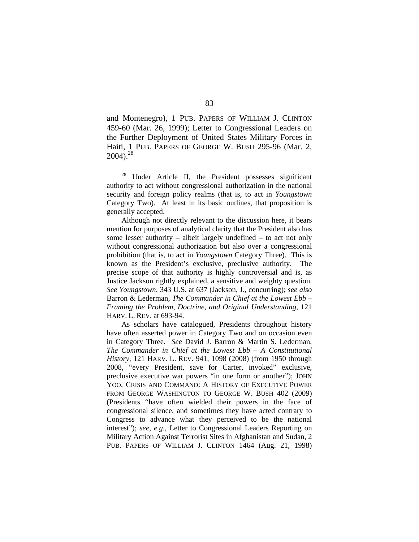and Montenegro), 1 PUB. PAPERS OF WILLIAM J. CLINTON 459-60 (Mar. 26, 1999); Letter to Congressional Leaders on the Further Deployment of United States Military Forces in Haiti, 1 PUB. PAPERS OF GEORGE W. BUSH 295-96 (Mar. 2,  $2004$ )<sup>28</sup>

Although not directly relevant to the discussion here, it bears mention for purposes of analytical clarity that the President also has some lesser authority – albeit largely undefined – to act not only without congressional authorization but also over a congressional prohibition (that is, to act in *Youngstown* Category Three). This is known as the President's exclusive, preclusive authority. The precise scope of that authority is highly controversial and is, as Justice Jackson rightly explained, a sensitive and weighty question. *See Youngstown*, 343 U.S. at 637 (Jackson, J., concurring); *see also* Barron & Lederman, *The Commander in Chief at the Lowest Ebb – Framing the Problem, Doctrine, and Original Understanding*, 121 HARV. L. REV. at 693-94.

As scholars have catalogued, Presidents throughout history have often asserted power in Category Two and on occasion even in Category Three. *See* David J. Barron & Martin S. Lederman, *The Commander in Chief at the Lowest Ebb – A Constitutional History*, 121 HARV. L. REV. 941, 1098 (2008) (from 1950 through 2008, "every President, save for Carter, invoked" exclusive, preclusive executive war powers "in one form or another"); JOHN YOO, CRISIS AND COMMAND: A HISTORY OF EXECUTIVE POWER FROM GEORGE WASHINGTON TO GEORGE W. BUSH 402 (2009) (Presidents "have often wielded their powers in the face of congressional silence, and sometimes they have acted contrary to Congress to advance what they perceived to be the national interest"); *see, e.g.*, Letter to Congressional Leaders Reporting on Military Action Against Terrorist Sites in Afghanistan and Sudan, 2 PUB. PAPERS OF WILLIAM J. CLINTON 1464 (Aug. 21, 1998)

 <sup>28</sup> Under Article II, the President possesses significant authority to act without congressional authorization in the national security and foreign policy realms (that is, to act in *Youngstown* Category Two). At least in its basic outlines, that proposition is generally accepted.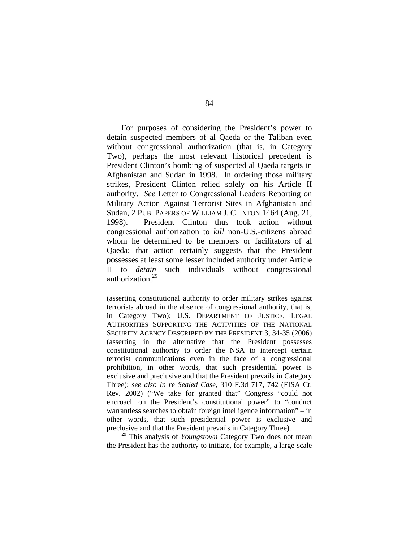For purposes of considering the President's power to detain suspected members of al Qaeda or the Taliban even without congressional authorization (that is, in Category Two), perhaps the most relevant historical precedent is President Clinton's bombing of suspected al Qaeda targets in Afghanistan and Sudan in 1998. In ordering those military strikes, President Clinton relied solely on his Article II authority. *See* Letter to Congressional Leaders Reporting on Military Action Against Terrorist Sites in Afghanistan and Sudan, 2 PUB. PAPERS OF WILLIAM J. CLINTON 1464 (Aug. 21, 1998). President Clinton thus took action without congressional authorization to *kill* non-U.S.-citizens abroad whom he determined to be members or facilitators of al Qaeda; that action certainly suggests that the President possesses at least some lesser included authority under Article II to *detain* such individuals without congressional authorization.<sup>29</sup>

(asserting constitutional authority to order military strikes against terrorists abroad in the absence of congressional authority, that is, in Category Two); U.S. DEPARTMENT OF JUSTICE, LEGAL AUTHORITIES SUPPORTING THE ACTIVITIES OF THE NATIONAL SECURITY AGENCY DESCRIBED BY THE PRESIDENT 3, 34-35 (2006) (asserting in the alternative that the President possesses constitutional authority to order the NSA to intercept certain terrorist communications even in the face of a congressional prohibition, in other words, that such presidential power is exclusive and preclusive and that the President prevails in Category Three); *see also In re Sealed Case*, 310 F.3d 717, 742 (FISA Ct. Rev. 2002) ("We take for granted that" Congress "could not encroach on the President's constitutional power" to "conduct warrantless searches to obtain foreign intelligence information" – in other words, that such presidential power is exclusive and preclusive and that the President prevails in Category Three).

 $\overline{a}$ 

29 This analysis of *Youngstown* Category Two does not mean the President has the authority to initiate, for example, a large-scale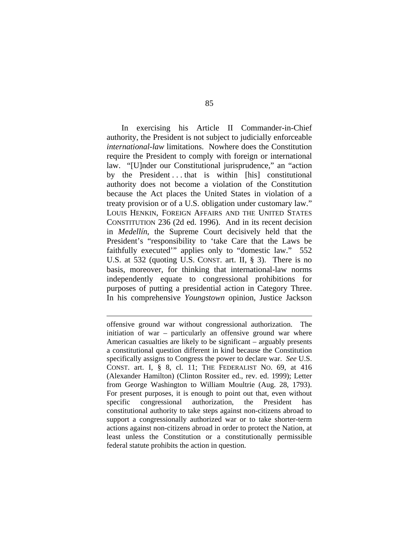In exercising his Article II Commander-in-Chief authority, the President is not subject to judicially enforceable *international-law* limitations. Nowhere does the Constitution require the President to comply with foreign or international law. "[U]nder our Constitutional jurisprudence," an "action by the President . . . that is within [his] constitutional authority does not become a violation of the Constitution because the Act places the United States in violation of a treaty provision or of a U.S. obligation under customary law." LOUIS HENKIN, FOREIGN AFFAIRS AND THE UNITED STATES CONSTITUTION 236 (2d ed. 1996). And in its recent decision in *Medellín*, the Supreme Court decisively held that the President's "responsibility to 'take Care that the Laws be faithfully executed'" applies only to "domestic law." 552 U.S. at 532 (quoting U.S. CONST. art. II, § 3). There is no basis, moreover, for thinking that international-law norms independently equate to congressional prohibitions for purposes of putting a presidential action in Category Three. In his comprehensive *Youngstown* opinion, Justice Jackson

 $\overline{a}$ 

offensive ground war without congressional authorization. The initiation of war – particularly an offensive ground war where American casualties are likely to be significant – arguably presents a constitutional question different in kind because the Constitution specifically assigns to Congress the power to declare war. *See* U.S. CONST. art. I, § 8, cl. 11; THE FEDERALIST NO. 69, at 416 (Alexander Hamilton) (Clinton Rossiter ed., rev. ed. 1999); Letter from George Washington to William Moultrie (Aug. 28, 1793). For present purposes, it is enough to point out that, even without specific congressional authorization, the President has constitutional authority to take steps against non-citizens abroad to support a congressionally authorized war or to take shorter-term actions against non-citizens abroad in order to protect the Nation, at least unless the Constitution or a constitutionally permissible federal statute prohibits the action in question.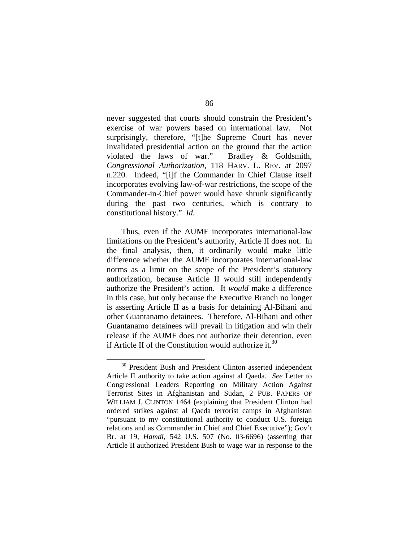never suggested that courts should constrain the President's exercise of war powers based on international law. Not surprisingly, therefore, "[t]he Supreme Court has never invalidated presidential action on the ground that the action violated the laws of war." Bradley & Goldsmith, *Congressional Authorization*, 118 HARV. L. REV. at 2097 n.220. Indeed, "[i]f the Commander in Chief Clause itself incorporates evolving law-of-war restrictions, the scope of the Commander-in-Chief power would have shrunk significantly during the past two centuries, which is contrary to constitutional history." *Id.*

Thus, even if the AUMF incorporates international-law limitations on the President's authority, Article II does not. In the final analysis, then, it ordinarily would make little difference whether the AUMF incorporates international-law norms as a limit on the scope of the President's statutory authorization, because Article II would still independently authorize the President's action. It *would* make a difference in this case, but only because the Executive Branch no longer is asserting Article II as a basis for detaining Al-Bihani and other Guantanamo detainees. Therefore, Al-Bihani and other Guantanamo detainees will prevail in litigation and win their release if the AUMF does not authorize their detention, even if Article II of the Constitution would authorize it.<sup>30</sup>

<sup>&</sup>lt;sup>30</sup> President Bush and President Clinton asserted independent Article II authority to take action against al Qaeda. *See* Letter to Congressional Leaders Reporting on Military Action Against Terrorist Sites in Afghanistan and Sudan, 2 PUB. PAPERS OF WILLIAM J. CLINTON 1464 (explaining that President Clinton had ordered strikes against al Qaeda terrorist camps in Afghanistan "pursuant to my constitutional authority to conduct U.S. foreign relations and as Commander in Chief and Chief Executive"); Gov't Br. at 19, *Hamdi*, 542 U.S. 507 (No. 03-6696) (asserting that Article II authorized President Bush to wage war in response to the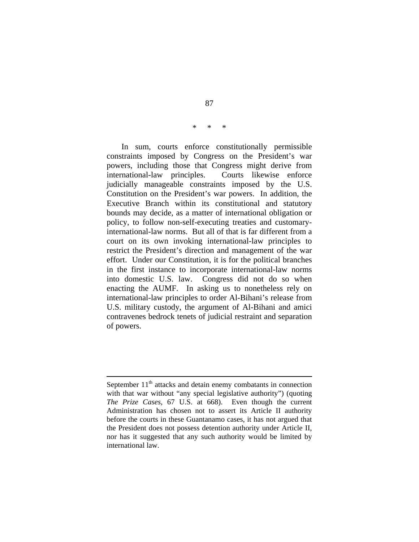\* \* \*

In sum, courts enforce constitutionally permissible constraints imposed by Congress on the President's war powers, including those that Congress might derive from international-law principles. Courts likewise enforce judicially manageable constraints imposed by the U.S. Constitution on the President's war powers. In addition, the Executive Branch within its constitutional and statutory bounds may decide, as a matter of international obligation or policy, to follow non-self-executing treaties and customaryinternational-law norms. But all of that is far different from a court on its own invoking international-law principles to restrict the President's direction and management of the war effort. Under our Constitution, it is for the political branches in the first instance to incorporate international-law norms into domestic U.S. law. Congress did not do so when enacting the AUMF. In asking us to nonetheless rely on international-law principles to order Al-Bihani's release from U.S. military custody, the argument of Al-Bihani and amici contravenes bedrock tenets of judicial restraint and separation of powers.

 $\overline{a}$ 

September  $11<sup>th</sup>$  attacks and detain enemy combatants in connection with that war without "any special legislative authority") (quoting *The Prize Cases*, 67 U.S. at 668). Even though the current Administration has chosen not to assert its Article II authority before the courts in these Guantanamo cases, it has not argued that the President does not possess detention authority under Article II, nor has it suggested that any such authority would be limited by international law.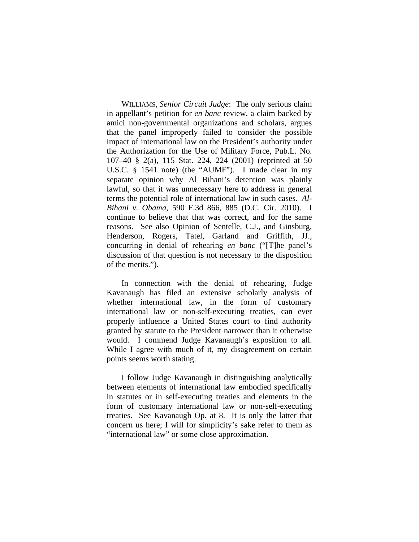WILLIAMS, *Senior Circuit Judge*: The only serious claim in appellant's petition for *en banc* review, a claim backed by amici non-governmental organizations and scholars, argues that the panel improperly failed to consider the possible impact of international law on the President's authority under the Authorization for the Use of Military Force, Pub.L. No. 107–40 § 2(a), 115 Stat. 224, 224 (2001) (reprinted at 50 U.S.C. § 1541 note) (the "AUMF"). I made clear in my separate opinion why Al Bihani's detention was plainly lawful, so that it was unnecessary here to address in general terms the potential role of international law in such cases. *Al-Bihani v. Obama*, 590 F.3d 866, 885 (D.C. Cir. 2010). I continue to believe that that was correct, and for the same reasons. See also Opinion of Sentelle, C.J., and Ginsburg, Henderson, Rogers, Tatel, Garland and Griffith, JJ., concurring in denial of rehearing *en banc* ("[T]he panel's discussion of that question is not necessary to the disposition of the merits.").

 In connection with the denial of rehearing, Judge Kavanaugh has filed an extensive scholarly analysis of whether international law, in the form of customary international law or non-self-executing treaties, can ever properly influence a United States court to find authority granted by statute to the President narrower than it otherwise would. I commend Judge Kavanaugh's exposition to all. While I agree with much of it, my disagreement on certain points seems worth stating.

 I follow Judge Kavanaugh in distinguishing analytically between elements of international law embodied specifically in statutes or in self-executing treaties and elements in the form of customary international law or non-self-executing treaties. See Kavanaugh Op. at 8. It is only the latter that concern us here; I will for simplicity's sake refer to them as "international law" or some close approximation.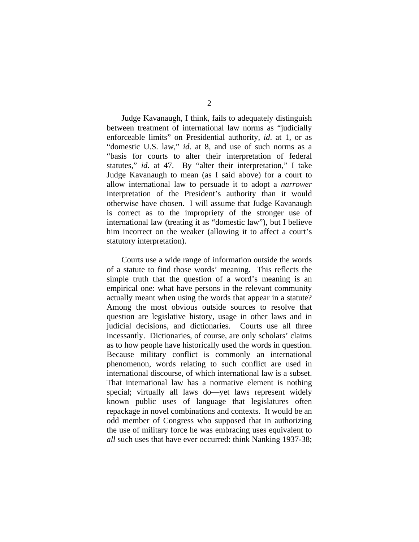Judge Kavanaugh, I think, fails to adequately distinguish between treatment of international law norms as "judicially enforceable limits" on Presidential authority, *id*. at 1, or as "domestic U.S. law," *id*. at 8, and use of such norms as a "basis for courts to alter their interpretation of federal statutes," *id*. at 47. By "alter their interpretation," I take Judge Kavanaugh to mean (as I said above) for a court to allow international law to persuade it to adopt a *narrower* interpretation of the President's authority than it would otherwise have chosen. I will assume that Judge Kavanaugh is correct as to the impropriety of the stronger use of international law (treating it as "domestic law"), but I believe him incorrect on the weaker (allowing it to affect a court's statutory interpretation).

 Courts use a wide range of information outside the words of a statute to find those words' meaning. This reflects the simple truth that the question of a word's meaning is an empirical one: what have persons in the relevant community actually meant when using the words that appear in a statute? Among the most obvious outside sources to resolve that question are legislative history, usage in other laws and in judicial decisions, and dictionaries. Courts use all three incessantly. Dictionaries, of course, are only scholars' claims as to how people have historically used the words in question. Because military conflict is commonly an international phenomenon, words relating to such conflict are used in international discourse, of which international law is a subset. That international law has a normative element is nothing special; virtually all laws do—yet laws represent widely known public uses of language that legislatures often repackage in novel combinations and contexts. It would be an odd member of Congress who supposed that in authorizing the use of military force he was embracing uses equivalent to *all* such uses that have ever occurred: think Nanking 1937-38;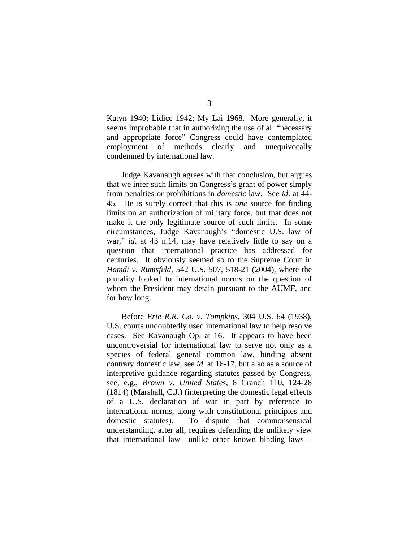Katyn 1940; Lidice 1942; My Lai 1968. More generally, it seems improbable that in authorizing the use of all "necessary and appropriate force" Congress could have contemplated employment of methods clearly and unequivocally condemned by international law.

Judge Kavanaugh agrees with that conclusion, but argues that we infer such limits on Congress's grant of power simply from penalties or prohibitions in *domestic* law. See *id*. at 44- 45. He is surely correct that this is *one* source for finding limits on an authorization of military force, but that does not make it the only legitimate source of such limits. In some circumstances, Judge Kavanaugh's "domestic U.S. law of war," *id*. at 43 n.14, may have relatively little to say on a question that international practice has addressed for centuries. It obviously seemed so to the Supreme Court in *Hamdi v. Rumsfeld*, 542 U.S. 507, 518-21 (2004), where the plurality looked to international norms on the question of whom the President may detain pursuant to the AUMF, and for how long.

Before *Erie R.R. Co. v. Tompkins*, 304 U.S. 64 (1938), U.S. courts undoubtedly used international law to help resolve cases. See Kavanaugh Op. at 16. It appears to have been uncontroversial for international law to serve not only as a species of federal general common law, binding absent contrary domestic law, see *id*. at 16-17, but also as a source of interpretive guidance regarding statutes passed by Congress, see, e.g., *Brown v. United States*, 8 Cranch 110, 124-28 (1814) (Marshall, C.J.) (interpreting the domestic legal effects of a U.S. declaration of war in part by reference to international norms, along with constitutional principles and domestic statutes). To dispute that commonsensical understanding, after all, requires defending the unlikely view that international law—unlike other known binding laws—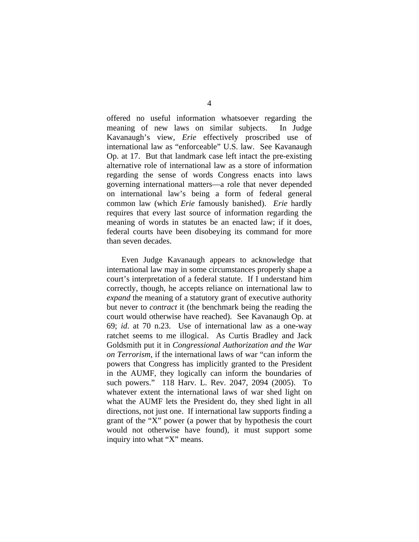offered no useful information whatsoever regarding the meaning of new laws on similar subjects. In Judge Kavanaugh's view, *Erie* effectively proscribed use of international law as "enforceable" U.S. law. See Kavanaugh Op. at 17. But that landmark case left intact the pre-existing alternative role of international law as a store of information regarding the sense of words Congress enacts into laws governing international matters—a role that never depended on international law's being a form of federal general common law (which *Erie* famously banished). *Erie* hardly requires that every last source of information regarding the meaning of words in statutes be an enacted law; if it does, federal courts have been disobeying its command for more than seven decades.

Even Judge Kavanaugh appears to acknowledge that international law may in some circumstances properly shape a court's interpretation of a federal statute. If I understand him correctly, though, he accepts reliance on international law to *expand* the meaning of a statutory grant of executive authority but never to *contract* it (the benchmark being the reading the court would otherwise have reached). See Kavanaugh Op. at 69; *id*. at 70 n.23. Use of international law as a one-way ratchet seems to me illogical. As Curtis Bradley and Jack Goldsmith put it in *Congressional Authorization and the War on Terrorism*, if the international laws of war "can inform the powers that Congress has implicitly granted to the President in the AUMF, they logically can inform the boundaries of such powers." 118 Harv. L. Rev. 2047, 2094 (2005). To whatever extent the international laws of war shed light on what the AUMF lets the President do, they shed light in all directions, not just one. If international law supports finding a grant of the "X" power (a power that by hypothesis the court would not otherwise have found), it must support some inquiry into what "X" means.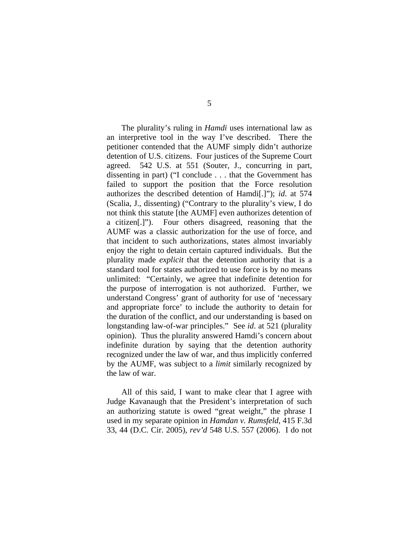The plurality's ruling in *Hamdi* uses international law as an interpretive tool in the way I've described. There the petitioner contended that the AUMF simply didn't authorize detention of U.S. citizens. Four justices of the Supreme Court agreed. 542 U.S. at 551 (Souter, J., concurring in part, dissenting in part) ("I conclude . . . that the Government has failed to support the position that the Force resolution authorizes the described detention of Hamdi[.]"); *id*. at 574 (Scalia, J., dissenting) ("Contrary to the plurality's view, I do not think this statute [the AUMF] even authorizes detention of a citizen[.]"). Four others disagreed, reasoning that the AUMF was a classic authorization for the use of force, and that incident to such authorizations, states almost invariably enjoy the right to detain certain captured individuals. But the plurality made *explicit* that the detention authority that is a standard tool for states authorized to use force is by no means unlimited: "Certainly, we agree that indefinite detention for the purpose of interrogation is not authorized. Further, we understand Congress' grant of authority for use of 'necessary and appropriate force' to include the authority to detain for the duration of the conflict, and our understanding is based on longstanding law-of-war principles." See *id*. at 521 (plurality opinion). Thus the plurality answered Hamdi's concern about indefinite duration by saying that the detention authority recognized under the law of war, and thus implicitly conferred by the AUMF, was subject to a *limit* similarly recognized by the law of war.

 All of this said, I want to make clear that I agree with Judge Kavanaugh that the President's interpretation of such an authorizing statute is owed "great weight," the phrase I used in my separate opinion in *Hamdan v. Rumsfeld*, 415 F.3d 33, 44 (D.C. Cir. 2005), *rev'd* 548 U.S. 557 (2006). I do not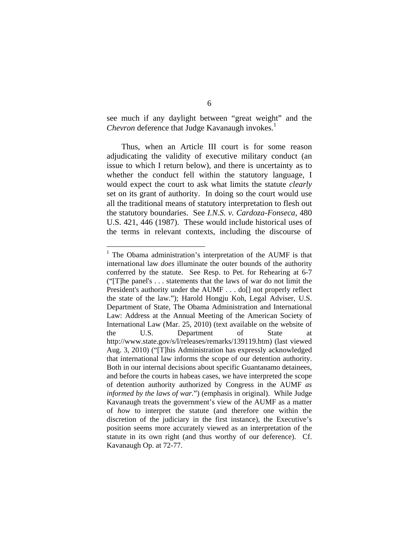see much if any daylight between "great weight" and the *Chevron* deference that Judge Kavanaugh invokes.<sup>1</sup>

 Thus, when an Article III court is for some reason adjudicating the validity of executive military conduct (an issue to which I return below), and there is uncertainty as to whether the conduct fell within the statutory language, I would expect the court to ask what limits the statute *clearly* set on its grant of authority. In doing so the court would use all the traditional means of statutory interpretation to flesh out the statutory boundaries. See *I.N.S. v. Cardoza-Fonseca*, 480 U.S. 421, 446 (1987). These would include historical uses of the terms in relevant contexts, including the discourse of

 $\overline{a}$ 

<sup>&</sup>lt;sup>1</sup> The Obama administration's interpretation of the AUMF is that international law *does* illuminate the outer bounds of the authority conferred by the statute. See Resp. to Pet. for Rehearing at 6-7 ("[T]he panel's . . . statements that the laws of war do not limit the President's authority under the AUMF . . . do[] not properly reflect the state of the law."); Harold Hongju Koh, Legal Adviser, U.S. Department of State, The Obama Administration and International Law: Address at the Annual Meeting of the American Society of International Law (Mar. 25, 2010) (text available on the website of the U.S. Department of State at http://www.state.gov/s/l/releases/remarks/139119.htm) (last viewed Aug. 3, 2010) ("[T]his Administration has expressly acknowledged that international law informs the scope of our detention authority. Both in our internal decisions about specific Guantanamo detainees, and before the courts in habeas cases, we have interpreted the scope of detention authority authorized by Congress in the AUMF *as informed by the laws of war.*") (emphasis in original). While Judge Kavanaugh treats the government's view of the AUMF as a matter of *how* to interpret the statute (and therefore one within the discretion of the judiciary in the first instance), the Executive's position seems more accurately viewed as an interpretation of the statute in its own right (and thus worthy of our deference). Cf. Kavanaugh Op. at 72-77.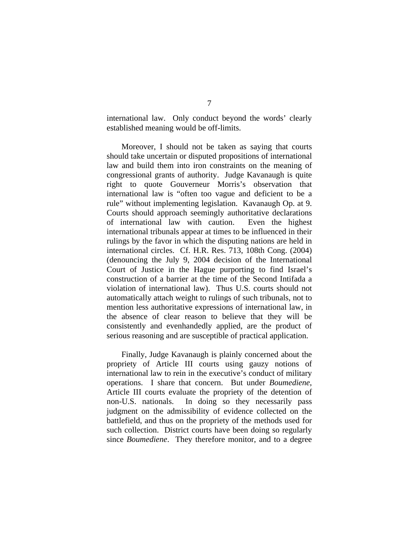international law. Only conduct beyond the words' clearly established meaning would be off-limits.

Moreover, I should not be taken as saying that courts should take uncertain or disputed propositions of international law and build them into iron constraints on the meaning of congressional grants of authority. Judge Kavanaugh is quite right to quote Gouverneur Morris's observation that international law is "often too vague and deficient to be a rule" without implementing legislation. Kavanaugh Op. at 9. Courts should approach seemingly authoritative declarations of international law with caution. Even the highest international tribunals appear at times to be influenced in their rulings by the favor in which the disputing nations are held in international circles. Cf. H.R. Res. 713, 108th Cong. (2004) (denouncing the July 9, 2004 decision of the International Court of Justice in the Hague purporting to find Israel's construction of a barrier at the time of the Second Intifada a violation of international law). Thus U.S. courts should not automatically attach weight to rulings of such tribunals, not to mention less authoritative expressions of international law, in the absence of clear reason to believe that they will be consistently and evenhandedly applied, are the product of serious reasoning and are susceptible of practical application.

Finally, Judge Kavanaugh is plainly concerned about the propriety of Article III courts using gauzy notions of international law to rein in the executive's conduct of military operations. I share that concern. But under *Boumediene*, Article III courts evaluate the propriety of the detention of non-U.S. nationals. In doing so they necessarily pass judgment on the admissibility of evidence collected on the battlefield, and thus on the propriety of the methods used for such collection. District courts have been doing so regularly since *Boumediene*. They therefore monitor, and to a degree